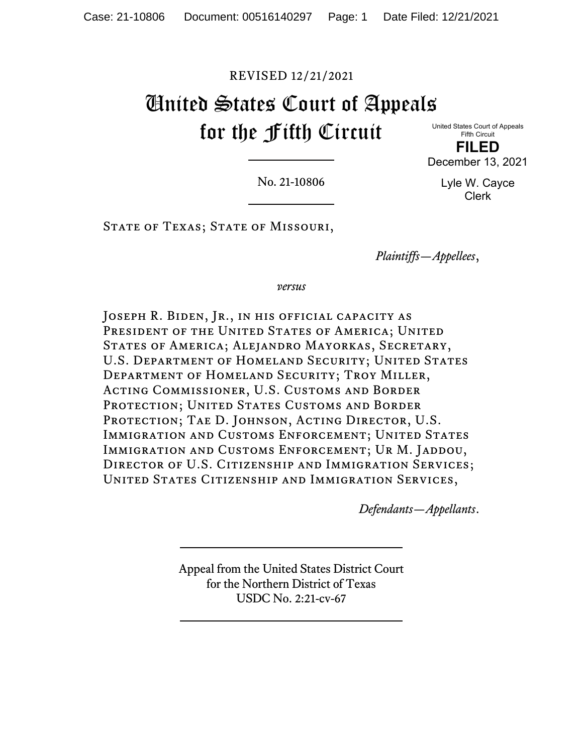# REVISED 12/21/2021

# United States Court of Appeals for the Fifth Circuit

United States Court of Appeals Fifth Circuit **FILED** December 13, 2021

No. 21-10806

Lyle W. Cayce Clerk

STATE OF TEXAS; STATE OF MISSOURI,

*Plaintiffs—Appellees*,

*versus*

JOSEPH R. BIDEN, JR., IN HIS OFFICIAL CAPACITY AS PRESIDENT OF THE UNITED STATES OF AMERICA; UNITED States of America; Alejandro Mayorkas, Secretary, U.S. DEPARTMENT OF HOMELAND SECURITY; UNITED STATES Department of Homeland Security; Troy Miller, Acting Commissioner, U.S. Customs and Border PROTECTION; UNITED STATES CUSTOMS AND BORDER PROTECTION; TAE D. JOHNSON, ACTING DIRECTOR, U.S. IMMIGRATION AND CUSTOMS ENFORCEMENT; UNITED STATES IMMIGRATION AND CUSTOMS ENFORCEMENT; UR M. JADDOU, Director of U.S. Citizenship and Immigration Services; United States Citizenship and Immigration Services,

*Defendants—Appellants*.

Appeal from the United States District Court for the Northern District of Texas USDC No. 2:21-cv-67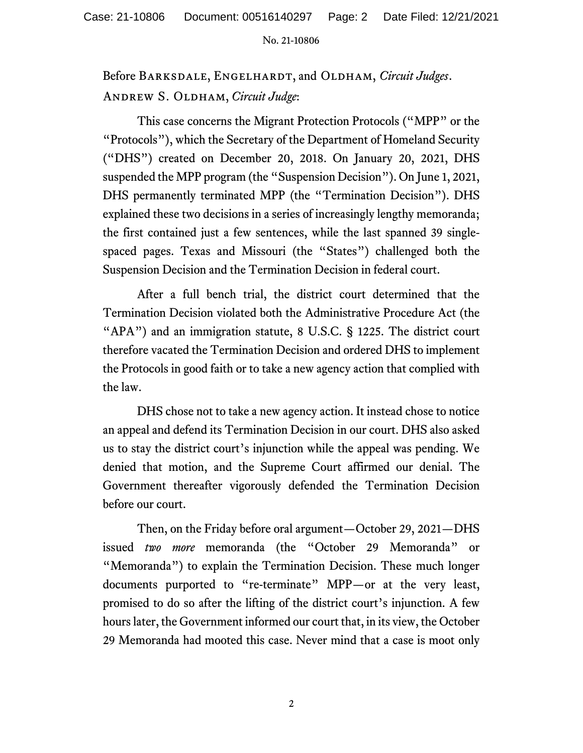Before Barksdale, Engelhardt, and Oldham, *Circuit Judges*. Andrew S. Oldham, *Circuit Judge*:

This case concerns the Migrant Protection Protocols ("MPP" or the "Protocols"), which the Secretary of the Department of Homeland Security ("DHS") created on December 20, 2018. On January 20, 2021, DHS suspended the MPP program (the "Suspension Decision"). On June 1, 2021, DHS permanently terminated MPP (the "Termination Decision"). DHS explained these two decisions in a series of increasingly lengthy memoranda; the first contained just a few sentences, while the last spanned 39 singlespaced pages. Texas and Missouri (the "States") challenged both the Suspension Decision and the Termination Decision in federal court.

After a full bench trial, the district court determined that the Termination Decision violated both the Administrative Procedure Act (the "APA") and an immigration statute, 8 U.S.C. § 1225. The district court therefore vacated the Termination Decision and ordered DHS to implement the Protocols in good faith or to take a new agency action that complied with the law.

DHS chose not to take a new agency action. It instead chose to notice an appeal and defend its Termination Decision in our court. DHS also asked us to stay the district court's injunction while the appeal was pending. We denied that motion, and the Supreme Court affirmed our denial. The Government thereafter vigorously defended the Termination Decision before our court.

Then, on the Friday before oral argument—October 29, 2021—DHS issued *two more* memoranda (the "October 29 Memoranda" or "Memoranda") to explain the Termination Decision. These much longer documents purported to "re-terminate" MPP—or at the very least, promised to do so after the lifting of the district court's injunction. A few hours later, the Government informed our court that, in its view, the October 29 Memoranda had mooted this case. Never mind that a case is moot only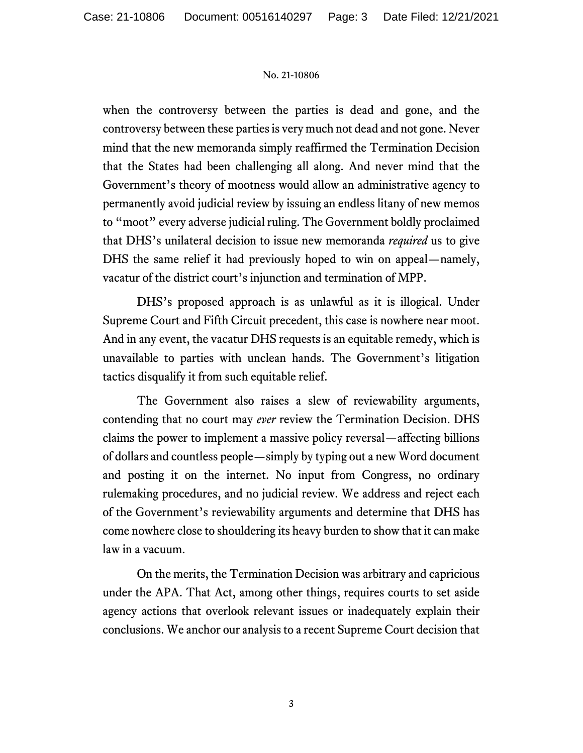when the controversy between the parties is dead and gone, and the controversy between these parties is very much not dead and not gone. Never mind that the new memoranda simply reaffirmed the Termination Decision that the States had been challenging all along. And never mind that the Government's theory of mootness would allow an administrative agency to permanently avoid judicial review by issuing an endless litany of new memos to "moot" every adverse judicial ruling. The Government boldly proclaimed that DHS's unilateral decision to issue new memoranda *required* us to give DHS the same relief it had previously hoped to win on appeal—namely, vacatur of the district court's injunction and termination of MPP.

DHS's proposed approach is as unlawful as it is illogical. Under Supreme Court and Fifth Circuit precedent, this case is nowhere near moot. And in any event, the vacatur DHS requests is an equitable remedy, which is unavailable to parties with unclean hands. The Government's litigation tactics disqualify it from such equitable relief.

The Government also raises a slew of reviewability arguments, contending that no court may *ever* review the Termination Decision. DHS claims the power to implement a massive policy reversal—affecting billions of dollars and countless people—simply by typing out a new Word document and posting it on the internet. No input from Congress, no ordinary rulemaking procedures, and no judicial review. We address and reject each of the Government's reviewability arguments and determine that DHS has come nowhere close to shouldering its heavy burden to show that it can make law in a vacuum.

On the merits, the Termination Decision was arbitrary and capricious under the APA. That Act, among other things, requires courts to set aside agency actions that overlook relevant issues or inadequately explain their conclusions. We anchor our analysis to a recent Supreme Court decision that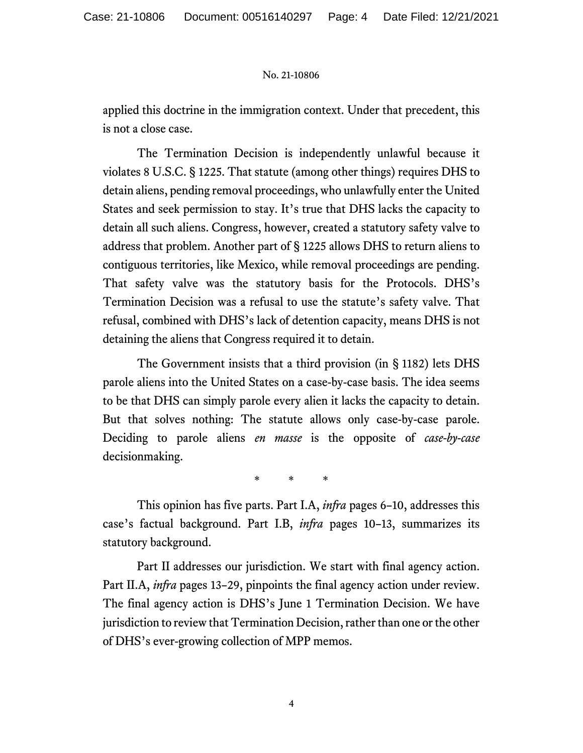applied this doctrine in the immigration context. Under that precedent, this is not a close case.

The Termination Decision is independently unlawful because it violates 8 U.S.C. § 1225. That statute (among other things) requires DHS to detain aliens, pending removal proceedings, who unlawfully enter the United States and seek permission to stay. It's true that DHS lacks the capacity to detain all such aliens. Congress, however, created a statutory safety valve to address that problem. Another part of § 1225 allows DHS to return aliens to contiguous territories, like Mexico, while removal proceedings are pending. That safety valve was the statutory basis for the Protocols. DHS's Termination Decision was a refusal to use the statute's safety valve. That refusal, combined with DHS's lack of detention capacity, means DHS is not detaining the aliens that Congress required it to detain.

The Government insists that a third provision (in § 1182) lets DHS parole aliens into the United States on a case-by-case basis. The idea seems to be that DHS can simply parole every alien it lacks the capacity to detain. But that solves nothing: The statute allows only case-by-case parole. Deciding to parole aliens *en masse* is the opposite of *case-by-case* decisionmaking.

\* \* \*

This opinion has five parts. Part I.A, *infra* pages 6–10, addresses this case's factual background. Part I.B, *infra* pages 10–13, summarizes its statutory background.

Part II addresses our jurisdiction. We start with final agency action. Part II.A, *infra* pages 13–29, pinpoints the final agency action under review. The final agency action is DHS's June 1 Termination Decision. We have jurisdiction to review that Termination Decision, rather than one or the other of DHS's ever-growing collection of MPP memos.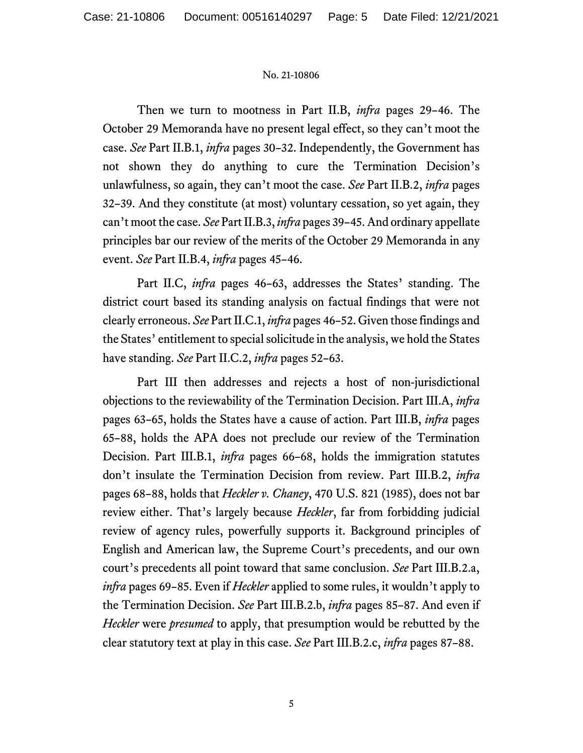Then we turn to mootness in Part II.B, *infra* pages 29–46. The October 29 Memoranda have no present legal effect, so they can't moot the case. *See* Part II.B.1, *infra* pages 30–32. Independently, the Government has not shown they do anything to cure the Termination Decision's unlawfulness, so again, they can't moot the case. *See* Part II.B.2, *infra* pages 32–39. And they constitute (at most) voluntary cessation, so yet again, they can't moot the case. *See* Part II.B.3, *infra* pages 39–45. And ordinary appellate principles bar our review of the merits of the October 29 Memoranda in any event. *See* Part II.B.4, *infra* pages 45–46.

Part II.C, *infra* pages 46–63, addresses the States' standing. The district court based its standing analysis on factual findings that were not clearly erroneous. *See* Part II.C.1, *infra* pages 46–52. Given those findings and the States' entitlement to special solicitude in the analysis, we hold the States have standing. *See* Part II.C.2, *infra* pages 52–63.

Part III then addresses and rejects a host of non-jurisdictional objections to the reviewability of the Termination Decision. Part III.A, *infra* pages 63–65, holds the States have a cause of action. Part III.B, *infra* pages 65–88, holds the APA does not preclude our review of the Termination Decision. Part III.B.1, *infra* pages 66–68, holds the immigration statutes don't insulate the Termination Decision from review. Part III.B.2, *infra* pages 68–88, holds that *Heckler v. Chaney*, 470 U.S. 821 (1985), does not bar review either. That's largely because *Heckler*, far from forbidding judicial review of agency rules, powerfully supports it. Background principles of English and American law, the Supreme Court's precedents, and our own court's precedents all point toward that same conclusion. *See* Part III.B.2.a, *infra* pages 69–85. Even if *Heckler* applied to some rules, it wouldn't apply to the Termination Decision. *See* Part III.B.2.b, *infra* pages 85–87. And even if *Heckler* were *presumed* to apply, that presumption would be rebutted by the clear statutory text at play in this case. *See* Part III.B.2.c, *infra* pages 87–88.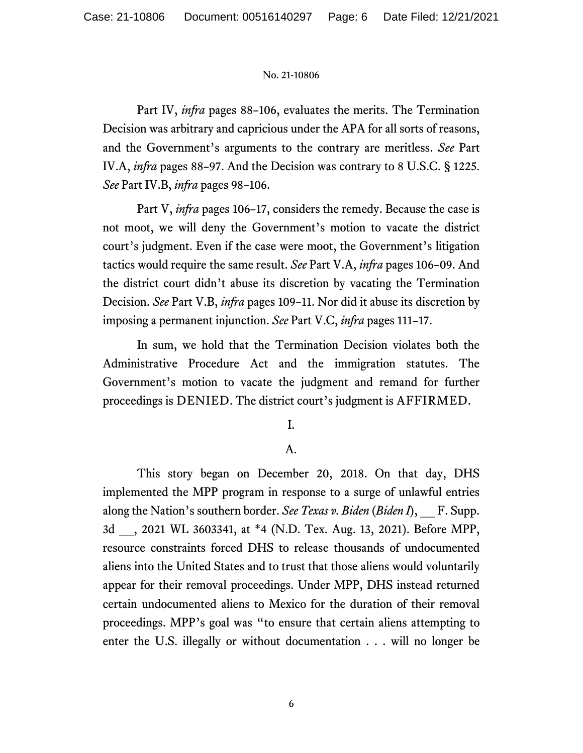Part IV, *infra* pages 88–106, evaluates the merits. The Termination Decision was arbitrary and capricious under the APA for all sorts of reasons, and the Government's arguments to the contrary are meritless. *See* Part IV.A, *infra* pages 88–97. And the Decision was contrary to 8 U.S.C. § 1225. *See* Part IV.B, *infra* pages 98–106.

Part V, *infra* pages 106–17, considers the remedy. Because the case is not moot, we will deny the Government's motion to vacate the district court's judgment. Even if the case were moot, the Government's litigation tactics would require the same result. *See* Part V.A, *infra* pages 106–09. And the district court didn't abuse its discretion by vacating the Termination Decision. *See* Part V.B, *infra* pages 109–11. Nor did it abuse its discretion by imposing a permanent injunction. *See* Part V.C, *infra* pages 111–17.

In sum, we hold that the Termination Decision violates both the Administrative Procedure Act and the immigration statutes. The Government's motion to vacate the judgment and remand for further proceedings is DENIED. The district court's judgment is AFFIRMED.

I.

# A.

This story began on December 20, 2018. On that day, DHS implemented the MPP program in response to a surge of unlawful entries along the Nation's southern border. *See Texas v. Biden* (*Biden I*), \_\_ F. Supp. 3d \_\_, 2021 WL 3603341, at \*4 (N.D. Tex. Aug. 13, 2021). Before MPP, resource constraints forced DHS to release thousands of undocumented aliens into the United States and to trust that those aliens would voluntarily appear for their removal proceedings. Under MPP, DHS instead returned certain undocumented aliens to Mexico for the duration of their removal proceedings. MPP's goal was "to ensure that certain aliens attempting to enter the U.S. illegally or without documentation . . . will no longer be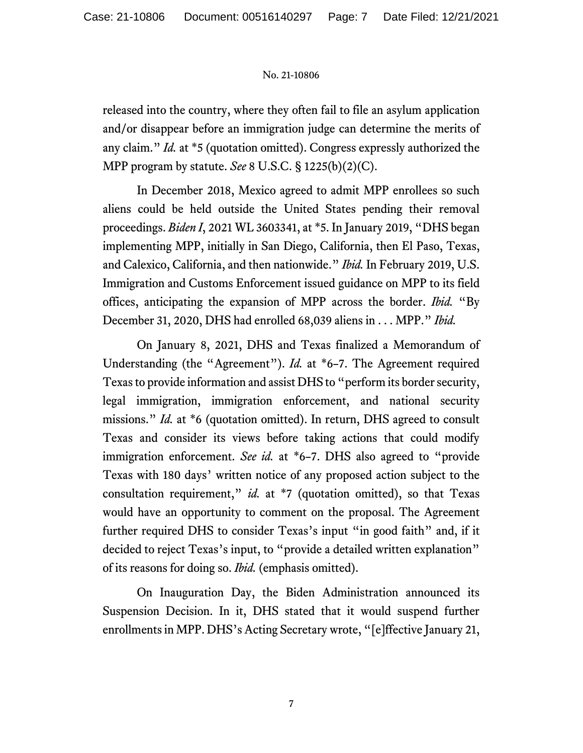released into the country, where they often fail to file an asylum application and/or disappear before an immigration judge can determine the merits of any claim." *Id.* at \*5 (quotation omitted). Congress expressly authorized the MPP program by statute. *See* 8 U.S.C. § 1225(b)(2)(C).

In December 2018, Mexico agreed to admit MPP enrollees so such aliens could be held outside the United States pending their removal proceedings. *Biden I*, 2021 WL 3603341, at \*5. In January 2019, "DHS began implementing MPP, initially in San Diego, California, then El Paso, Texas, and Calexico, California, and then nationwide." *Ibid.* In February 2019, U.S. Immigration and Customs Enforcement issued guidance on MPP to its field offices, anticipating the expansion of MPP across the border. *Ibid.* "By December 31, 2020, DHS had enrolled 68,039 aliens in . . . MPP." *Ibid.*

On January 8, 2021, DHS and Texas finalized a Memorandum of Understanding (the "Agreement"). *Id.* at \*6–7. The Agreement required Texas to provide information and assist DHS to "perform its border security, legal immigration, immigration enforcement, and national security missions." *Id.* at \*6 (quotation omitted). In return, DHS agreed to consult Texas and consider its views before taking actions that could modify immigration enforcement. *See id.* at \*6–7. DHS also agreed to "provide Texas with 180 days' written notice of any proposed action subject to the consultation requirement," *id.* at \*7 (quotation omitted), so that Texas would have an opportunity to comment on the proposal. The Agreement further required DHS to consider Texas's input "in good faith" and, if it decided to reject Texas's input, to "provide a detailed written explanation" of its reasons for doing so. *Ibid.* (emphasis omitted).

On Inauguration Day, the Biden Administration announced its Suspension Decision. In it, DHS stated that it would suspend further enrollments in MPP. DHS's Acting Secretary wrote, "[e]ffective January 21,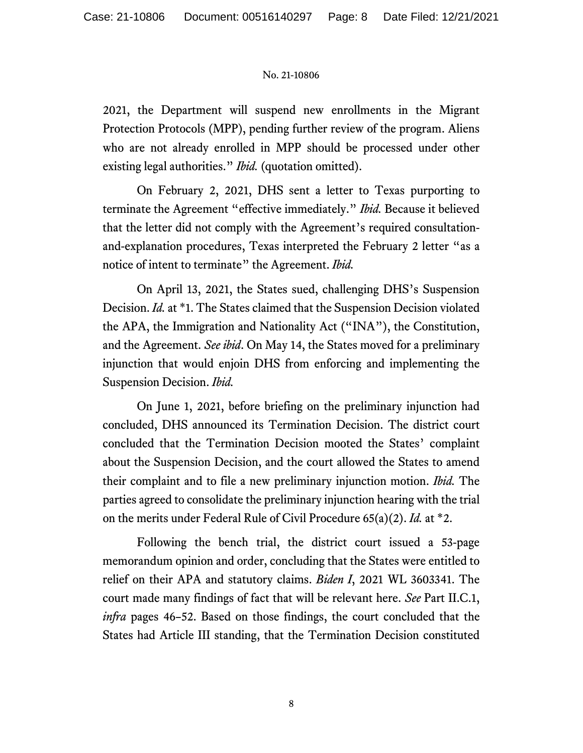2021, the Department will suspend new enrollments in the Migrant Protection Protocols (MPP), pending further review of the program. Aliens who are not already enrolled in MPP should be processed under other existing legal authorities." *Ibid.* (quotation omitted).

On February 2, 2021, DHS sent a letter to Texas purporting to terminate the Agreement "effective immediately." *Ibid.* Because it believed that the letter did not comply with the Agreement's required consultationand-explanation procedures, Texas interpreted the February 2 letter "as a notice of intent to terminate" the Agreement. *Ibid.*

On April 13, 2021, the States sued, challenging DHS's Suspension Decision. *Id.* at \*1. The States claimed that the Suspension Decision violated the APA, the Immigration and Nationality Act ("INA"), the Constitution, and the Agreement. *See ibid*. On May 14, the States moved for a preliminary injunction that would enjoin DHS from enforcing and implementing the Suspension Decision. *Ibid.*

On June 1, 2021, before briefing on the preliminary injunction had concluded, DHS announced its Termination Decision. The district court concluded that the Termination Decision mooted the States' complaint about the Suspension Decision, and the court allowed the States to amend their complaint and to file a new preliminary injunction motion. *Ibid.* The parties agreed to consolidate the preliminary injunction hearing with the trial on the merits under Federal Rule of Civil Procedure 65(a)(2). *Id.* at \*2.

Following the bench trial, the district court issued a 53-page memorandum opinion and order, concluding that the States were entitled to relief on their APA and statutory claims. *Biden I*, 2021 WL 3603341. The court made many findings of fact that will be relevant here. *See* Part II.C.1, *infra* pages 46–52. Based on those findings, the court concluded that the States had Article III standing, that the Termination Decision constituted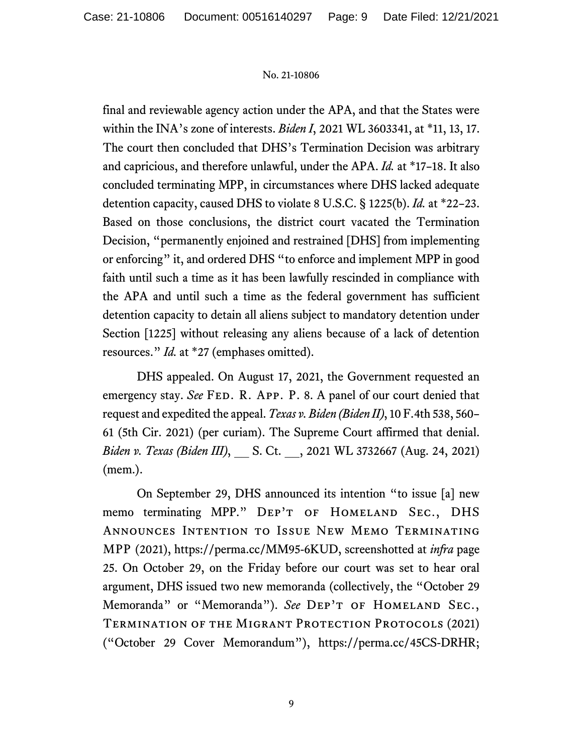final and reviewable agency action under the APA, and that the States were within the INA's zone of interests. *Biden I*, 2021 WL 3603341, at \*11, 13, 17. The court then concluded that DHS's Termination Decision was arbitrary and capricious, and therefore unlawful, under the APA. *Id.* at \*17–18. It also concluded terminating MPP, in circumstances where DHS lacked adequate detention capacity, caused DHS to violate 8 U.S.C. § 1225(b). *Id.* at \*22–23. Based on those conclusions, the district court vacated the Termination Decision, "permanently enjoined and restrained [DHS] from implementing or enforcing" it, and ordered DHS "to enforce and implement MPP in good faith until such a time as it has been lawfully rescinded in compliance with the APA and until such a time as the federal government has sufficient detention capacity to detain all aliens subject to mandatory detention under Section [1225] without releasing any aliens because of a lack of detention resources." *Id.* at \*27 (emphases omitted).

DHS appealed. On August 17, 2021, the Government requested an emergency stay. *See* FED. R. APP. P. 8. A panel of our court denied that request and expedited the appeal. *Texas v. Biden (Biden II)*, 10 F.4th 538, 560– 61 (5th Cir. 2021) (per curiam). The Supreme Court affirmed that denial. *Biden v. Texas (Biden III)*, \_\_ S. Ct. \_\_, 2021 WL 3732667 (Aug. 24, 2021) (mem.).

On September 29, DHS announced its intention "to issue [a] new memo terminating MPP." DEP'T OF HOMELAND SEC., DHS Announces Intention to Issue New Memo Terminating MPP (2021), https://perma.cc/MM95-6KUD, screenshotted at *infra* page 25. On October 29, on the Friday before our court was set to hear oral argument, DHS issued two new memoranda (collectively, the "October 29 Memoranda" or "Memoranda"). See DEP'T OF HOMELAND SEC., TERMINATION OF THE MIGRANT PROTECTION PROTOCOLS (2021) ("October 29 Cover Memorandum"), https://perma.cc/45CS-DRHR;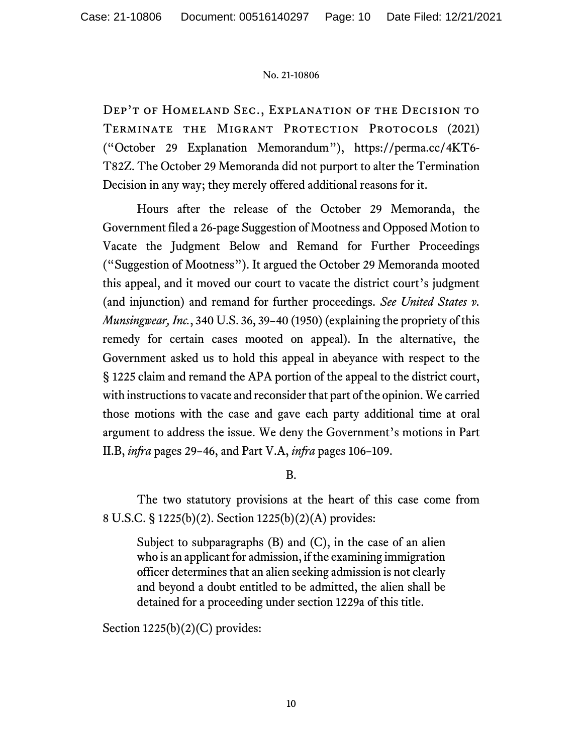Dep't of Homeland Sec., Explanation of the Decision to TERMINATE THE MIGRANT PROTECTION PROTOCOLS (2021) ("October 29 Explanation Memorandum"), https://perma.cc/4KT6- T82Z. The October 29 Memoranda did not purport to alter the Termination Decision in any way; they merely offered additional reasons for it.

Hours after the release of the October 29 Memoranda, the Government filed a 26-page Suggestion of Mootness and Opposed Motion to Vacate the Judgment Below and Remand for Further Proceedings ("Suggestion of Mootness"). It argued the October 29 Memoranda mooted this appeal, and it moved our court to vacate the district court's judgment (and injunction) and remand for further proceedings. *See United States v. Munsingwear, Inc.*, 340 U.S. 36, 39–40 (1950) (explaining the propriety of this remedy for certain cases mooted on appeal). In the alternative, the Government asked us to hold this appeal in abeyance with respect to the § 1225 claim and remand the APA portion of the appeal to the district court, with instructions to vacate and reconsider that part of the opinion. We carried those motions with the case and gave each party additional time at oral argument to address the issue. We deny the Government's motions in Part II.B, *infra* pages 29–46, and Part V.A, *infra* pages 106–109.

B.

The two statutory provisions at the heart of this case come from 8 U.S.C. § 1225(b)(2). Section 1225(b)(2)(A) provides:

Subject to subparagraphs (B) and (C), in the case of an alien who is an applicant for admission, if the examining immigration officer determines that an alien seeking admission is not clearly and beyond a doubt entitled to be admitted, the alien shall be detained for a proceeding under section 1229a of this title.

Section  $1225(b)(2)(C)$  provides: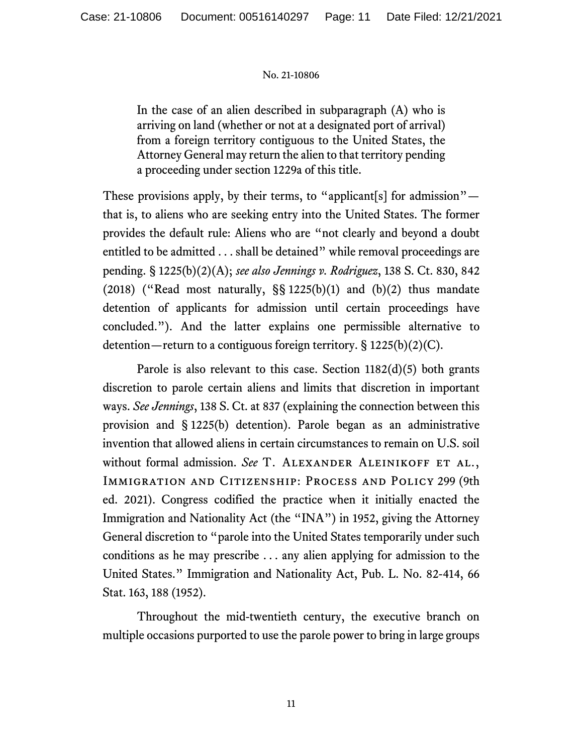In the case of an alien described in subparagraph (A) who is arriving on land (whether or not at a designated port of arrival) from a foreign territory contiguous to the United States, the Attorney General may return the alien to that territory pending a proceeding under section 1229a of this title.

These provisions apply, by their terms, to "applicant[s] for admission" that is, to aliens who are seeking entry into the United States. The former provides the default rule: Aliens who are "not clearly and beyond a doubt entitled to be admitted . . . shall be detained" while removal proceedings are pending. § 1225(b)(2)(A); *see also Jennings v. Rodriguez*, 138 S. Ct. 830, 842 (2018) ("Read most naturally,  $\S$ § 1225(b)(1) and (b)(2) thus mandate detention of applicants for admission until certain proceedings have concluded."). And the latter explains one permissible alternative to detention—return to a contiguous foreign territory. § 1225(b)(2)(C).

Parole is also relevant to this case. Section  $1182(d)(5)$  both grants discretion to parole certain aliens and limits that discretion in important ways. *See Jennings*, 138 S. Ct. at 837 (explaining the connection between this provision and § 1225(b) detention). Parole began as an administrative invention that allowed aliens in certain circumstances to remain on U.S. soil without formal admission. See T. ALEXANDER ALEINIKOFF ET AL., Immigration and Citizenship: Process and Policy 299 (9th ed. 2021). Congress codified the practice when it initially enacted the Immigration and Nationality Act (the "INA") in 1952, giving the Attorney General discretion to "parole into the United States temporarily under such conditions as he may prescribe . . . any alien applying for admission to the United States." Immigration and Nationality Act, Pub. L. No. 82-414, 66 Stat. 163, 188 (1952).

Throughout the mid-twentieth century, the executive branch on multiple occasions purported to use the parole power to bring in large groups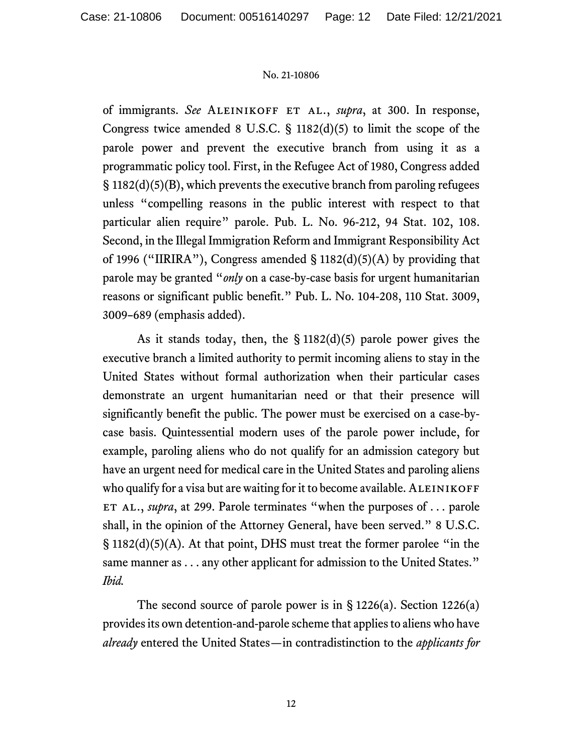of immigrants. *See* Aleinikoff et al., *supra*, at 300. In response, Congress twice amended 8 U.S.C. § 1182(d)(5) to limit the scope of the parole power and prevent the executive branch from using it as a programmatic policy tool. First, in the Refugee Act of 1980, Congress added § 1182(d)(5)(B), which prevents the executive branch from paroling refugees unless "compelling reasons in the public interest with respect to that particular alien require" parole. Pub. L. No. 96-212, 94 Stat. 102, 108. Second, in the Illegal Immigration Reform and Immigrant Responsibility Act of 1996 ("IIRIRA"), Congress amended  $\S$  1182(d)(5)(A) by providing that parole may be granted "*only* on a case-by-case basis for urgent humanitarian reasons or significant public benefit." Pub. L. No. 104-208, 110 Stat. 3009, 3009–689 (emphasis added).

As it stands today, then, the § 1182(d)(5) parole power gives the executive branch a limited authority to permit incoming aliens to stay in the United States without formal authorization when their particular cases demonstrate an urgent humanitarian need or that their presence will significantly benefit the public. The power must be exercised on a case-bycase basis. Quintessential modern uses of the parole power include, for example, paroling aliens who do not qualify for an admission category but have an urgent need for medical care in the United States and paroling aliens who qualify for a visa but are waiting for it to become available. ALEINIKOFF ET AL., *supra*, at 299. Parole terminates "when the purposes of . . . parole shall, in the opinion of the Attorney General, have been served." 8 U.S.C. § 1182(d)(5)(A). At that point, DHS must treat the former parolee "in the same manner as . . . any other applicant for admission to the United States." *Ibid.*

The second source of parole power is in § 1226(a). Section 1226(a) provides its own detention-and-parole scheme that applies to aliens who have *already* entered the United States—in contradistinction to the *applicants for*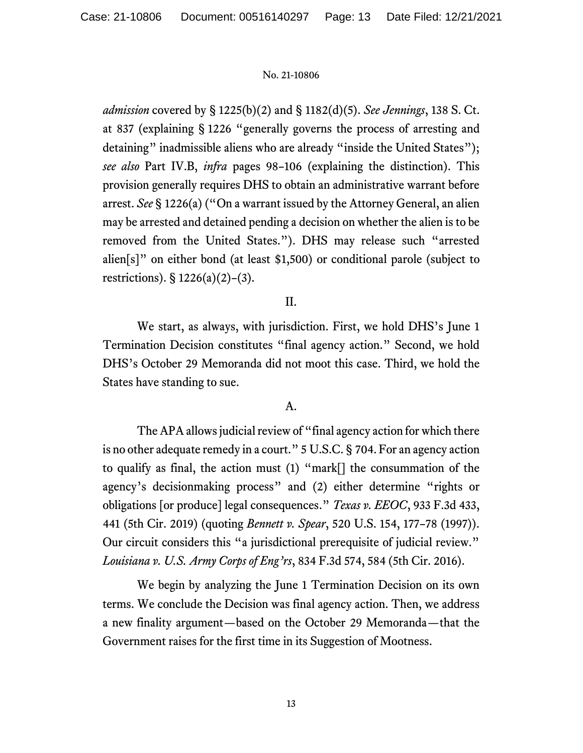*admission* covered by § 1225(b)(2) and § 1182(d)(5). *See Jennings*, 138 S. Ct. at 837 (explaining § 1226 "generally governs the process of arresting and detaining" inadmissible aliens who are already "inside the United States"); *see also* Part IV.B, *infra* pages 98–106 (explaining the distinction). This provision generally requires DHS to obtain an administrative warrant before arrest. *See* § 1226(a) ("On a warrant issued by the Attorney General, an alien may be arrested and detained pending a decision on whether the alien is to be removed from the United States."). DHS may release such "arrested alien[s]" on either bond (at least \$1,500) or conditional parole (subject to restrictions). § 1226(a)(2)–(3).

# II.

We start, as always, with jurisdiction. First, we hold DHS's June 1 Termination Decision constitutes "final agency action." Second, we hold DHS's October 29 Memoranda did not moot this case. Third, we hold the States have standing to sue.

# A.

The APA allows judicial review of "final agency action for which there is no other adequate remedy in a court." 5 U.S.C. § 704. For an agency action to qualify as final, the action must (1) "mark[] the consummation of the agency's decisionmaking process" and (2) either determine "rights or obligations [or produce] legal consequences." *Texas v. EEOC*, 933 F.3d 433, 441 (5th Cir. 2019) (quoting *Bennett v. Spear*, 520 U.S. 154, 177–78 (1997)). Our circuit considers this "a jurisdictional prerequisite of judicial review." *Louisiana v. U.S. Army Corps of Eng'rs*, 834 F.3d 574, 584 (5th Cir. 2016).

We begin by analyzing the June 1 Termination Decision on its own terms. We conclude the Decision was final agency action. Then, we address a new finality argument—based on the October 29 Memoranda—that the Government raises for the first time in its Suggestion of Mootness.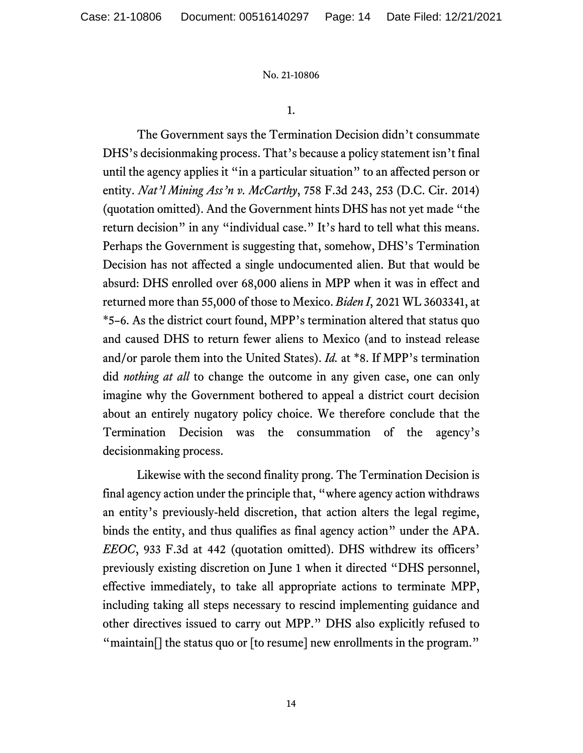1.

The Government says the Termination Decision didn't consummate DHS's decisionmaking process. That's because a policy statement isn't final until the agency applies it "in a particular situation" to an affected person or entity. *Nat'l Mining Ass'n v. McCarthy*, 758 F.3d 243, 253 (D.C. Cir. 2014) (quotation omitted). And the Government hints DHS has not yet made "the return decision" in any "individual case." It's hard to tell what this means. Perhaps the Government is suggesting that, somehow, DHS's Termination Decision has not affected a single undocumented alien. But that would be absurd: DHS enrolled over 68,000 aliens in MPP when it was in effect and returned more than 55,000 of those to Mexico. *Biden I*, 2021 WL 3603341, at \*5–6. As the district court found, MPP's termination altered that status quo and caused DHS to return fewer aliens to Mexico (and to instead release and/or parole them into the United States). *Id.* at \*8. If MPP's termination did *nothing at all* to change the outcome in any given case, one can only imagine why the Government bothered to appeal a district court decision about an entirely nugatory policy choice. We therefore conclude that the Termination Decision was the consummation of the agency's decisionmaking process.

Likewise with the second finality prong. The Termination Decision is final agency action under the principle that, "where agency action withdraws an entity's previously-held discretion, that action alters the legal regime, binds the entity, and thus qualifies as final agency action" under the APA. *EEOC*, 933 F.3d at 442 (quotation omitted). DHS withdrew its officers' previously existing discretion on June 1 when it directed "DHS personnel, effective immediately, to take all appropriate actions to terminate MPP, including taking all steps necessary to rescind implementing guidance and other directives issued to carry out MPP." DHS also explicitly refused to "maintain[] the status quo or [to resume] new enrollments in the program."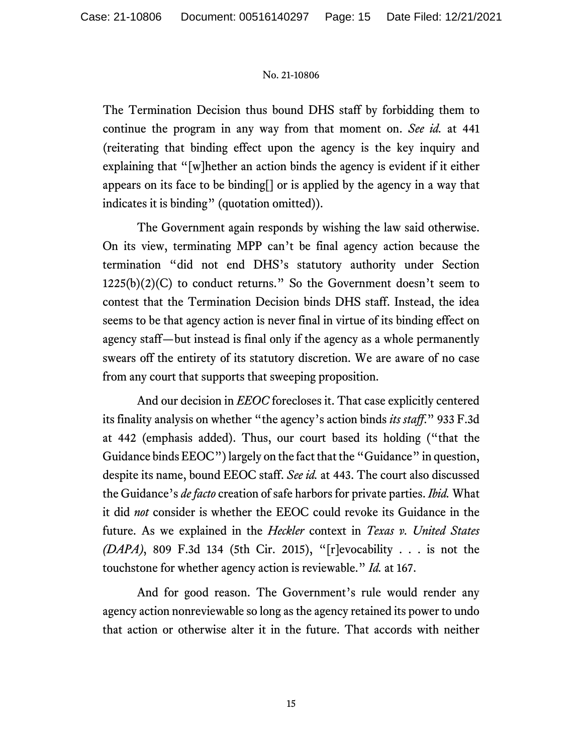The Termination Decision thus bound DHS staff by forbidding them to continue the program in any way from that moment on. *See id.* at 441 (reiterating that binding effect upon the agency is the key inquiry and explaining that "[w]hether an action binds the agency is evident if it either appears on its face to be binding[] or is applied by the agency in a way that indicates it is binding" (quotation omitted)).

The Government again responds by wishing the law said otherwise. On its view, terminating MPP can't be final agency action because the termination "did not end DHS's statutory authority under Section  $1225(b)(2)(C)$  to conduct returns." So the Government doesn't seem to contest that the Termination Decision binds DHS staff. Instead, the idea seems to be that agency action is never final in virtue of its binding effect on agency staff—but instead is final only if the agency as a whole permanently swears off the entirety of its statutory discretion. We are aware of no case from any court that supports that sweeping proposition.

And our decision in *EEOC* forecloses it. That case explicitly centered its finality analysis on whether "the agency's action binds *its staff*." 933 F.3d at 442 (emphasis added). Thus, our court based its holding ("that the Guidance binds EEOC") largely on the fact that the "Guidance" in question, despite its name, bound EEOC staff. *See id.* at 443. The court also discussed the Guidance's *de facto* creation of safe harbors for private parties. *Ibid.* What it did *not* consider is whether the EEOC could revoke its Guidance in the future. As we explained in the *Heckler* context in *Texas v. United States (DAPA)*, 809 F.3d 134 (5th Cir. 2015), "[r]evocability . . . is not the touchstone for whether agency action is reviewable." *Id.* at 167.

And for good reason. The Government's rule would render any agency action nonreviewable so long as the agency retained its power to undo that action or otherwise alter it in the future. That accords with neither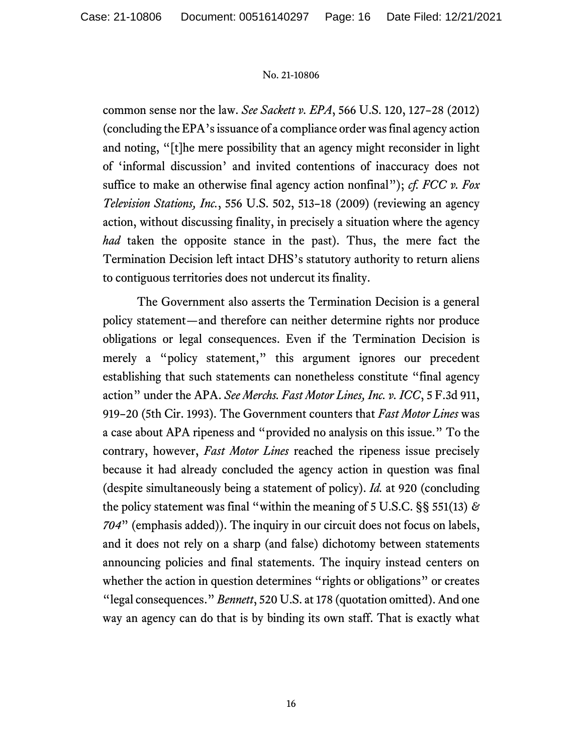common sense nor the law. *See Sackett v. EPA*, 566 U.S. 120, 127–28 (2012) (concluding the EPA's issuance of a compliance order was final agency action and noting, "[t]he mere possibility that an agency might reconsider in light of 'informal discussion' and invited contentions of inaccuracy does not suffice to make an otherwise final agency action nonfinal"); *cf. FCC v. Fox Television Stations, Inc.*, 556 U.S. 502, 513–18 (2009) (reviewing an agency action, without discussing finality, in precisely a situation where the agency *had* taken the opposite stance in the past). Thus, the mere fact the Termination Decision left intact DHS's statutory authority to return aliens to contiguous territories does not undercut its finality.

The Government also asserts the Termination Decision is a general policy statement—and therefore can neither determine rights nor produce obligations or legal consequences. Even if the Termination Decision is merely a "policy statement," this argument ignores our precedent establishing that such statements can nonetheless constitute "final agency action" under the APA. *See Merchs. Fast Motor Lines, Inc. v. ICC*, 5 F.3d 911, 919–20 (5th Cir. 1993). The Government counters that *Fast Motor Lines* was a case about APA ripeness and "provided no analysis on this issue." To the contrary, however, *Fast Motor Lines* reached the ripeness issue precisely because it had already concluded the agency action in question was final (despite simultaneously being a statement of policy). *Id.* at 920 (concluding the policy statement was final "within the meaning of 5 U.S.C. §§ 551(13) *& 704*" (emphasis added)). The inquiry in our circuit does not focus on labels, and it does not rely on a sharp (and false) dichotomy between statements announcing policies and final statements. The inquiry instead centers on whether the action in question determines "rights or obligations" or creates "legal consequences." *Bennett*, 520 U.S. at 178 (quotation omitted). And one way an agency can do that is by binding its own staff. That is exactly what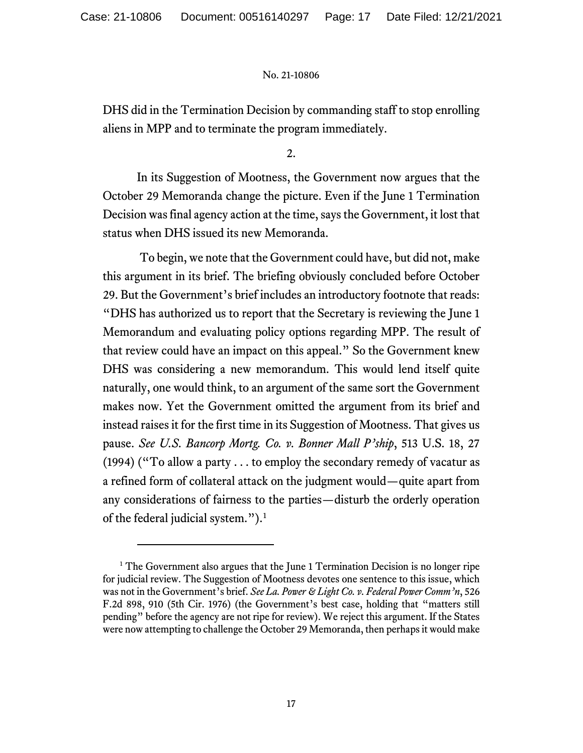DHS did in the Termination Decision by commanding staff to stop enrolling aliens in MPP and to terminate the program immediately.

2.

In its Suggestion of Mootness, the Government now argues that the October 29 Memoranda change the picture. Even if the June 1 Termination Decision was final agency action at the time, says the Government, it lost that status when DHS issued its new Memoranda.

To begin, we note that the Government could have, but did not, make this argument in its brief. The briefing obviously concluded before October 29. But the Government's brief includes an introductory footnote that reads: "DHS has authorized us to report that the Secretary is reviewing the June 1 Memorandum and evaluating policy options regarding MPP. The result of that review could have an impact on this appeal." So the Government knew DHS was considering a new memorandum. This would lend itself quite naturally, one would think, to an argument of the same sort the Government makes now. Yet the Government omitted the argument from its brief and instead raises it for the first time in its Suggestion of Mootness. That gives us pause. *See U.S. Bancorp Mortg. Co. v. Bonner Mall P'ship*, 513 U.S. 18, 27 (1994) ("To allow a party . . . to employ the secondary remedy of vacatur as a refined form of collateral attack on the judgment would—quite apart from any considerations of fairness to the parties—disturb the orderly operation of the federal judicial system."). [1](#page-16-0)

<span id="page-16-0"></span><sup>&</sup>lt;sup>1</sup> The Government also argues that the June 1 Termination Decision is no longer ripe for judicial review. The Suggestion of Mootness devotes one sentence to this issue, which was not in the Government's brief. *See La. Power & Light Co. v. Federal Power Comm'n*, 526 F.2d 898, 910 (5th Cir. 1976) (the Government's best case, holding that "matters still pending" before the agency are not ripe for review). We reject this argument. If the States were now attempting to challenge the October 29 Memoranda, then perhaps it would make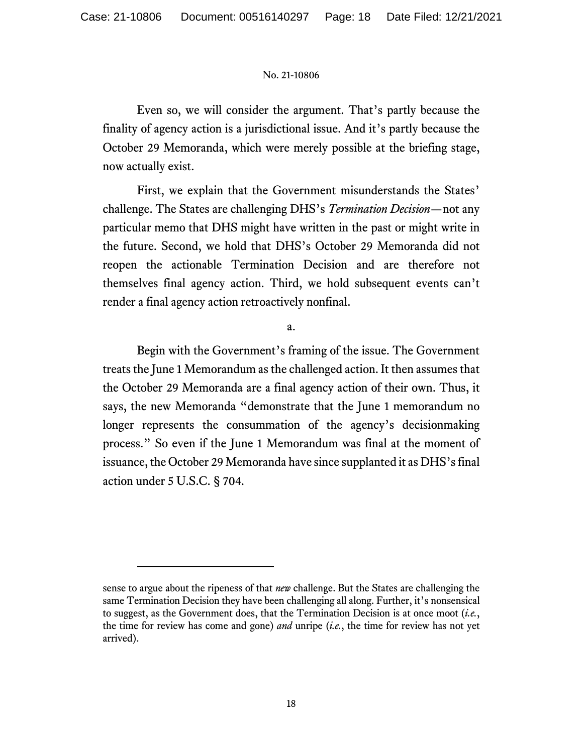Even so, we will consider the argument. That's partly because the finality of agency action is a jurisdictional issue. And it's partly because the October 29 Memoranda, which were merely possible at the briefing stage, now actually exist.

First, we explain that the Government misunderstands the States' challenge. The States are challenging DHS's *Termination Decision*—not any particular memo that DHS might have written in the past or might write in the future. Second, we hold that DHS's October 29 Memoranda did not reopen the actionable Termination Decision and are therefore not themselves final agency action. Third, we hold subsequent events can't render a final agency action retroactively nonfinal.

a.

Begin with the Government's framing of the issue. The Government treats the June 1 Memorandum as the challenged action. It then assumes that the October 29 Memoranda are a final agency action of their own. Thus, it says, the new Memoranda "demonstrate that the June 1 memorandum no longer represents the consummation of the agency's decisionmaking process." So even if the June 1 Memorandum was final at the moment of issuance, the October 29 Memoranda have since supplanted it as DHS's final action under 5 U.S.C. § 704.

sense to argue about the ripeness of that *new* challenge. But the States are challenging the same Termination Decision they have been challenging all along. Further, it's nonsensical to suggest, as the Government does, that the Termination Decision is at once moot (*i.e.*, the time for review has come and gone) *and* unripe (*i.e.*, the time for review has not yet arrived).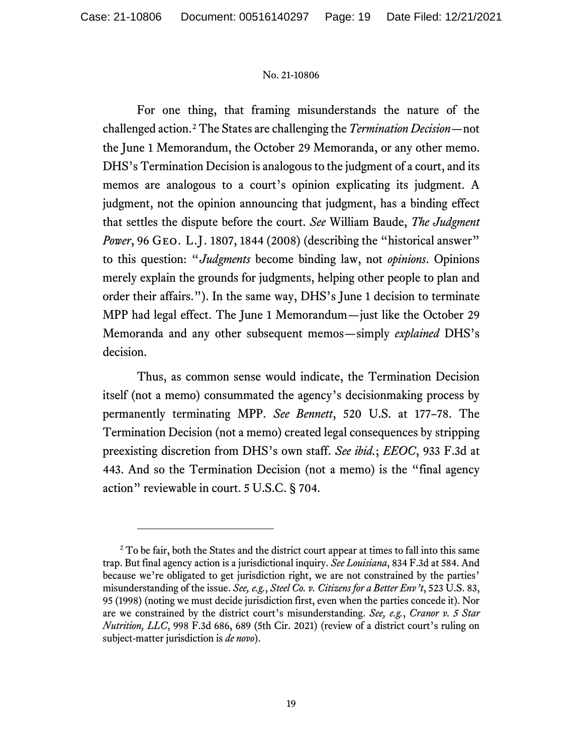For one thing, that framing misunderstands the nature of the challenged action.[2](#page-18-0) The States are challenging the *Termination Decision*—not the June 1 Memorandum, the October 29 Memoranda, or any other memo. DHS's Termination Decision is analogous to the judgment of a court, and its memos are analogous to a court's opinion explicating its judgment. A judgment, not the opinion announcing that judgment, has a binding effect that settles the dispute before the court. *See* William Baude, *The Judgment Power*, 96 GEO. L.J. 1807, 1844 (2008) (describing the "historical answer" to this question: "*Judgments* become binding law, not *opinions*. Opinions merely explain the grounds for judgments, helping other people to plan and order their affairs."). In the same way, DHS's June 1 decision to terminate MPP had legal effect. The June 1 Memorandum—just like the October 29 Memoranda and any other subsequent memos—simply *explained* DHS's decision.

Thus, as common sense would indicate, the Termination Decision itself (not a memo) consummated the agency's decisionmaking process by permanently terminating MPP. *See Bennett*, 520 U.S. at 177–78. The Termination Decision (not a memo) created legal consequences by stripping preexisting discretion from DHS's own staff. *See ibid.*; *EEOC*, 933 F.3d at 443. And so the Termination Decision (not a memo) is the "final agency action" reviewable in court. 5 U.S.C. § 704.

<span id="page-18-0"></span><sup>&</sup>lt;sup>2</sup> To be fair, both the States and the district court appear at times to fall into this same trap. But final agency action is a jurisdictional inquiry. *See Louisiana*, 834 F.3d at 584. And because we're obligated to get jurisdiction right, we are not constrained by the parties' misunderstanding of the issue. *See, e.g.*, *Steel Co. v. Citizens for a Better Env't*, 523 U.S. 83, 95 (1998) (noting we must decide jurisdiction first, even when the parties concede it). Nor are we constrained by the district court's misunderstanding. *See, e.g.*, *Cranor v. 5 Star Nutrition, LLC*, 998 F.3d 686, 689 (5th Cir. 2021) (review of a district court's ruling on subject-matter jurisdiction is *de novo*).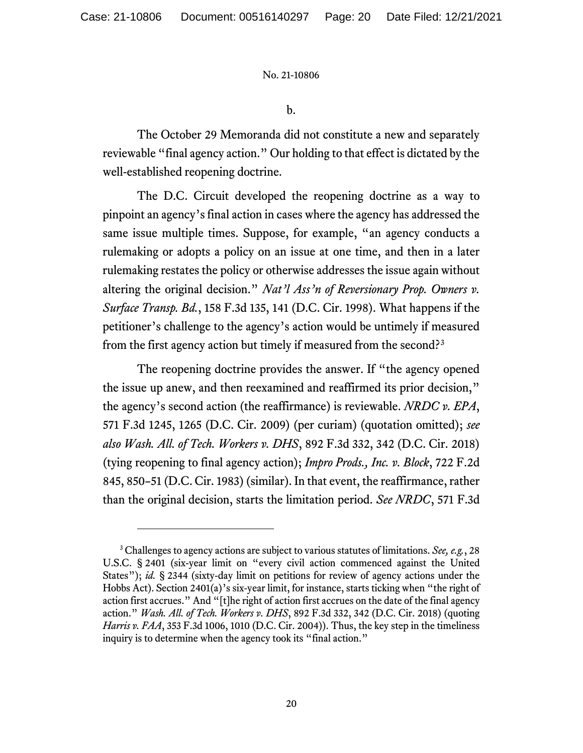b.

The October 29 Memoranda did not constitute a new and separately reviewable "final agency action." Our holding to that effect is dictated by the well-established reopening doctrine.

The D.C. Circuit developed the reopening doctrine as a way to pinpoint an agency's final action in cases where the agency has addressed the same issue multiple times. Suppose, for example, "an agency conducts a rulemaking or adopts a policy on an issue at one time, and then in a later rulemaking restates the policy or otherwise addresses the issue again without altering the original decision." *Nat'l Ass'n of Reversionary Prop. Owners v. Surface Transp. Bd.*, 158 F.3d 135, 141 (D.C. Cir. 1998). What happens if the petitioner's challenge to the agency's action would be untimely if measured from the first agency action but timely if measured from the second?[3](#page-19-0)

The reopening doctrine provides the answer. If "the agency opened the issue up anew, and then reexamined and reaffirmed its prior decision," the agency's second action (the reaffirmance) is reviewable. *NRDC v. EPA*, 571 F.3d 1245, 1265 (D.C. Cir. 2009) (per curiam) (quotation omitted); *see also Wash. All. of Tech. Workers v. DHS*, 892 F.3d 332, 342 (D.C. Cir. 2018) (tying reopening to final agency action); *Impro Prods., Inc. v. Block*, 722 F.2d 845, 850–51 (D.C. Cir. 1983) (similar). In that event, the reaffirmance, rather than the original decision, starts the limitation period. *See NRDC*, 571 F.3d

<span id="page-19-0"></span><sup>3</sup> Challenges to agency actions are subject to various statutes of limitations. *See, e.g.*, 28 U.S.C. § 2401 (six-year limit on "every civil action commenced against the United States"); *id.* § 2344 (sixty-day limit on petitions for review of agency actions under the Hobbs Act). Section 2401(a)'s six-year limit, for instance, starts ticking when "the right of action first accrues." And "[t]he right of action first accrues on the date of the final agency action." *Wash. All. of Tech. Workers v. DHS*, 892 F.3d 332, 342 (D.C. Cir. 2018) (quoting *Harris v. FAA*, 353 F.3d 1006, 1010 (D.C. Cir. 2004)). Thus, the key step in the timeliness inquiry is to determine when the agency took its "final action."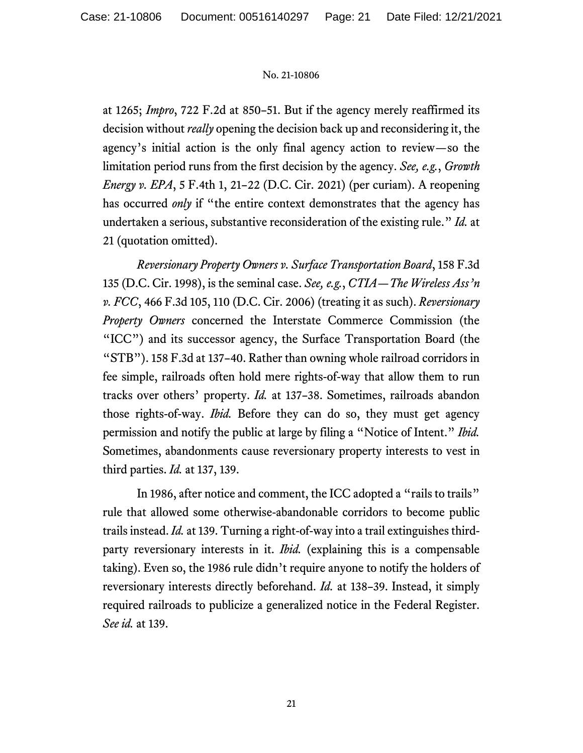at 1265; *Impro*, 722 F.2d at 850–51. But if the agency merely reaffirmed its decision without *really* opening the decision back up and reconsidering it, the agency's initial action is the only final agency action to review—so the limitation period runs from the first decision by the agency. *See, e.g.*, *Growth Energy v. EPA*, 5 F.4th 1, 21–22 (D.C. Cir. 2021) (per curiam). A reopening has occurred *only* if "the entire context demonstrates that the agency has undertaken a serious, substantive reconsideration of the existing rule." *Id.* at 21 (quotation omitted).

*Reversionary Property Owners v. Surface Transportation Board*, 158 F.3d 135 (D.C. Cir. 1998), is the seminal case. *See, e.g.*, *CTIA—The Wireless Ass'n v. FCC*, 466 F.3d 105, 110 (D.C. Cir. 2006) (treating it as such). *Reversionary Property Owners* concerned the Interstate Commerce Commission (the "ICC") and its successor agency, the Surface Transportation Board (the "STB"). 158 F.3d at 137–40. Rather than owning whole railroad corridors in fee simple, railroads often hold mere rights-of-way that allow them to run tracks over others' property. *Id.* at 137–38. Sometimes, railroads abandon those rights-of-way. *Ibid.* Before they can do so, they must get agency permission and notify the public at large by filing a "Notice of Intent." *Ibid.*  Sometimes, abandonments cause reversionary property interests to vest in third parties. *Id.* at 137, 139.

In 1986, after notice and comment, the ICC adopted a "rails to trails" rule that allowed some otherwise-abandonable corridors to become public trailsinstead. *Id.* at 139. Turning a right-of-way into a trail extinguishes thirdparty reversionary interests in it. *Ibid.* (explaining this is a compensable taking). Even so, the 1986 rule didn't require anyone to notify the holders of reversionary interests directly beforehand. *Id.* at 138–39. Instead, it simply required railroads to publicize a generalized notice in the Federal Register. *See id.* at 139.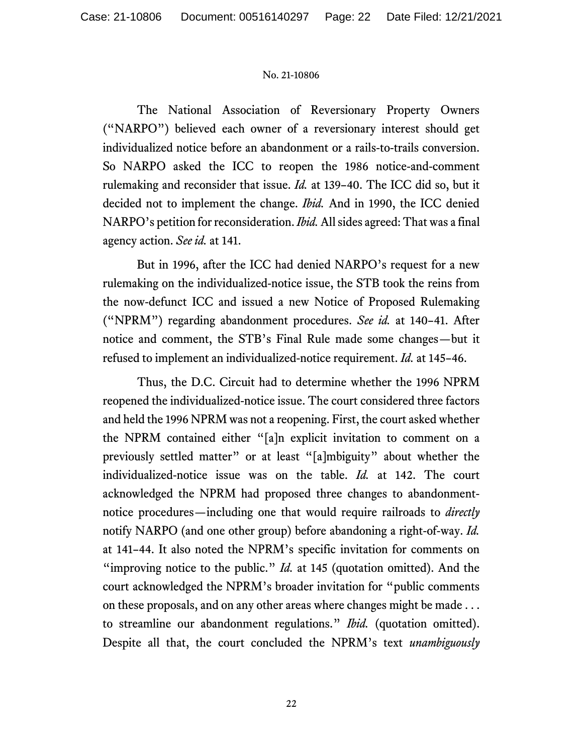The National Association of Reversionary Property Owners ("NARPO") believed each owner of a reversionary interest should get individualized notice before an abandonment or a rails-to-trails conversion. So NARPO asked the ICC to reopen the 1986 notice-and-comment rulemaking and reconsider that issue. *Id.* at 139–40. The ICC did so, but it decided not to implement the change. *Ibid.* And in 1990, the ICC denied NARPO's petition for reconsideration. *Ibid.*All sides agreed: That was a final agency action. *See id.* at 141.

But in 1996, after the ICC had denied NARPO's request for a new rulemaking on the individualized-notice issue, the STB took the reins from the now-defunct ICC and issued a new Notice of Proposed Rulemaking ("NPRM") regarding abandonment procedures. *See id.* at 140–41. After notice and comment, the STB's Final Rule made some changes—but it refused to implement an individualized-notice requirement. *Id.* at 145–46.

Thus, the D.C. Circuit had to determine whether the 1996 NPRM reopened the individualized-notice issue. The court considered three factors and held the 1996 NPRM was not a reopening. First, the court asked whether the NPRM contained either "[a]n explicit invitation to comment on a previously settled matter" or at least "[a]mbiguity" about whether the individualized-notice issue was on the table. *Id.* at 142. The court acknowledged the NPRM had proposed three changes to abandonmentnotice procedures—including one that would require railroads to *directly* notify NARPO (and one other group) before abandoning a right-of-way. *Id.* at 141–44. It also noted the NPRM's specific invitation for comments on "improving notice to the public." *Id.* at 145 (quotation omitted). And the court acknowledged the NPRM's broader invitation for "public comments on these proposals, and on any other areas where changes might be made . . . to streamline our abandonment regulations." *Ibid.* (quotation omitted). Despite all that, the court concluded the NPRM's text *unambiguously*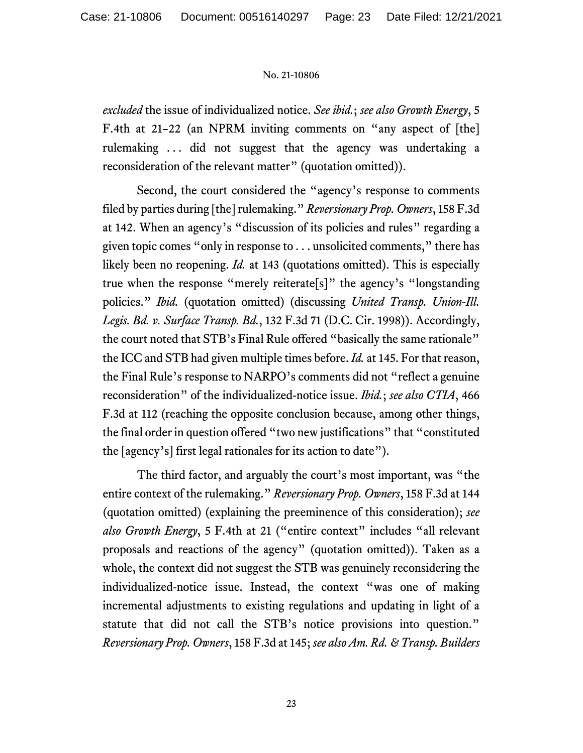*excluded* the issue of individualized notice. *See ibid.*; *see also Growth Energy*, 5 F.4th at 21–22 (an NPRM inviting comments on "any aspect of [the] rulemaking . . . did not suggest that the agency was undertaking a reconsideration of the relevant matter" (quotation omitted)).

Second, the court considered the "agency's response to comments filed by parties during [the] rulemaking." *Reversionary Prop. Owners*, 158 F.3d at 142. When an agency's "discussion of its policies and rules" regarding a given topic comes "only in response to . . . unsolicited comments," there has likely been no reopening. *Id.* at 143 (quotations omitted). This is especially true when the response "merely reiterate[s]" the agency's "longstanding policies." *Ibid.* (quotation omitted) (discussing *United Transp. Union-Ill. Legis. Bd. v. Surface Transp. Bd.*, 132 F.3d 71 (D.C. Cir. 1998)). Accordingly, the court noted that STB's Final Rule offered "basically the same rationale" the ICC and STB had given multiple times before. *Id.* at 145. For that reason, the Final Rule's response to NARPO's comments did not "reflect a genuine reconsideration" of the individualized-notice issue. *Ibid.*; *see also CTIA*, 466 F.3d at 112 (reaching the opposite conclusion because, among other things, the final order in question offered "two new justifications" that "constituted the [agency's] first legal rationales for its action to date").

The third factor, and arguably the court's most important, was "the entire context of the rulemaking." *Reversionary Prop. Owners*, 158 F.3d at 144 (quotation omitted) (explaining the preeminence of this consideration); *see also Growth Energy*, 5 F.4th at 21 ("entire context" includes "all relevant proposals and reactions of the agency" (quotation omitted)). Taken as a whole, the context did not suggest the STB was genuinely reconsidering the individualized-notice issue. Instead, the context "was one of making incremental adjustments to existing regulations and updating in light of a statute that did not call the STB's notice provisions into question." *Reversionary Prop. Owners*, 158 F.3d at 145; *see also Am. Rd. & Transp. Builders*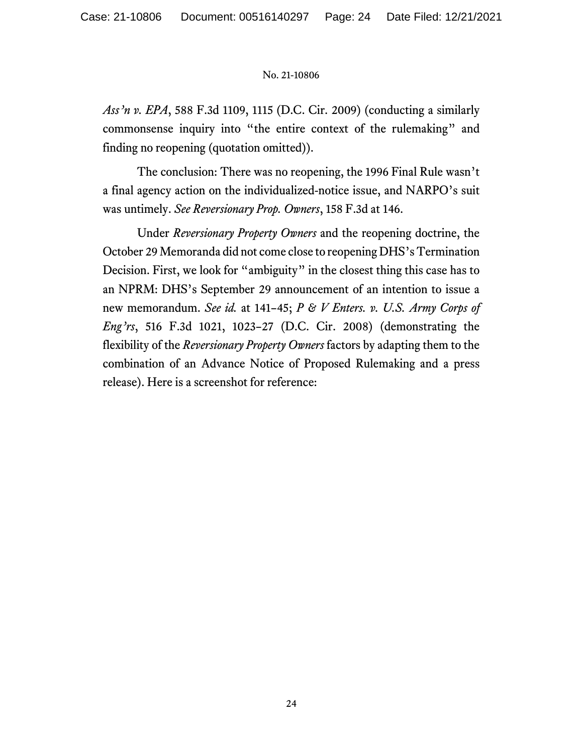*Ass'n v. EPA*, 588 F.3d 1109, 1115 (D.C. Cir. 2009) (conducting a similarly commonsense inquiry into "the entire context of the rulemaking" and finding no reopening (quotation omitted)).

The conclusion: There was no reopening, the 1996 Final Rule wasn't a final agency action on the individualized-notice issue, and NARPO's suit was untimely. *See Reversionary Prop. Owners*, 158 F.3d at 146.

Under *Reversionary Property Owners* and the reopening doctrine, the October 29 Memoranda did not come close to reopening DHS's Termination Decision. First, we look for "ambiguity" in the closest thing this case has to an NPRM: DHS's September 29 announcement of an intention to issue a new memorandum. *See id.* at 141–45; *P & V Enters. v. U.S. Army Corps of Eng'rs*, 516 F.3d 1021, 1023–27 (D.C. Cir. 2008) (demonstrating the flexibility of the *Reversionary Property Owners* factors by adapting them to the combination of an Advance Notice of Proposed Rulemaking and a press release). Here is a screenshot for reference: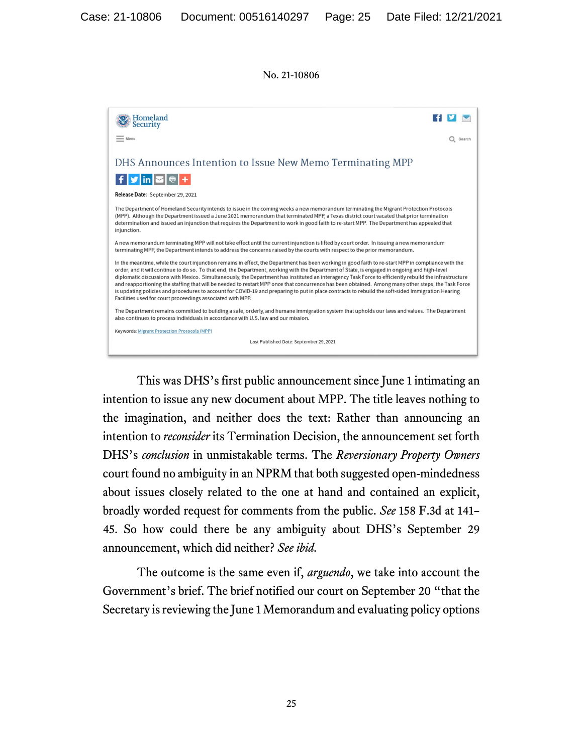| Homeland<br>Security                                                                                                                                                                                                                                                                                                                                                                                                                                                                                                                                                                                                                                                                                                                                                                                                                   |
|----------------------------------------------------------------------------------------------------------------------------------------------------------------------------------------------------------------------------------------------------------------------------------------------------------------------------------------------------------------------------------------------------------------------------------------------------------------------------------------------------------------------------------------------------------------------------------------------------------------------------------------------------------------------------------------------------------------------------------------------------------------------------------------------------------------------------------------|
| $=$ Menu<br>Search                                                                                                                                                                                                                                                                                                                                                                                                                                                                                                                                                                                                                                                                                                                                                                                                                     |
|                                                                                                                                                                                                                                                                                                                                                                                                                                                                                                                                                                                                                                                                                                                                                                                                                                        |
| DHS Announces Intention to Issue New Memo Terminating MPP                                                                                                                                                                                                                                                                                                                                                                                                                                                                                                                                                                                                                                                                                                                                                                              |
| $f \times \ln  \mathbf{Z} $                                                                                                                                                                                                                                                                                                                                                                                                                                                                                                                                                                                                                                                                                                                                                                                                            |
| Release Date: September 29, 2021                                                                                                                                                                                                                                                                                                                                                                                                                                                                                                                                                                                                                                                                                                                                                                                                       |
| The Department of Homeland Security intends to issue in the coming weeks a new memorandum terminating the Migrant Protection Protocols<br>(MPP). Although the Department issued a June 2021 memorandum that terminated MPP, a Texas district court vacated that prior termination<br>determination and issued an injunction that requires the Department to work in good faith to re-start MPP. The Department has appealed that<br>injunction.                                                                                                                                                                                                                                                                                                                                                                                        |
| A new memorandum terminating MPP will not take effect until the current injunction is lifted by court order. In issuing a new memorandum<br>terminating MPP, the Department intends to address the concerns raised by the courts with respect to the prior memorandum.                                                                                                                                                                                                                                                                                                                                                                                                                                                                                                                                                                 |
| In the meantime, while the court injunction remains in effect, the Department has been working in good faith to re-start MPP in compliance with the<br>order, and it will continue to do so. To that end, the Department, working with the Department of State, is engaged in ongoing and high-level<br>diplomatic discussions with Mexico. Simultaneously, the Department has instituted an interagency Task Force to efficiently rebuild the infrastructure<br>and reapportioning the staffing that will be needed to restart MPP once that concurrence has been obtained. Among many other steps, the Task Force<br>is updating policies and procedures to account for COVID-19 and preparing to put in place contracts to rebuild the soft-sided Immigration Hearing<br>Facilities used for court proceedings associated with MPP. |
| The Department remains committed to building a safe, orderly, and humane immigration system that upholds our laws and values. The Department<br>also continues to process individuals in accordance with U.S. law and our mission.                                                                                                                                                                                                                                                                                                                                                                                                                                                                                                                                                                                                     |
| <b>Keywords: Migrant Protection Protocols (MPP)</b>                                                                                                                                                                                                                                                                                                                                                                                                                                                                                                                                                                                                                                                                                                                                                                                    |
| Last Published Date: September 29, 2021                                                                                                                                                                                                                                                                                                                                                                                                                                                                                                                                                                                                                                                                                                                                                                                                |

This was DHS's first public announcement since June 1 intimating an intention to issue any new document about MPP. The title leaves nothing to the imagination, and neither does the text: Rather than announcing an intention to *reconsider* its Termination Decision, the announcement set forth DHS's *conclusion* in unmistakable terms. The *Reversionary Property Owners* court found no ambiguity in an NPRM that both suggested open-mindedness about issues closely related to the one at hand and contained an explicit, broadly worded request for comments from the public. *See* 158 F.3d at 141– 45. So how could there be any ambiguity about DHS's September 29 announcement, which did neither? *See ibid.*

The outcome is the same even if, *arguendo*, we take into account the Government's brief. The brief notified our court on September 20 "that the Secretary is reviewing the June 1 Memorandum and evaluating policy options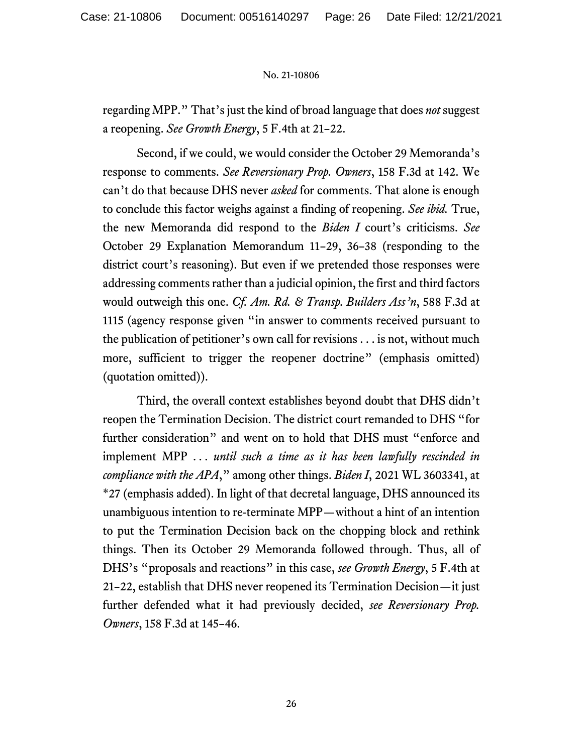regarding MPP." That's just the kind of broad language that does *not* suggest a reopening. *See Growth Energy*, 5 F.4th at 21–22.

Second, if we could, we would consider the October 29 Memoranda's response to comments. *See Reversionary Prop. Owners*, 158 F.3d at 142. We can't do that because DHS never *asked* for comments. That alone is enough to conclude this factor weighs against a finding of reopening. *See ibid.* True, the new Memoranda did respond to the *Biden I* court's criticisms. *See* October 29 Explanation Memorandum 11–29, 36–38 (responding to the district court's reasoning). But even if we pretended those responses were addressing comments rather than a judicial opinion, the first and third factors would outweigh this one. *Cf. Am. Rd. & Transp. Builders Ass'n*, 588 F.3d at 1115 (agency response given "in answer to comments received pursuant to the publication of petitioner's own call for revisions . . . is not, without much more, sufficient to trigger the reopener doctrine" (emphasis omitted) (quotation omitted)).

Third, the overall context establishes beyond doubt that DHS didn't reopen the Termination Decision. The district court remanded to DHS "for further consideration" and went on to hold that DHS must "enforce and implement MPP . . . *until such a time as it has been lawfully rescinded in compliance with the APA*," among other things. *Biden I*, 2021 WL 3603341, at \*27 (emphasis added). In light of that decretal language, DHS announced its unambiguous intention to re-terminate MPP—without a hint of an intention to put the Termination Decision back on the chopping block and rethink things. Then its October 29 Memoranda followed through. Thus, all of DHS's "proposals and reactions" in this case, *see Growth Energy*, 5 F.4th at 21–22, establish that DHS never reopened its Termination Decision—it just further defended what it had previously decided, *see Reversionary Prop. Owners*, 158 F.3d at 145–46.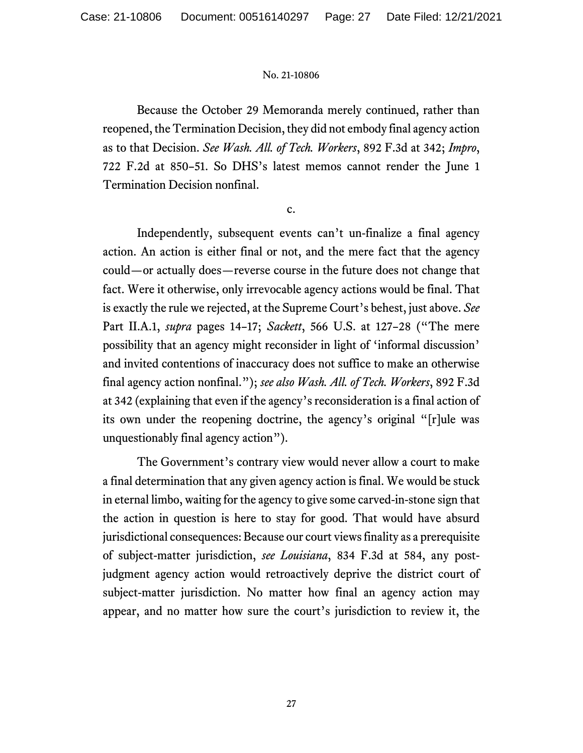Because the October 29 Memoranda merely continued, rather than reopened, the Termination Decision, they did not embody final agency action as to that Decision. *See Wash. All. of Tech. Workers*, 892 F.3d at 342; *Impro*, 722 F.2d at 850–51. So DHS's latest memos cannot render the June 1 Termination Decision nonfinal.

c.

Independently, subsequent events can't un-finalize a final agency action. An action is either final or not, and the mere fact that the agency could—or actually does—reverse course in the future does not change that fact. Were it otherwise, only irrevocable agency actions would be final. That is exactly the rule we rejected, at the Supreme Court's behest, just above. *See* Part II.A.1, *supra* pages 14–17; *Sackett*, 566 U.S. at 127–28 ("The mere possibility that an agency might reconsider in light of 'informal discussion' and invited contentions of inaccuracy does not suffice to make an otherwise final agency action nonfinal."); *see also Wash. All. of Tech. Workers*, 892 F.3d at 342 (explaining that even if the agency's reconsideration is a final action of its own under the reopening doctrine, the agency's original "[r]ule was unquestionably final agency action").

The Government's contrary view would never allow a court to make a final determination that any given agency action is final. We would be stuck in eternal limbo, waiting for the agency to give some carved-in-stone sign that the action in question is here to stay for good. That would have absurd jurisdictional consequences: Because our court views finality as a prerequisite of subject-matter jurisdiction, *see Louisiana*, 834 F.3d at 584, any postjudgment agency action would retroactively deprive the district court of subject-matter jurisdiction. No matter how final an agency action may appear, and no matter how sure the court's jurisdiction to review it, the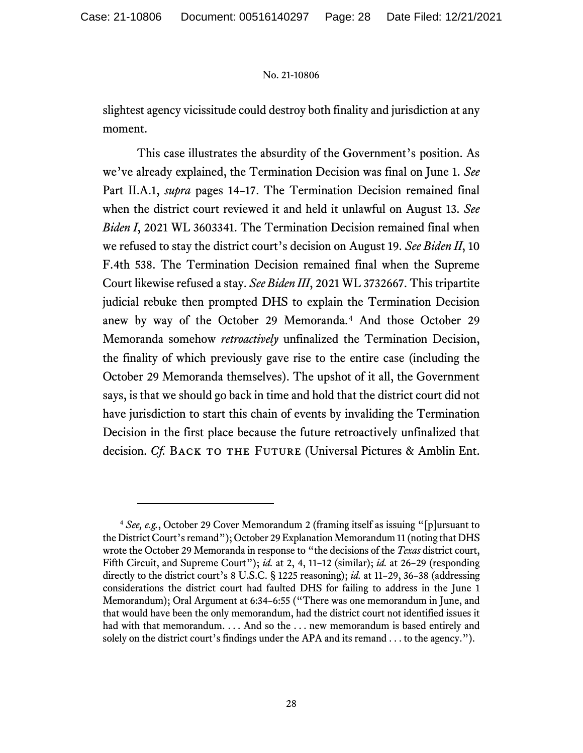slightest agency vicissitude could destroy both finality and jurisdiction at any moment.

This case illustrates the absurdity of the Government's position. As we've already explained, the Termination Decision was final on June 1. *See* Part II.A.1, *supra* pages 14–17. The Termination Decision remained final when the district court reviewed it and held it unlawful on August 13. *See Biden I*, 2021 WL 3603341. The Termination Decision remained final when we refused to stay the district court's decision on August 19. *See Biden II*, 10 F.4th 538. The Termination Decision remained final when the Supreme Court likewise refused a stay. *See Biden III*, 2021 WL 3732667. This tripartite judicial rebuke then prompted DHS to explain the Termination Decision anew by way of the October 29 Memoranda.<sup>[4](#page-27-0)</sup> And those October 29 Memoranda somehow *retroactively* unfinalized the Termination Decision, the finality of which previously gave rise to the entire case (including the October 29 Memoranda themselves). The upshot of it all, the Government says, is that we should go back in time and hold that the district court did not have jurisdiction to start this chain of events by invaliding the Termination Decision in the first place because the future retroactively unfinalized that decision. *Cf.* BACK TO THE FUTURE (Universal Pictures & Amblin Ent.

<span id="page-27-0"></span><sup>4</sup> *See, e.g.*, October 29 Cover Memorandum 2 (framing itself as issuing "[p]ursuant to the District Court's remand"); October 29 Explanation Memorandum 11 (noting that DHS wrote the October 29 Memoranda in response to "the decisions of the *Texas* district court, Fifth Circuit, and Supreme Court"); *id.* at 2, 4, 11–12 (similar); *id.* at 26–29 (responding directly to the district court's 8 U.S.C. § 1225 reasoning); *id.* at 11–29, 36–38 (addressing considerations the district court had faulted DHS for failing to address in the June 1 Memorandum); Oral Argument at 6:34–6:55 ("There was one memorandum in June, and that would have been the only memorandum, had the district court not identified issues it had with that memorandum. . . . And so the . . . new memorandum is based entirely and solely on the district court's findings under the APA and its remand . . . to the agency.").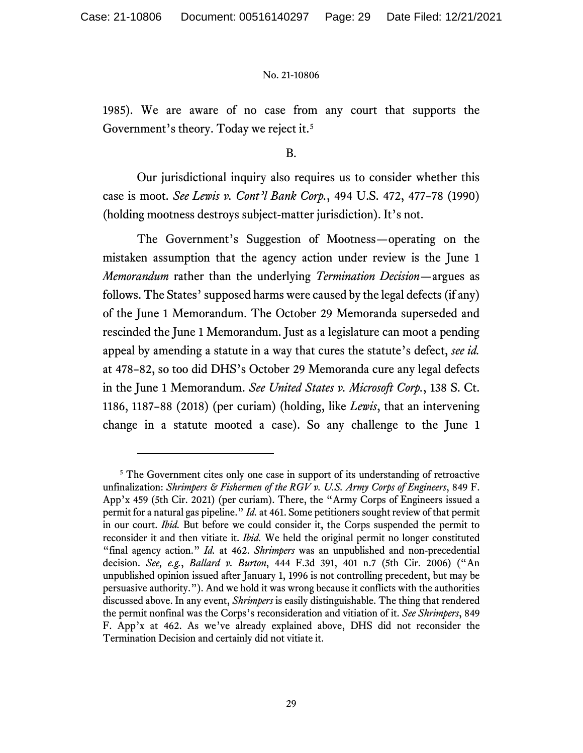1985). We are aware of no case from any court that supports the Government's theory. Today we reject it.[5](#page-28-0)

B.

Our jurisdictional inquiry also requires us to consider whether this case is moot. *See Lewis v. Cont'l Bank Corp.*, 494 U.S. 472, 477–78 (1990) (holding mootness destroys subject-matter jurisdiction). It's not.

The Government's Suggestion of Mootness—operating on the mistaken assumption that the agency action under review is the June 1 *Memorandum* rather than the underlying *Termination Decision*—argues as follows. The States' supposed harms were caused by the legal defects (if any) of the June 1 Memorandum. The October 29 Memoranda superseded and rescinded the June 1 Memorandum. Just as a legislature can moot a pending appeal by amending a statute in a way that cures the statute's defect, *see id.* at 478–82, so too did DHS's October 29 Memoranda cure any legal defects in the June 1 Memorandum. *See United States v. Microsoft Corp.*, 138 S. Ct. 1186, 1187–88 (2018) (per curiam) (holding, like *Lewis*, that an intervening change in a statute mooted a case). So any challenge to the June 1

<span id="page-28-0"></span><sup>&</sup>lt;sup>5</sup> The Government cites only one case in support of its understanding of retroactive unfinalization: *Shrimpers & Fishermen of the RGV v. U.S. Army Corps of Engineers*, 849 F. App'x 459 (5th Cir. 2021) (per curiam). There, the "Army Corps of Engineers issued a permit for a natural gas pipeline." *Id.* at 461. Some petitioners sought review of that permit in our court. *Ibid.* But before we could consider it, the Corps suspended the permit to reconsider it and then vitiate it. *Ibid.* We held the original permit no longer constituted "final agency action." *Id.* at 462. *Shrimpers* was an unpublished and non-precedential decision. *See, e.g.*, *Ballard v. Burton*, 444 F.3d 391, 401 n.7 (5th Cir. 2006) ("An unpublished opinion issued after January 1, 1996 is not controlling precedent, but may be persuasive authority."). And we hold it was wrong because it conflicts with the authorities discussed above. In any event, *Shrimpers* is easily distinguishable. The thing that rendered the permit nonfinal was the Corps's reconsideration and vitiation of it. *See Shrimpers*, 849 F. App'x at 462. As we've already explained above, DHS did not reconsider the Termination Decision and certainly did not vitiate it.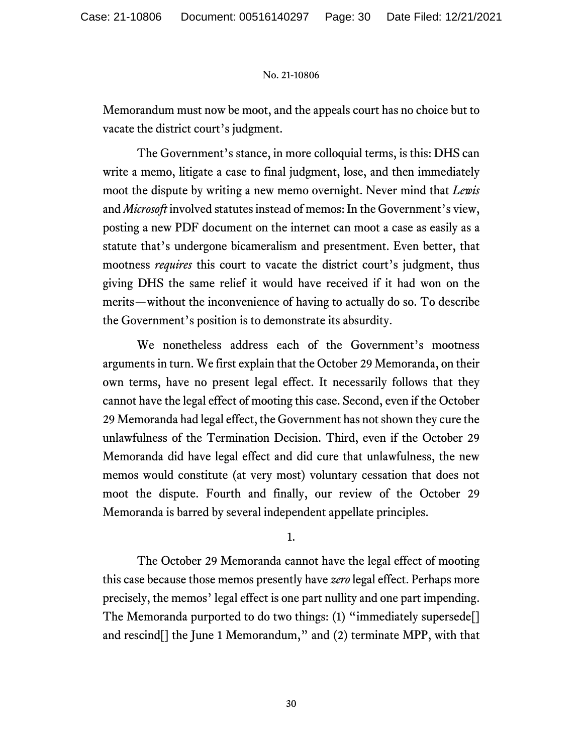Memorandum must now be moot, and the appeals court has no choice but to vacate the district court's judgment.

The Government's stance, in more colloquial terms, is this: DHS can write a memo, litigate a case to final judgment, lose, and then immediately moot the dispute by writing a new memo overnight. Never mind that *Lewis* and *Microsoft* involved statutes instead of memos: In the Government's view, posting a new PDF document on the internet can moot a case as easily as a statute that's undergone bicameralism and presentment. Even better, that mootness *requires* this court to vacate the district court's judgment, thus giving DHS the same relief it would have received if it had won on the merits—without the inconvenience of having to actually do so. To describe the Government's position is to demonstrate its absurdity.

We nonetheless address each of the Government's mootness arguments in turn. We first explain that the October 29 Memoranda, on their own terms, have no present legal effect. It necessarily follows that they cannot have the legal effect of mooting this case. Second, even if the October 29 Memoranda had legal effect, the Government has not shown they cure the unlawfulness of the Termination Decision. Third, even if the October 29 Memoranda did have legal effect and did cure that unlawfulness, the new memos would constitute (at very most) voluntary cessation that does not moot the dispute. Fourth and finally, our review of the October 29 Memoranda is barred by several independent appellate principles.

1.

The October 29 Memoranda cannot have the legal effect of mooting this case because those memos presently have *zero* legal effect. Perhaps more precisely, the memos' legal effect is one part nullity and one part impending. The Memoranda purported to do two things: (1) "immediately supersede[] and rescind[] the June 1 Memorandum," and (2) terminate MPP, with that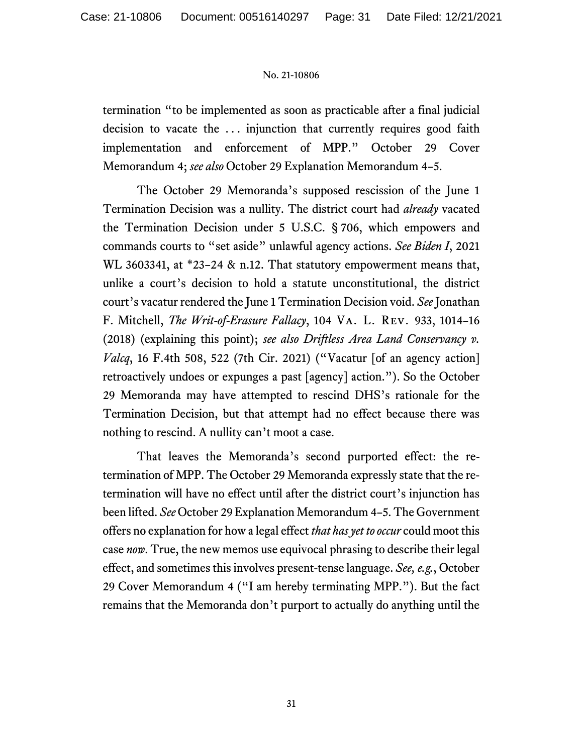termination "to be implemented as soon as practicable after a final judicial decision to vacate the . . . injunction that currently requires good faith implementation and enforcement of MPP." October 29 Cover Memorandum 4; *see also* October 29 Explanation Memorandum 4–5.

The October 29 Memoranda's supposed rescission of the June 1 Termination Decision was a nullity. The district court had *already* vacated the Termination Decision under 5 U.S.C. § 706, which empowers and commands courts to "set aside" unlawful agency actions. *See Biden I*, 2021 WL 3603341, at \*23–24 & n.12. That statutory empowerment means that, unlike a court's decision to hold a statute unconstitutional, the district court's vacatur rendered the June 1 Termination Decision void. *See* Jonathan F. Mitchell, *The Writ-of-Erasure Fallacy*, 104 Va. L. Rev. 933, 1014–16 (2018) (explaining this point); *see also Driftless Area Land Conservancy v. Valcq*, 16 F.4th 508, 522 (7th Cir. 2021) ("Vacatur [of an agency action] retroactively undoes or expunges a past [agency] action."). So the October 29 Memoranda may have attempted to rescind DHS's rationale for the Termination Decision, but that attempt had no effect because there was nothing to rescind. A nullity can't moot a case.

That leaves the Memoranda's second purported effect: the retermination of MPP. The October 29 Memoranda expressly state that the retermination will have no effect until after the district court's injunction has been lifted. *See* October 29 Explanation Memorandum 4–5. The Government offers no explanation for how a legal effect *that has yet to occur* could moot this case *now*. True, the new memos use equivocal phrasing to describe their legal effect, and sometimes this involves present-tense language. *See, e.g.*, October 29 Cover Memorandum 4 ("I am hereby terminating MPP."). But the fact remains that the Memoranda don't purport to actually do anything until the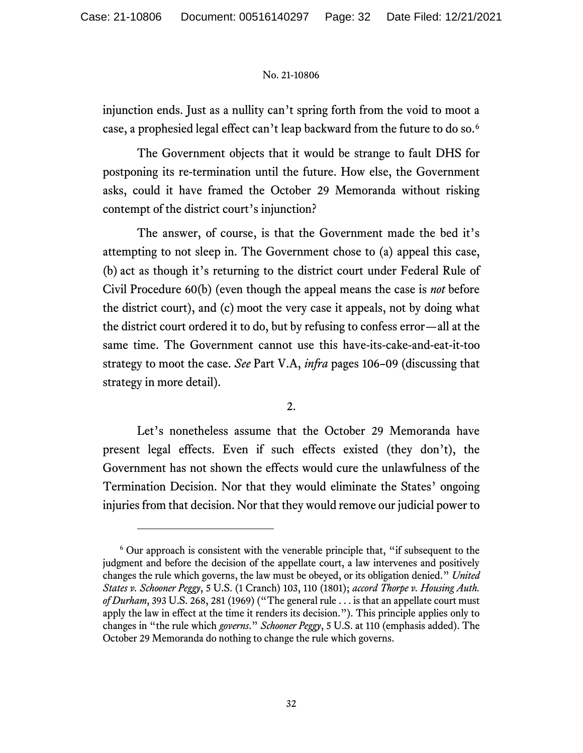injunction ends. Just as a nullity can't spring forth from the void to moot a case, a prophesied legal effect can't leap backward from the future to do so.[6](#page-31-0)

The Government objects that it would be strange to fault DHS for postponing its re-termination until the future. How else, the Government asks, could it have framed the October 29 Memoranda without risking contempt of the district court's injunction?

The answer, of course, is that the Government made the bed it's attempting to not sleep in. The Government chose to (a) appeal this case, (b) act as though it's returning to the district court under Federal Rule of Civil Procedure 60(b) (even though the appeal means the case is *not* before the district court), and (c) moot the very case it appeals, not by doing what the district court ordered it to do, but by refusing to confess error—all at the same time. The Government cannot use this have-its-cake-and-eat-it-too strategy to moot the case. *See* Part V.A, *infra* pages 106–09 (discussing that strategy in more detail).

2.

Let's nonetheless assume that the October 29 Memoranda have present legal effects. Even if such effects existed (they don't), the Government has not shown the effects would cure the unlawfulness of the Termination Decision. Nor that they would eliminate the States' ongoing injuries from that decision. Nor that they would remove our judicial power to

<span id="page-31-0"></span><sup>6</sup> Our approach is consistent with the venerable principle that, "if subsequent to the judgment and before the decision of the appellate court, a law intervenes and positively changes the rule which governs, the law must be obeyed, or its obligation denied." *United States v. Schooner Peggy*, 5 U.S. (1 Cranch) 103, 110 (1801); *accord Thorpe v. Housing Auth. of Durham*, 393 U.S. 268, 281 (1969) ("The general rule . . . is that an appellate court must apply the law in effect at the time it renders its decision."). This principle applies only to changes in "the rule which *governs*." *Schooner Peggy*, 5 U.S. at 110 (emphasis added). The October 29 Memoranda do nothing to change the rule which governs.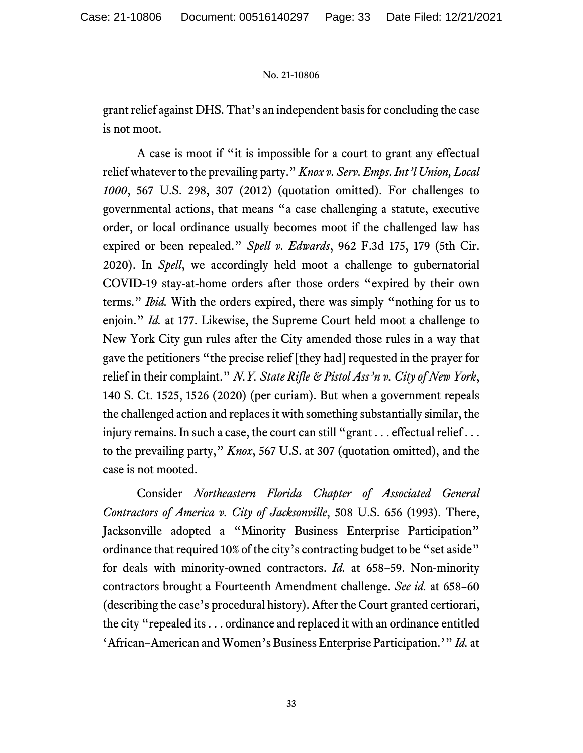grant relief against DHS. That's an independent basis for concluding the case is not moot.

A case is moot if "it is impossible for a court to grant any effectual relief whatever to the prevailing party." *Knox v. Serv. Emps. Int'l Union, Local 1000*, 567 U.S. 298, 307 (2012) (quotation omitted). For challenges to governmental actions, that means "a case challenging a statute, executive order, or local ordinance usually becomes moot if the challenged law has expired or been repealed." *Spell v. Edwards*, 962 F.3d 175, 179 (5th Cir. 2020). In *Spell*, we accordingly held moot a challenge to gubernatorial COVID-19 stay-at-home orders after those orders "expired by their own terms." *Ibid.* With the orders expired, there was simply "nothing for us to enjoin." *Id.* at 177. Likewise, the Supreme Court held moot a challenge to New York City gun rules after the City amended those rules in a way that gave the petitioners "the precise relief [they had] requested in the prayer for relief in their complaint." *N.Y. State Rifle & Pistol Ass'n v. City of New York*, 140 S. Ct. 1525, 1526 (2020) (per curiam). But when a government repeals the challenged action and replaces it with something substantially similar, the injury remains. In such a case, the court can still "grant . . . effectual relief . . . to the prevailing party," *Knox*, 567 U.S. at 307 (quotation omitted), and the case is not mooted.

Consider *Northeastern Florida Chapter of Associated General Contractors of America v. City of Jacksonville*, 508 U.S. 656 (1993). There, Jacksonville adopted a "Minority Business Enterprise Participation" ordinance that required 10% of the city's contracting budget to be "set aside" for deals with minority-owned contractors. *Id.* at 658–59. Non-minority contractors brought a Fourteenth Amendment challenge. *See id.* at 658–60 (describing the case's procedural history). After the Court granted certiorari, the city "repealed its . . . ordinance and replaced it with an ordinance entitled 'African–American and Women's Business Enterprise Participation.'" *Id.* at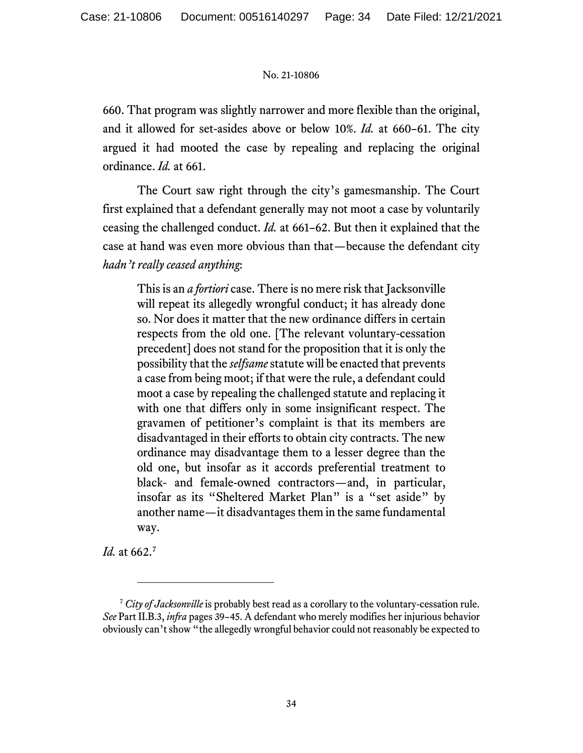660. That program was slightly narrower and more flexible than the original, and it allowed for set-asides above or below 10%. *Id.* at 660–61. The city argued it had mooted the case by repealing and replacing the original ordinance. *Id.* at 661.

The Court saw right through the city's gamesmanship. The Court first explained that a defendant generally may not moot a case by voluntarily ceasing the challenged conduct. *Id.* at 661–62. But then it explained that the case at hand was even more obvious than that—because the defendant city *hadn't really ceased anything*:

This is an *a fortiori* case. There is no mere risk that Jacksonville will repeat its allegedly wrongful conduct; it has already done so. Nor does it matter that the new ordinance differs in certain respects from the old one. [The relevant voluntary-cessation precedent] does not stand for the proposition that it is only the possibility that the *selfsame*statute will be enacted that prevents a case from being moot; if that were the rule, a defendant could moot a case by repealing the challenged statute and replacing it with one that differs only in some insignificant respect. The gravamen of petitioner's complaint is that its members are disadvantaged in their efforts to obtain city contracts. The new ordinance may disadvantage them to a lesser degree than the old one, but insofar as it accords preferential treatment to black- and female-owned contractors—and, in particular, insofar as its "Sheltered Market Plan" is a "set aside" by another name—it disadvantages them in the same fundamental way.

*Id.* at 662.[7](#page-33-0)

<span id="page-33-0"></span><sup>7</sup> *City of Jacksonville* is probably best read as a corollary to the voluntary-cessation rule. *See* Part II.B.3, *infra* pages 39–45. A defendant who merely modifies her injurious behavior obviously can't show "the allegedly wrongful behavior could not reasonably be expected to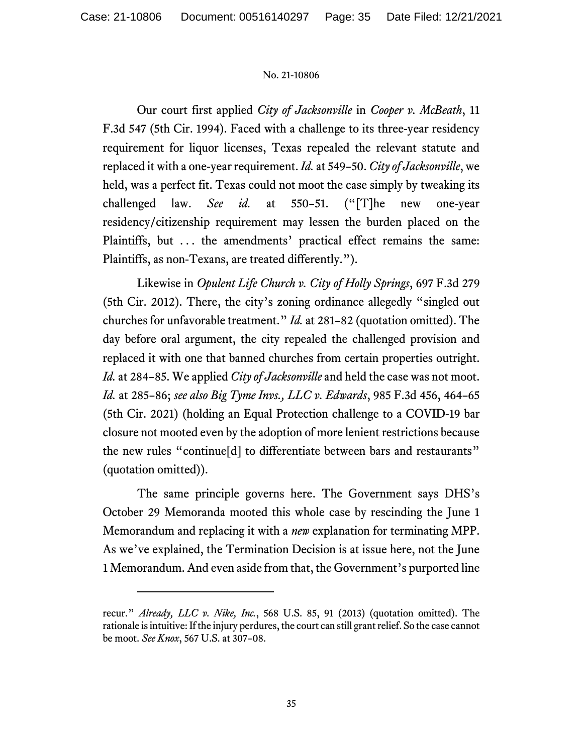Our court first applied *City of Jacksonville* in *Cooper v. McBeath*, 11 F.3d 547 (5th Cir. 1994). Faced with a challenge to its three-year residency requirement for liquor licenses, Texas repealed the relevant statute and replaced it with a one-year requirement. *Id.* at 549–50. *City of Jacksonville*, we held, was a perfect fit. Texas could not moot the case simply by tweaking its challenged law. *See id.* at 550–51. ("[T]he new one-year residency/citizenship requirement may lessen the burden placed on the Plaintiffs, but ... the amendments' practical effect remains the same: Plaintiffs, as non-Texans, are treated differently.").

Likewise in *Opulent Life Church v. City of Holly Springs*, 697 F.3d 279 (5th Cir. 2012). There, the city's zoning ordinance allegedly "singled out churches for unfavorable treatment." *Id.* at 281–82 (quotation omitted). The day before oral argument, the city repealed the challenged provision and replaced it with one that banned churches from certain properties outright. *Id.* at 284–85. We applied *City of Jacksonville* and held the case was not moot. *Id.* at 285–86; *see also Big Tyme Invs., LLC v. Edwards*, 985 F.3d 456, 464–65 (5th Cir. 2021) (holding an Equal Protection challenge to a COVID-19 bar closure not mooted even by the adoption of more lenient restrictions because the new rules "continue[d] to differentiate between bars and restaurants" (quotation omitted)).

The same principle governs here. The Government says DHS's October 29 Memoranda mooted this whole case by rescinding the June 1 Memorandum and replacing it with a *new* explanation for terminating MPP. As we've explained, the Termination Decision is at issue here, not the June 1 Memorandum. And even aside from that, the Government's purported line

recur." *Already, LLC v. Nike, Inc.*, 568 U.S. 85, 91 (2013) (quotation omitted). The rationale is intuitive: If the injury perdures, the court can still grant relief. So the case cannot be moot. *See Knox*, 567 U.S. at 307–08.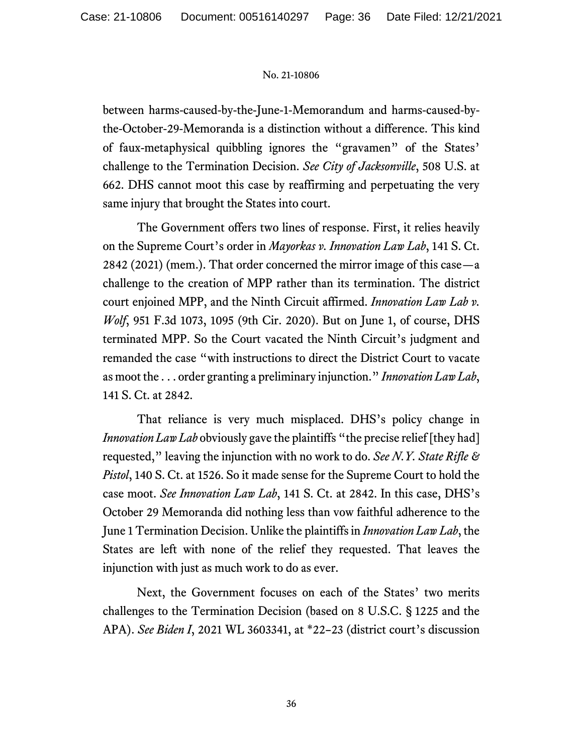between harms-caused-by-the-June-1-Memorandum and harms-caused-bythe-October-29-Memoranda is a distinction without a difference. This kind of faux-metaphysical quibbling ignores the "gravamen" of the States' challenge to the Termination Decision. *See City of Jacksonville*, 508 U.S. at 662. DHS cannot moot this case by reaffirming and perpetuating the very same injury that brought the States into court.

The Government offers two lines of response. First, it relies heavily on the Supreme Court's order in *Mayorkas v. Innovation Law Lab*, 141 S. Ct. 2842 (2021) (mem.). That order concerned the mirror image of this case—a challenge to the creation of MPP rather than its termination. The district court enjoined MPP, and the Ninth Circuit affirmed. *Innovation Law Lab v. Wolf*, 951 F.3d 1073, 1095 (9th Cir. 2020). But on June 1, of course, DHS terminated MPP. So the Court vacated the Ninth Circuit's judgment and remanded the case "with instructions to direct the District Court to vacate as moot the . . . order granting a preliminary injunction." *Innovation Law Lab*, 141 S. Ct. at 2842.

That reliance is very much misplaced. DHS's policy change in *Innovation Law Lab* obviously gave the plaintiffs "the precise relief [they had] requested," leaving the injunction with no work to do. *See N.Y. State Rifle & Pistol*, 140 S. Ct. at 1526. So it made sense for the Supreme Court to hold the case moot. *See Innovation Law Lab*, 141 S. Ct. at 2842. In this case, DHS's October 29 Memoranda did nothing less than vow faithful adherence to the June 1 Termination Decision. Unlike the plaintiffs in *Innovation Law Lab*, the States are left with none of the relief they requested. That leaves the injunction with just as much work to do as ever.

Next, the Government focuses on each of the States' two merits challenges to the Termination Decision (based on 8 U.S.C. § 1225 and the APA). *See Biden I*, 2021 WL 3603341, at \*22–23 (district court's discussion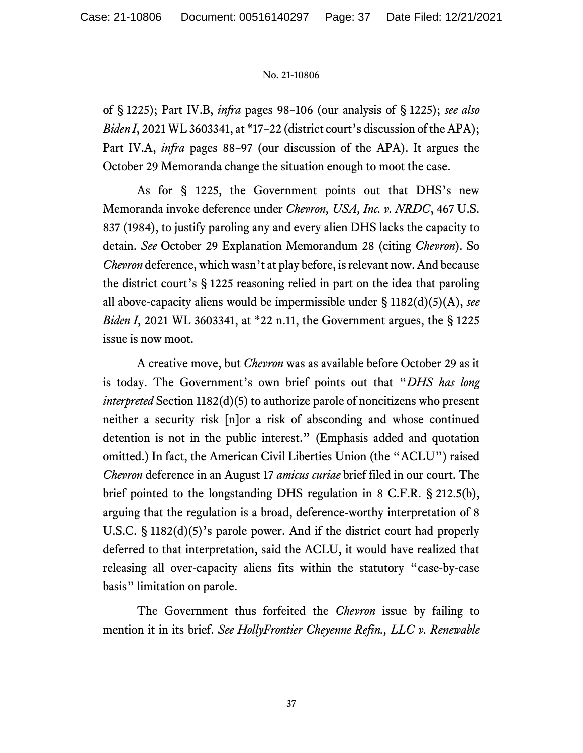of § 1225); Part IV.B, *infra* pages 98–106 (our analysis of § 1225); *see also Biden I*, 2021 WL 3603341, at \*17-22 (district court's discussion of the APA); Part IV.A, *infra* pages 88–97 (our discussion of the APA). It argues the October 29 Memoranda change the situation enough to moot the case.

As for § 1225, the Government points out that DHS's new Memoranda invoke deference under *Chevron, USA, Inc. v. NRDC*, 467 U.S. 837 (1984), to justify paroling any and every alien DHS lacks the capacity to detain. *See* October 29 Explanation Memorandum 28 (citing *Chevron*). So *Chevron* deference, which wasn't at play before, is relevant now. And because the district court's § 1225 reasoning relied in part on the idea that paroling all above-capacity aliens would be impermissible under § 1182(d)(5)(A), *see Biden I*, 2021 WL 3603341, at \*22 n.11, the Government argues, the § 1225 issue is now moot.

A creative move, but *Chevron* was as available before October 29 as it is today. The Government's own brief points out that "*DHS has long interpreted* Section 1182(d)(5) to authorize parole of noncitizens who present neither a security risk [n]or a risk of absconding and whose continued detention is not in the public interest." (Emphasis added and quotation omitted.) In fact, the American Civil Liberties Union (the "ACLU") raised *Chevron* deference in an August 17 *amicus curiae* brief filed in our court. The brief pointed to the longstanding DHS regulation in 8 C.F.R. § 212.5(b), arguing that the regulation is a broad, deference-worthy interpretation of 8 U.S.C. § 1182(d)(5)'s parole power. And if the district court had properly deferred to that interpretation, said the ACLU, it would have realized that releasing all over-capacity aliens fits within the statutory "case-by-case basis" limitation on parole.

The Government thus forfeited the *Chevron* issue by failing to mention it in its brief. *See HollyFrontier Cheyenne Refin., LLC v. Renewable*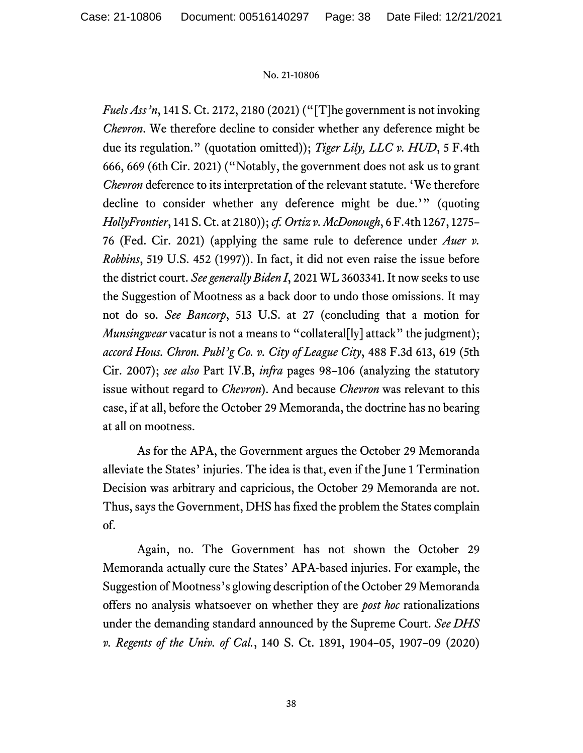*Fuels Ass'n*, 141 S. Ct. 2172, 2180 (2021) ("[T]he government is not invoking *Chevron*. We therefore decline to consider whether any deference might be due its regulation." (quotation omitted)); *Tiger Lily, LLC v. HUD*, 5 F.4th 666, 669 (6th Cir. 2021) ("Notably, the government does not ask us to grant *Chevron* deference to its interpretation of the relevant statute. 'We therefore decline to consider whether any deference might be due.'" (quoting *HollyFrontier*, 141 S. Ct. at 2180)); *cf. Ortiz v. McDonough*, 6 F.4th 1267, 1275– 76 (Fed. Cir. 2021) (applying the same rule to deference under *Auer v. Robbins*, 519 U.S. 452 (1997)). In fact, it did not even raise the issue before the district court. *See generally Biden I*, 2021 WL 3603341. It now seeks to use the Suggestion of Mootness as a back door to undo those omissions. It may not do so. *See Bancorp*, 513 U.S. at 27 (concluding that a motion for *Munsingwear* vacatur is not a means to "collateral<sup>[1</sup>] attack" the judgment); *accord Hous. Chron. Publ'g Co. v. City of League City*, 488 F.3d 613, 619 (5th Cir. 2007); *see also* Part IV.B, *infra* pages 98–106 (analyzing the statutory issue without regard to *Chevron*). And because *Chevron* was relevant to this case, if at all, before the October 29 Memoranda, the doctrine has no bearing at all on mootness.

As for the APA, the Government argues the October 29 Memoranda alleviate the States' injuries. The idea is that, even if the June 1 Termination Decision was arbitrary and capricious, the October 29 Memoranda are not. Thus, says the Government, DHS has fixed the problem the States complain of.

Again, no. The Government has not shown the October 29 Memoranda actually cure the States' APA-based injuries. For example, the Suggestion of Mootness's glowing description of the October 29 Memoranda offers no analysis whatsoever on whether they are *post hoc* rationalizations under the demanding standard announced by the Supreme Court. *See DHS v. Regents of the Univ. of Cal.*, 140 S. Ct. 1891, 1904–05, 1907–09 (2020)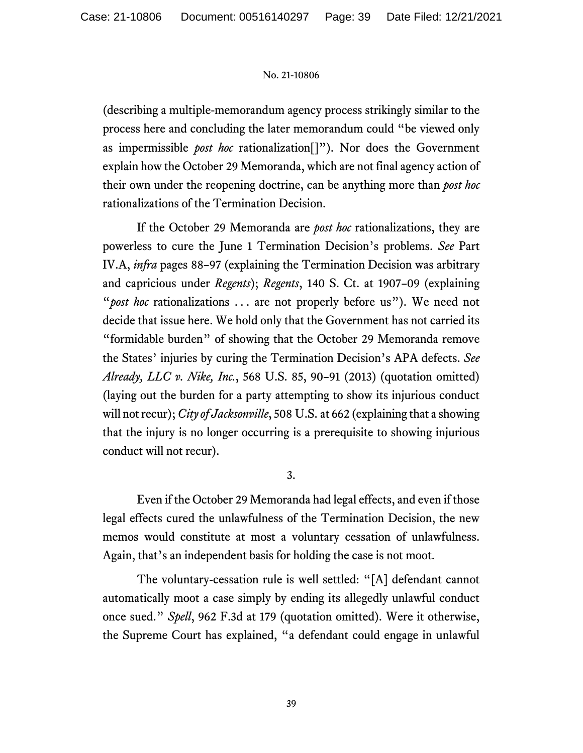(describing a multiple-memorandum agency process strikingly similar to the process here and concluding the later memorandum could "be viewed only as impermissible *post hoc* rationalization[]"). Nor does the Government explain how the October 29 Memoranda, which are not final agency action of their own under the reopening doctrine, can be anything more than *post hoc* rationalizations of the Termination Decision.

If the October 29 Memoranda are *post hoc* rationalizations, they are powerless to cure the June 1 Termination Decision's problems. *See* Part IV.A, *infra* pages 88–97 (explaining the Termination Decision was arbitrary and capricious under *Regents*); *Regents*, 140 S. Ct. at 1907–09 (explaining "*post hoc* rationalizations ... are not properly before us"). We need not decide that issue here. We hold only that the Government has not carried its "formidable burden" of showing that the October 29 Memoranda remove the States' injuries by curing the Termination Decision's APA defects. *See Already, LLC v. Nike, Inc.*, 568 U.S. 85, 90–91 (2013) (quotation omitted) (laying out the burden for a party attempting to show its injurious conduct will not recur); *City of Jacksonville*, 508 U.S. at 662 (explaining that a showing that the injury is no longer occurring is a prerequisite to showing injurious conduct will not recur).

3.

Even if the October 29 Memoranda had legal effects, and even if those legal effects cured the unlawfulness of the Termination Decision, the new memos would constitute at most a voluntary cessation of unlawfulness. Again, that's an independent basis for holding the case is not moot.

The voluntary-cessation rule is well settled: "[A] defendant cannot automatically moot a case simply by ending its allegedly unlawful conduct once sued." *Spell*, 962 F.3d at 179 (quotation omitted). Were it otherwise, the Supreme Court has explained, "a defendant could engage in unlawful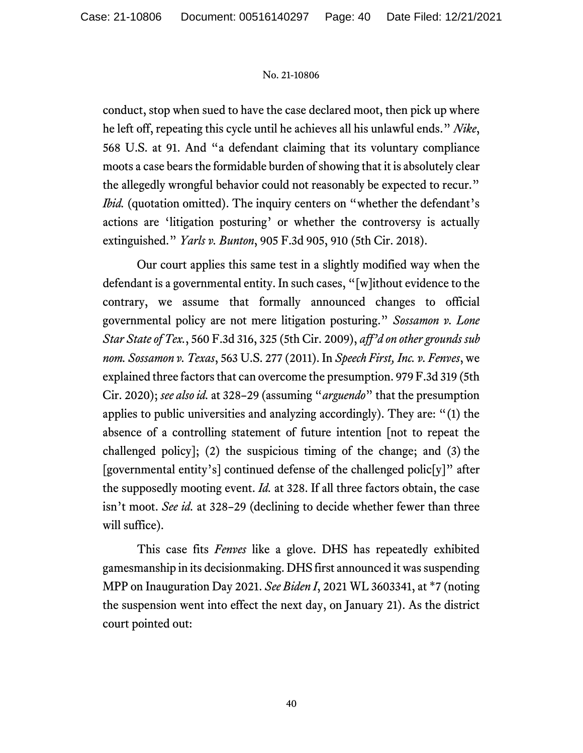conduct, stop when sued to have the case declared moot, then pick up where he left off, repeating this cycle until he achieves all his unlawful ends." *Nike*, 568 U.S. at 91. And "a defendant claiming that its voluntary compliance moots a case bears the formidable burden of showing that it is absolutely clear the allegedly wrongful behavior could not reasonably be expected to recur." *Ibid.* (quotation omitted). The inquiry centers on "whether the defendant's actions are 'litigation posturing' or whether the controversy is actually extinguished." *Yarls v. Bunton*, 905 F.3d 905, 910 (5th Cir. 2018).

Our court applies this same test in a slightly modified way when the defendant is a governmental entity. In such cases, "[w]ithout evidence to the contrary, we assume that formally announced changes to official governmental policy are not mere litigation posturing." *Sossamon v. Lone Star State of Tex.*, 560 F.3d 316, 325 (5th Cir. 2009), *aff'd on other grounds sub nom. Sossamon v. Texas*, 563 U.S. 277 (2011). In *Speech First, Inc. v. Fenves*, we explained three factors that can overcome the presumption. 979 F.3d 319 (5th Cir. 2020); *see alsoid.* at 328–29 (assuming "*arguendo*" that the presumption applies to public universities and analyzing accordingly). They are: "(1) the absence of a controlling statement of future intention [not to repeat the challenged policy]; (2) the suspicious timing of the change; and (3) the [governmental entity's] continued defense of the challenged polic[y]" after the supposedly mooting event. *Id.* at 328. If all three factors obtain, the case isn't moot. *See id.* at 328–29 (declining to decide whether fewer than three will suffice).

This case fits *Fenves* like a glove. DHS has repeatedly exhibited gamesmanship in its decisionmaking. DHS first announced it was suspending MPP on Inauguration Day 2021. *See Biden I*, 2021 WL 3603341, at \*7 (noting the suspension went into effect the next day, on January 21). As the district court pointed out: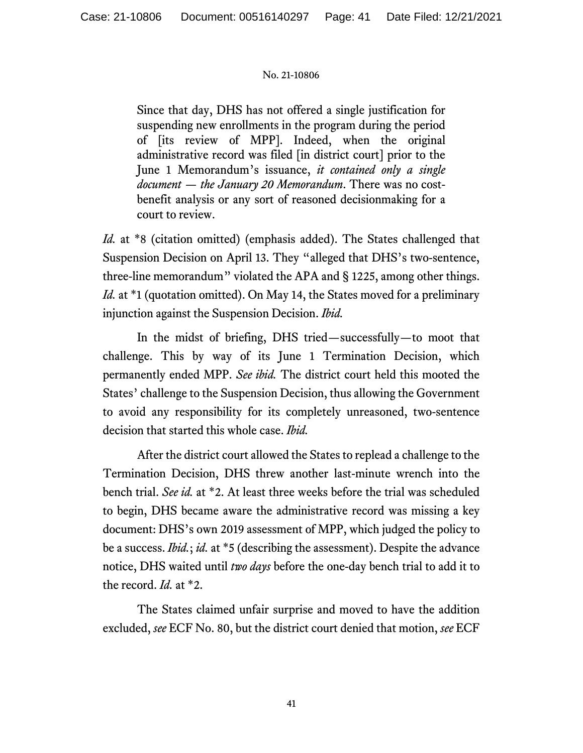Since that day, DHS has not offered a single justification for suspending new enrollments in the program during the period of [its review of MPP]. Indeed, when the original administrative record was filed [in district court] prior to the June 1 Memorandum's issuance, *it contained only a single document — the January 20 Memorandum*. There was no costbenefit analysis or any sort of reasoned decisionmaking for a court to review.

*Id.* at \*8 (citation omitted) (emphasis added). The States challenged that Suspension Decision on April 13. They "alleged that DHS's two-sentence, three-line memorandum" violated the APA and § 1225, among other things. *Id.* at \*1 (quotation omitted). On May 14, the States moved for a preliminary injunction against the Suspension Decision. *Ibid.*

In the midst of briefing, DHS tried—successfully—to moot that challenge. This by way of its June 1 Termination Decision, which permanently ended MPP. *See ibid.* The district court held this mooted the States' challenge to the Suspension Decision, thus allowing the Government to avoid any responsibility for its completely unreasoned, two-sentence decision that started this whole case. *Ibid.*

After the district court allowed the States to replead a challenge to the Termination Decision, DHS threw another last-minute wrench into the bench trial. *See id.* at \*2. At least three weeks before the trial was scheduled to begin, DHS became aware the administrative record was missing a key document: DHS's own 2019 assessment of MPP, which judged the policy to be a success. *Ibid.*; *id.* at \*5 (describing the assessment). Despite the advance notice, DHS waited until *two days* before the one-day bench trial to add it to the record. *Id.* at \*2.

The States claimed unfair surprise and moved to have the addition excluded, *see* ECF No. 80, but the district court denied that motion, *see* ECF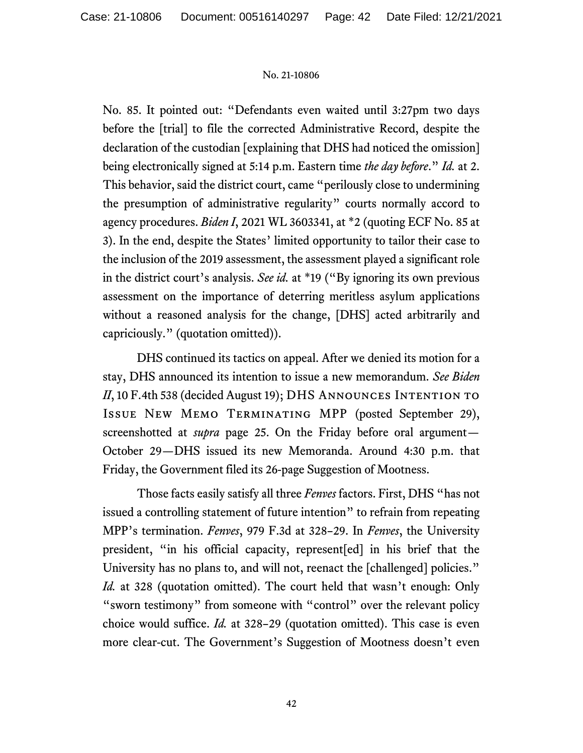No. 85. It pointed out: "Defendants even waited until 3:27pm two days before the [trial] to file the corrected Administrative Record, despite the declaration of the custodian [explaining that DHS had noticed the omission] being electronically signed at 5:14 p.m. Eastern time *the day before*." *Id.* at 2. This behavior, said the district court, came "perilously close to undermining the presumption of administrative regularity" courts normally accord to agency procedures. *Biden I*, 2021 WL 3603341, at \*2 (quoting ECF No. 85 at 3). In the end, despite the States' limited opportunity to tailor their case to the inclusion of the 2019 assessment, the assessment played a significant role in the district court's analysis. *See id.* at \*19 ("By ignoring its own previous assessment on the importance of deterring meritless asylum applications without a reasoned analysis for the change, [DHS] acted arbitrarily and capriciously." (quotation omitted)).

DHS continued its tactics on appeal. After we denied its motion for a stay, DHS announced its intention to issue a new memorandum. *See Biden II*, 10 F.4th 538 (decided August 19); DHS ANNOUNCES INTENTION TO Issue New Memo Terminating MPP (posted September 29), screenshotted at *supra* page 25. On the Friday before oral argument— October 29—DHS issued its new Memoranda. Around 4:30 p.m. that Friday, the Government filed its 26-page Suggestion of Mootness.

Those facts easily satisfy all three *Fenves* factors. First, DHS "has not issued a controlling statement of future intention" to refrain from repeating MPP's termination. *Fenves*, 979 F.3d at 328–29. In *Fenves*, the University president, "in his official capacity, represent[ed] in his brief that the University has no plans to, and will not, reenact the [challenged] policies." *Id.* at 328 (quotation omitted). The court held that wasn't enough: Only "sworn testimony" from someone with "control" over the relevant policy choice would suffice. *Id.* at 328–29 (quotation omitted). This case is even more clear-cut. The Government's Suggestion of Mootness doesn't even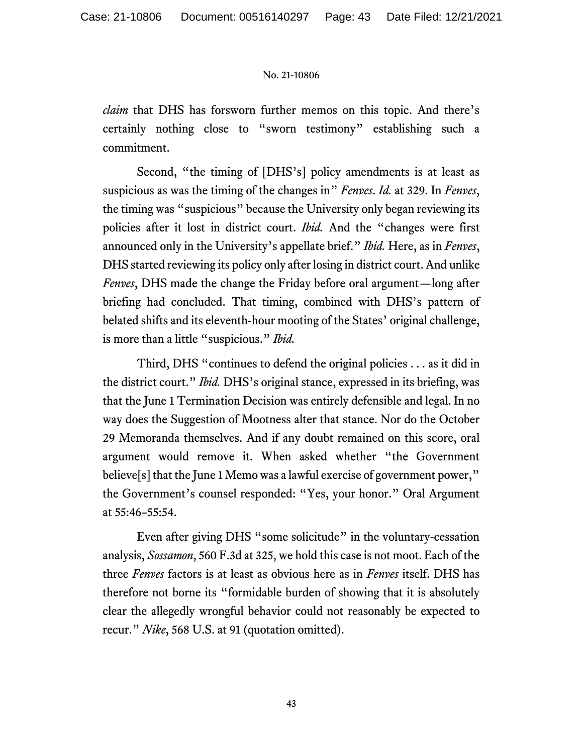*claim* that DHS has forsworn further memos on this topic. And there's certainly nothing close to "sworn testimony" establishing such a commitment.

Second, "the timing of [DHS's] policy amendments is at least as suspicious as was the timing of the changes in" *Fenves*. *Id.* at 329. In *Fenves*, the timing was "suspicious" because the University only began reviewing its policies after it lost in district court. *Ibid.* And the "changes were first announced only in the University's appellate brief." *Ibid.* Here, as in *Fenves*, DHS started reviewing its policy only after losing in district court. And unlike *Fenves*, DHS made the change the Friday before oral argument—long after briefing had concluded. That timing, combined with DHS's pattern of belated shifts and its eleventh-hour mooting of the States' original challenge, is more than a little "suspicious." *Ibid.*

Third, DHS "continues to defend the original policies . . . as it did in the district court." *Ibid.* DHS's original stance, expressed in its briefing, was that the June 1 Termination Decision was entirely defensible and legal. In no way does the Suggestion of Mootness alter that stance. Nor do the October 29 Memoranda themselves. And if any doubt remained on this score, oral argument would remove it. When asked whether "the Government believe[s] that the June 1 Memo was a lawful exercise of government power," the Government's counsel responded: "Yes, your honor." Oral Argument at 55:46–55:54.

Even after giving DHS "some solicitude" in the voluntary-cessation analysis, *Sossamon*, 560 F.3d at 325, we hold this case is not moot. Each of the three *Fenves* factors is at least as obvious here as in *Fenves* itself. DHS has therefore not borne its "formidable burden of showing that it is absolutely clear the allegedly wrongful behavior could not reasonably be expected to recur." *Nike*, 568 U.S. at 91 (quotation omitted).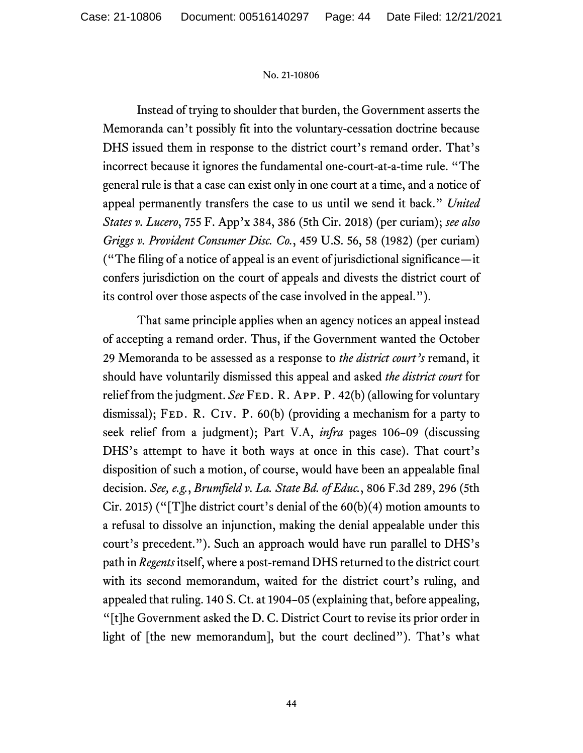Instead of trying to shoulder that burden, the Government asserts the Memoranda can't possibly fit into the voluntary-cessation doctrine because DHS issued them in response to the district court's remand order. That's incorrect because it ignores the fundamental one-court-at-a-time rule. "The general rule is that a case can exist only in one court at a time, and a notice of appeal permanently transfers the case to us until we send it back." *United States v. Lucero*, 755 F. App'x 384, 386 (5th Cir. 2018) (per curiam); *see also Griggs v. Provident Consumer Disc. Co.*, 459 U.S. 56, 58 (1982) (per curiam) ("The filing of a notice of appeal is an event of jurisdictional significance—it confers jurisdiction on the court of appeals and divests the district court of its control over those aspects of the case involved in the appeal.").

That same principle applies when an agency notices an appeal instead of accepting a remand order. Thus, if the Government wanted the October 29 Memoranda to be assessed as a response to *the district court's* remand, it should have voluntarily dismissed this appeal and asked *the district court* for relief from the judgment. *See* FED. R. APP. P. 42(b) (allowing for voluntary dismissal); FED. R. CIV. P.  $60(b)$  (providing a mechanism for a party to seek relief from a judgment); Part V.A, *infra* pages 106–09 (discussing DHS's attempt to have it both ways at once in this case). That court's disposition of such a motion, of course, would have been an appealable final decision. *See, e.g.*, *Brumfield v. La. State Bd. of Educ.*, 806 F.3d 289, 296 (5th Cir. 2015) ("[T]he district court's denial of the  $60(b)(4)$  motion amounts to a refusal to dissolve an injunction, making the denial appealable under this court's precedent."). Such an approach would have run parallel to DHS's path in *Regents* itself, where a post-remand DHS returned to the district court with its second memorandum, waited for the district court's ruling, and appealed that ruling. 140 S. Ct. at 1904–05 (explaining that, before appealing, "[t]he Government asked the D. C. District Court to revise its prior order in light of [the new memorandum], but the court declined"). That's what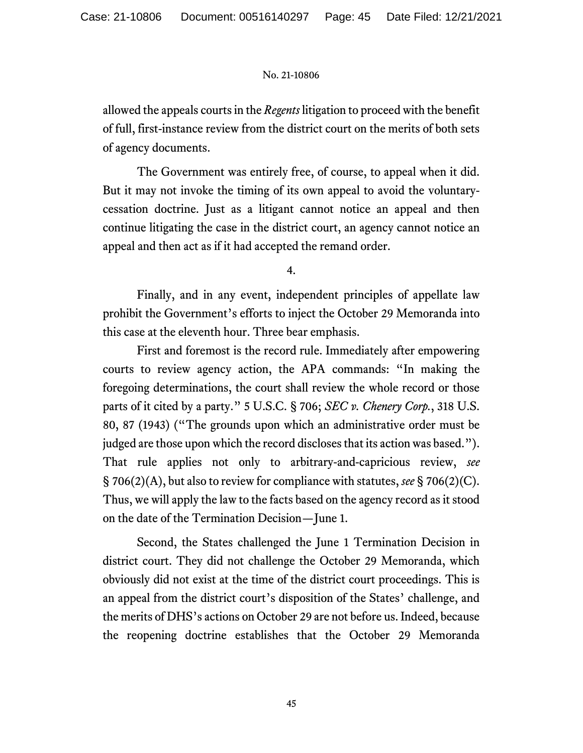allowed the appeals courts in the *Regents* litigation to proceed with the benefit of full, first-instance review from the district court on the merits of both sets of agency documents.

The Government was entirely free, of course, to appeal when it did. But it may not invoke the timing of its own appeal to avoid the voluntarycessation doctrine. Just as a litigant cannot notice an appeal and then continue litigating the case in the district court, an agency cannot notice an appeal and then act as if it had accepted the remand order.

4.

Finally, and in any event, independent principles of appellate law prohibit the Government's efforts to inject the October 29 Memoranda into this case at the eleventh hour. Three bear emphasis.

First and foremost is the record rule. Immediately after empowering courts to review agency action, the APA commands: "In making the foregoing determinations, the court shall review the whole record or those parts of it cited by a party." 5 U.S.C. § 706; *SEC v. Chenery Corp.*, 318 U.S. 80, 87 (1943) ("The grounds upon which an administrative order must be judged are those upon which the record discloses that its action was based."). That rule applies not only to arbitrary-and-capricious review, *see* § 706(2)(A), but also to review for compliance with statutes, *see* § 706(2)(C). Thus, we will apply the law to the facts based on the agency record as it stood on the date of the Termination Decision—June 1.

Second, the States challenged the June 1 Termination Decision in district court. They did not challenge the October 29 Memoranda, which obviously did not exist at the time of the district court proceedings. This is an appeal from the district court's disposition of the States' challenge, and the merits of DHS's actions on October 29 are not before us. Indeed, because the reopening doctrine establishes that the October 29 Memoranda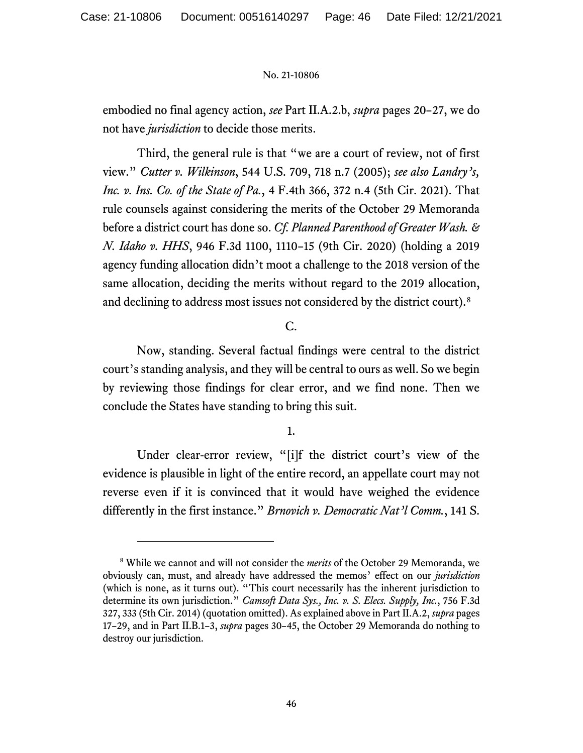embodied no final agency action, *see* Part II.A.2.b, *supra* pages 20–27, we do not have *jurisdiction* to decide those merits.

Third, the general rule is that "we are a court of review, not of first view." *Cutter v. Wilkinson*, 544 U.S. 709, 718 n.7 (2005); *see also Landry's, Inc. v. Ins. Co. of the State of Pa.*, 4 F.4th 366, 372 n.4 (5th Cir. 2021). That rule counsels against considering the merits of the October 29 Memoranda before a district court has done so. *Cf. Planned Parenthood of Greater Wash. & N. Idaho v. HHS*, 946 F.3d 1100, 1110–15 (9th Cir. 2020) (holding a 2019 agency funding allocation didn't moot a challenge to the 2018 version of the same allocation, deciding the merits without regard to the 2019 allocation, and declining to address most issues not considered by the district court).<sup>[8](#page-45-0)</sup>

# C.

Now, standing. Several factual findings were central to the district court's standing analysis, and they will be central to ours as well. So we begin by reviewing those findings for clear error, and we find none. Then we conclude the States have standing to bring this suit.

# 1.

Under clear-error review, "[i]f the district court's view of the evidence is plausible in light of the entire record, an appellate court may not reverse even if it is convinced that it would have weighed the evidence differently in the first instance." *Brnovich v. Democratic Nat'l Comm.*, 141 S.

<span id="page-45-0"></span><sup>8</sup> While we cannot and will not consider the *merits* of the October 29 Memoranda, we obviously can, must, and already have addressed the memos' effect on our *jurisdiction* (which is none, as it turns out). "This court necessarily has the inherent jurisdiction to determine its own jurisdiction." *Camsoft Data Sys., Inc. v. S. Elecs. Supply, Inc.*, 756 F.3d 327, 333 (5th Cir. 2014) (quotation omitted). As explained above in Part II.A.2, *supra* pages 17–29, and in Part II.B.1–3, *supra* pages 30–45, the October 29 Memoranda do nothing to destroy our jurisdiction.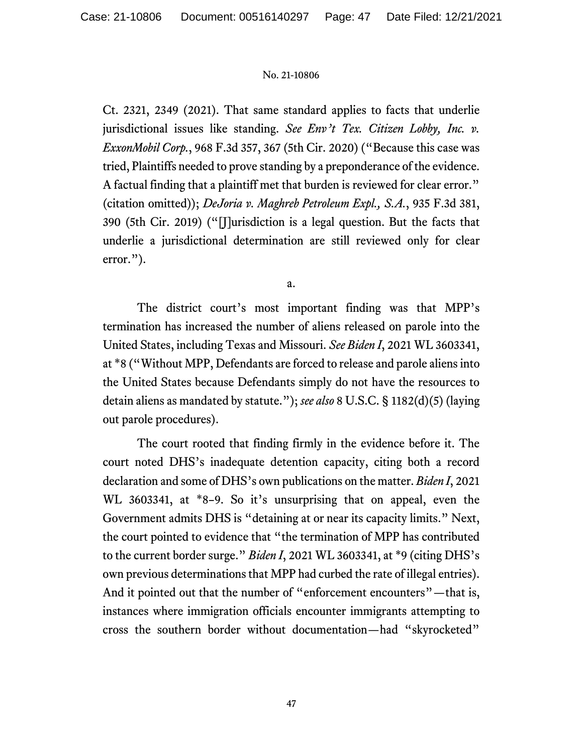Ct. 2321, 2349 (2021). That same standard applies to facts that underlie jurisdictional issues like standing. *See Env't Tex. Citizen Lobby, Inc. v. ExxonMobil Corp.*, 968 F.3d 357, 367 (5th Cir. 2020) ("Because this case was tried, Plaintiffs needed to prove standing by a preponderance of the evidence. A factual finding that a plaintiff met that burden is reviewed for clear error." (citation omitted)); *DeJoria v. Maghreb Petroleum Expl., S.A.*, 935 F.3d 381, 390 (5th Cir. 2019) ("[J]urisdiction is a legal question. But the facts that underlie a jurisdictional determination are still reviewed only for clear error.").

a.

The district court's most important finding was that MPP's termination has increased the number of aliens released on parole into the United States, including Texas and Missouri. *See Biden I*, 2021 WL 3603341, at \*8 ("Without MPP, Defendants are forced to release and parole aliens into the United States because Defendants simply do not have the resources to detain aliens as mandated by statute."); *see also* 8 U.S.C. § 1182(d)(5) (laying out parole procedures).

The court rooted that finding firmly in the evidence before it. The court noted DHS's inadequate detention capacity, citing both a record declaration and some of DHS's own publications on the matter. *Biden I*, 2021 WL 3603341, at \*8–9. So it's unsurprising that on appeal, even the Government admits DHS is "detaining at or near its capacity limits." Next, the court pointed to evidence that "the termination of MPP has contributed to the current border surge." *Biden I*, 2021 WL 3603341, at \*9 (citing DHS's own previous determinations that MPP had curbed the rate of illegal entries). And it pointed out that the number of "enforcement encounters"—that is, instances where immigration officials encounter immigrants attempting to cross the southern border without documentation—had "skyrocketed"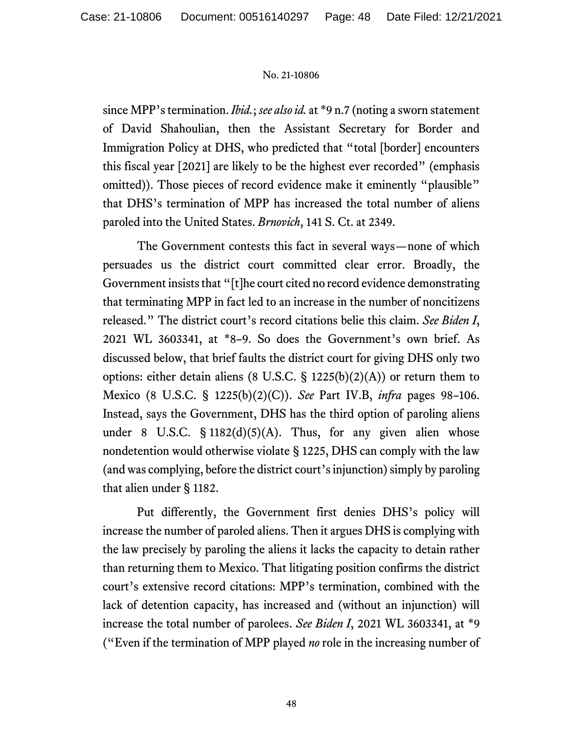since MPP's termination. *Ibid.*; *see also id.* at \*9 n.7 (noting a sworn statement of David Shahoulian, then the Assistant Secretary for Border and Immigration Policy at DHS, who predicted that "total [border] encounters this fiscal year [2021] are likely to be the highest ever recorded" (emphasis omitted)). Those pieces of record evidence make it eminently "plausible" that DHS's termination of MPP has increased the total number of aliens paroled into the United States. *Brnovich*, 141 S. Ct. at 2349.

The Government contests this fact in several ways—none of which persuades us the district court committed clear error. Broadly, the Government insists that "[t]he court cited no record evidence demonstrating that terminating MPP in fact led to an increase in the number of noncitizens released." The district court's record citations belie this claim. *See Biden I*, 2021 WL 3603341, at \*8–9. So does the Government's own brief. As discussed below, that brief faults the district court for giving DHS only two options: either detain aliens (8 U.S.C. § 1225(b)(2)(A)) or return them to Mexico (8 U.S.C. § 1225(b)(2)(C)). *See* Part IV.B, *infra* pages 98–106. Instead, says the Government, DHS has the third option of paroling aliens under 8 U.S.C.  $\S$  1182(d)(5)(A). Thus, for any given alien whose nondetention would otherwise violate § 1225, DHS can comply with the law (and was complying, before the district court's injunction) simply by paroling that alien under § 1182.

Put differently, the Government first denies DHS's policy will increase the number of paroled aliens. Then it argues DHS is complying with the law precisely by paroling the aliens it lacks the capacity to detain rather than returning them to Mexico. That litigating position confirms the district court's extensive record citations: MPP's termination, combined with the lack of detention capacity, has increased and (without an injunction) will increase the total number of parolees. *See Biden I*, 2021 WL 3603341, at \*9 ("Even if the termination of MPP played *no* role in the increasing number of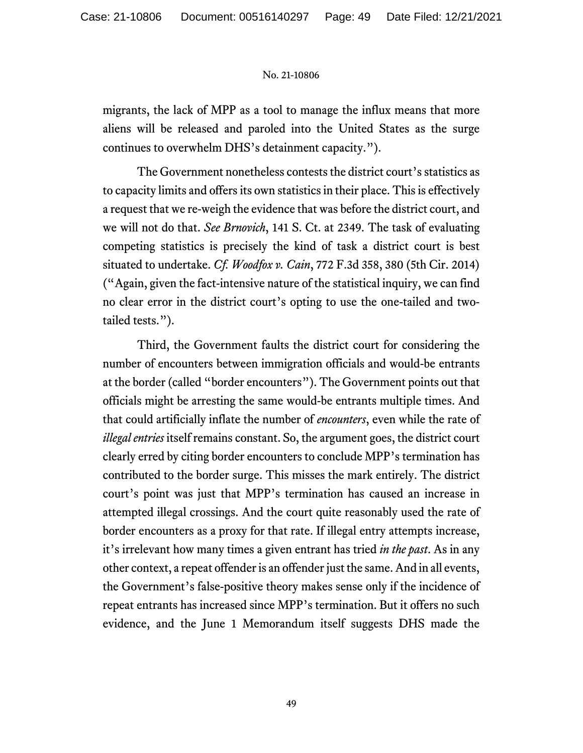migrants, the lack of MPP as a tool to manage the influx means that more aliens will be released and paroled into the United States as the surge continues to overwhelm DHS's detainment capacity.").

The Government nonetheless contests the district court's statistics as to capacity limits and offers its own statisticsin their place. This is effectively a request that we re-weigh the evidence that was before the district court, and we will not do that. *See Brnovich*, 141 S. Ct. at 2349. The task of evaluating competing statistics is precisely the kind of task a district court is best situated to undertake. *Cf. Woodfox v. Cain*, 772 F.3d 358, 380 (5th Cir. 2014) ("Again, given the fact-intensive nature of the statistical inquiry, we can find no clear error in the district court's opting to use the one-tailed and twotailed tests.").

Third, the Government faults the district court for considering the number of encounters between immigration officials and would-be entrants at the border (called "border encounters"). The Government points out that officials might be arresting the same would-be entrants multiple times. And that could artificially inflate the number of *encounters*, even while the rate of *illegal entries* itself remains constant. So, the argument goes, the district court clearly erred by citing border encounters to conclude MPP's termination has contributed to the border surge. This misses the mark entirely. The district court's point was just that MPP's termination has caused an increase in attempted illegal crossings. And the court quite reasonably used the rate of border encounters as a proxy for that rate. If illegal entry attempts increase, it's irrelevant how many times a given entrant has tried *in the past*. As in any other context, a repeat offender is an offender just the same. And in all events, the Government's false-positive theory makes sense only if the incidence of repeat entrants has increased since MPP's termination. But it offers no such evidence, and the June 1 Memorandum itself suggests DHS made the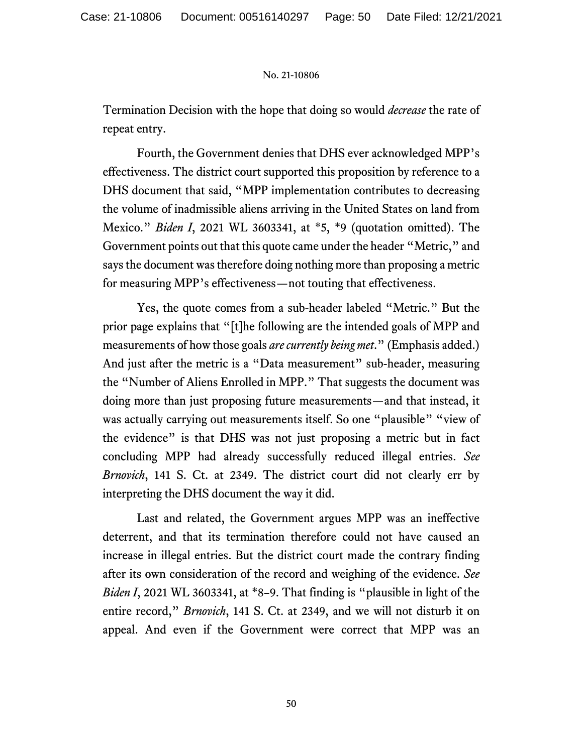Termination Decision with the hope that doing so would *decrease* the rate of repeat entry.

Fourth, the Government denies that DHS ever acknowledged MPP's effectiveness. The district court supported this proposition by reference to a DHS document that said, "MPP implementation contributes to decreasing the volume of inadmissible aliens arriving in the United States on land from Mexico." *Biden I*, 2021 WL 3603341, at \*5, \*9 (quotation omitted). The Government points out that this quote came under the header "Metric," and says the document was therefore doing nothing more than proposing a metric for measuring MPP's effectiveness—not touting that effectiveness.

Yes, the quote comes from a sub-header labeled "Metric." But the prior page explains that "[t]he following are the intended goals of MPP and measurements of how those goals *are currently being met*." (Emphasis added.) And just after the metric is a "Data measurement" sub-header, measuring the "Number of Aliens Enrolled in MPP." That suggests the document was doing more than just proposing future measurements—and that instead, it was actually carrying out measurements itself. So one "plausible" "view of the evidence" is that DHS was not just proposing a metric but in fact concluding MPP had already successfully reduced illegal entries. *See Brnovich*, 141 S. Ct. at 2349. The district court did not clearly err by interpreting the DHS document the way it did.

Last and related, the Government argues MPP was an ineffective deterrent, and that its termination therefore could not have caused an increase in illegal entries. But the district court made the contrary finding after its own consideration of the record and weighing of the evidence. *See Biden I*, 2021 WL 3603341, at \*8–9. That finding is "plausible in light of the entire record," *Brnovich*, 141 S. Ct. at 2349, and we will not disturb it on appeal. And even if the Government were correct that MPP was an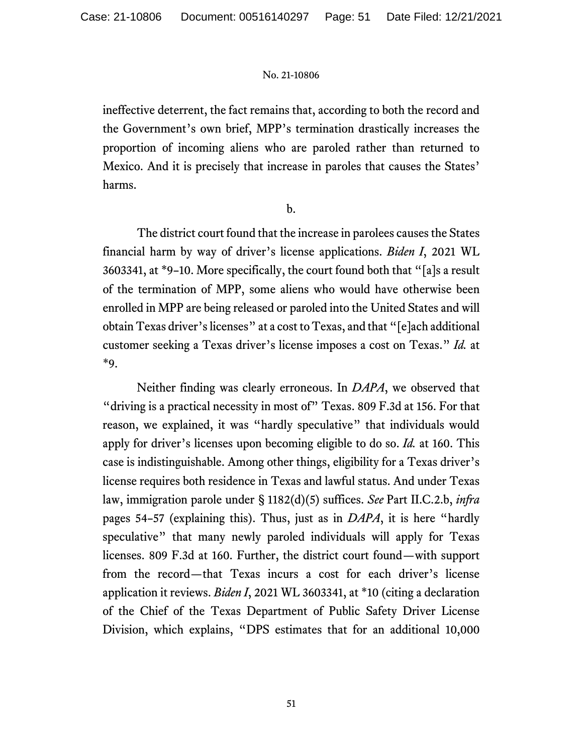ineffective deterrent, the fact remains that, according to both the record and the Government's own brief, MPP's termination drastically increases the proportion of incoming aliens who are paroled rather than returned to Mexico. And it is precisely that increase in paroles that causes the States' harms.

b.

The district court found that the increase in parolees causes the States financial harm by way of driver's license applications. *Biden I*, 2021 WL 3603341, at \*9–10. More specifically, the court found both that "[a]s a result of the termination of MPP, some aliens who would have otherwise been enrolled in MPP are being released or paroled into the United States and will obtain Texas driver's licenses" at a cost to Texas, and that "[e]ach additional customer seeking a Texas driver's license imposes a cost on Texas." *Id.* at \*9.

Neither finding was clearly erroneous. In *DAPA*, we observed that "driving is a practical necessity in most of" Texas. 809 F.3d at 156. For that reason, we explained, it was "hardly speculative" that individuals would apply for driver's licenses upon becoming eligible to do so. *Id.* at 160. This case is indistinguishable. Among other things, eligibility for a Texas driver's license requires both residence in Texas and lawful status. And under Texas law, immigration parole under § 1182(d)(5) suffices. *See* Part II.C.2.b, *infra* pages 54–57 (explaining this). Thus, just as in *DAPA*, it is here "hardly speculative" that many newly paroled individuals will apply for Texas licenses. 809 F.3d at 160. Further, the district court found—with support from the record—that Texas incurs a cost for each driver's license application it reviews. *Biden I*, 2021 WL 3603341, at \*10 (citing a declaration of the Chief of the Texas Department of Public Safety Driver License Division, which explains, "DPS estimates that for an additional 10,000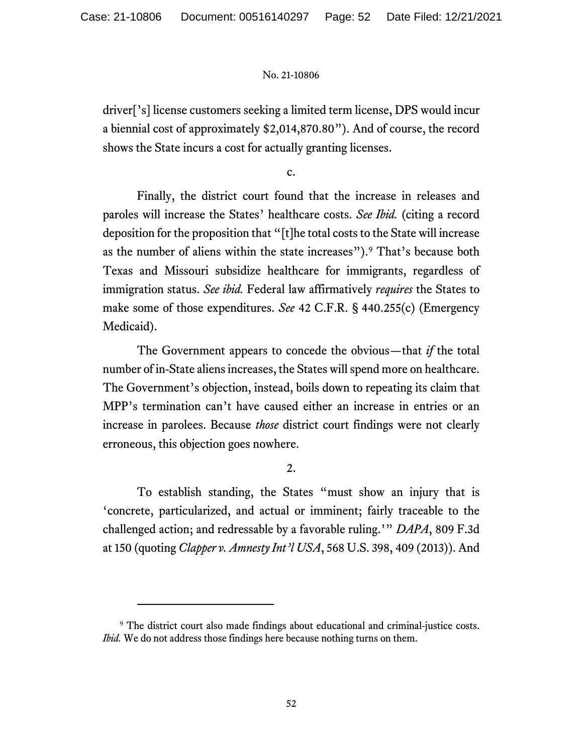driver['s] license customers seeking a limited term license, DPS would incur a biennial cost of approximately \$2,014,870.80"). And of course, the record shows the State incurs a cost for actually granting licenses.

c.

Finally, the district court found that the increase in releases and paroles will increase the States' healthcare costs. *See Ibid.* (citing a record deposition for the proposition that "[t]he total costs to the State will increase as the number of aliens within the state increases"). [9](#page-51-0) That's because both Texas and Missouri subsidize healthcare for immigrants, regardless of immigration status. *See ibid.* Federal law affirmatively *requires* the States to make some of those expenditures. *See* 42 C.F.R. § 440.255(c) (Emergency Medicaid).

The Government appears to concede the obvious—that *if* the total number of in-State aliens increases, the States will spend more on healthcare. The Government's objection, instead, boils down to repeating its claim that MPP's termination can't have caused either an increase in entries or an increase in parolees. Because *those* district court findings were not clearly erroneous, this objection goes nowhere.

2.

To establish standing, the States "must show an injury that is 'concrete, particularized, and actual or imminent; fairly traceable to the challenged action; and redressable by a favorable ruling.'" *DAPA*, 809 F.3d at 150 (quoting *Clapper v. Amnesty Int'l USA*, 568 U.S. 398, 409 (2013)). And

<span id="page-51-0"></span><sup>&</sup>lt;sup>9</sup> The district court also made findings about educational and criminal-justice costs. *Ibid.* We do not address those findings here because nothing turns on them.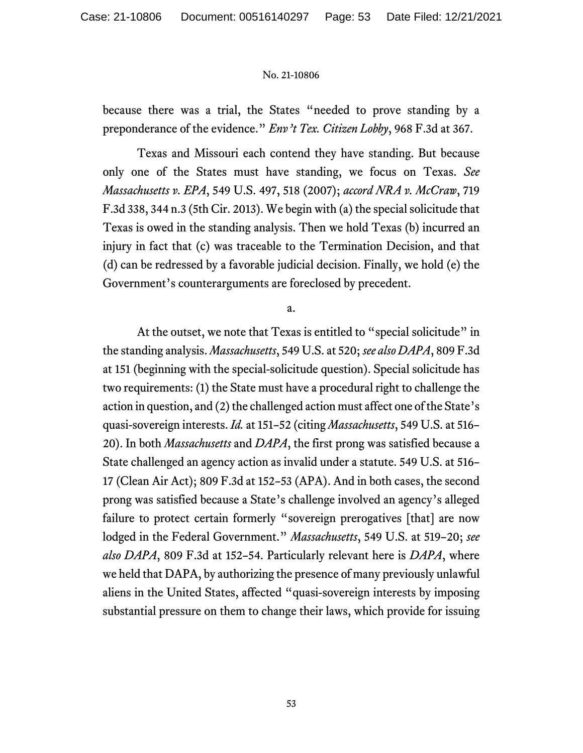because there was a trial, the States "needed to prove standing by a preponderance of the evidence." *Env't Tex. Citizen Lobby*, 968 F.3d at 367.

Texas and Missouri each contend they have standing. But because only one of the States must have standing, we focus on Texas. *See Massachusetts v. EPA*, 549 U.S. 497, 518 (2007); *accord NRA v. McCraw*, 719 F.3d 338, 344 n.3 (5th Cir. 2013). We begin with (a) the special solicitude that Texas is owed in the standing analysis. Then we hold Texas (b) incurred an injury in fact that (c) was traceable to the Termination Decision, and that (d) can be redressed by a favorable judicial decision. Finally, we hold (e) the Government's counterarguments are foreclosed by precedent.

a.

At the outset, we note that Texas is entitled to "special solicitude" in the standing analysis. *Massachusetts*, 549 U.S. at 520; *see also DAPA*, 809 F.3d at 151 (beginning with the special-solicitude question). Special solicitude has two requirements: (1) the State must have a procedural right to challenge the action in question, and (2) the challenged action must affect one of the State's quasi-sovereign interests. *Id.* at 151–52 (citing *Massachusetts*, 549 U.S. at 516– 20). In both *Massachusetts* and *DAPA*, the first prong was satisfied because a State challenged an agency action as invalid under a statute. 549 U.S. at 516– 17 (Clean Air Act); 809 F.3d at 152–53 (APA). And in both cases, the second prong was satisfied because a State's challenge involved an agency's alleged failure to protect certain formerly "sovereign prerogatives [that] are now lodged in the Federal Government." *Massachusetts*, 549 U.S. at 519–20; *see also DAPA*, 809 F.3d at 152–54. Particularly relevant here is *DAPA*, where we held that DAPA, by authorizing the presence of many previously unlawful aliens in the United States, affected "quasi-sovereign interests by imposing substantial pressure on them to change their laws, which provide for issuing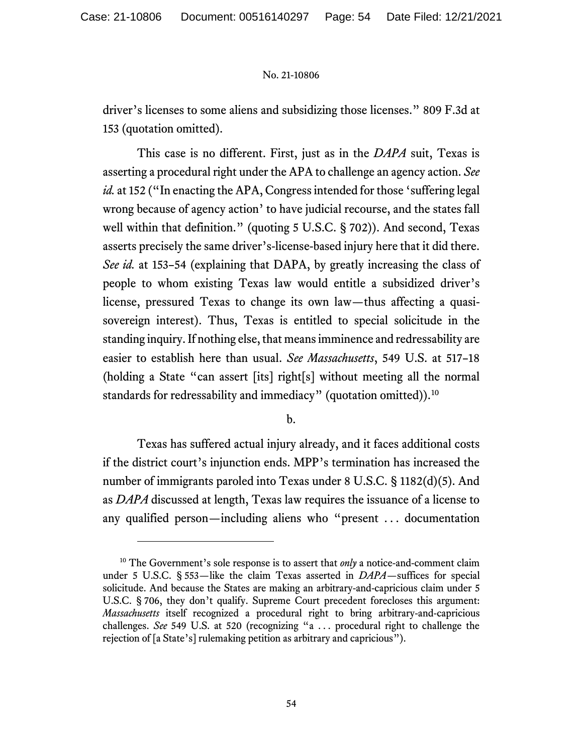driver's licenses to some aliens and subsidizing those licenses." 809 F.3d at 153 (quotation omitted).

This case is no different. First, just as in the *DAPA* suit, Texas is asserting a procedural right under the APA to challenge an agency action. *See id.* at 152 ("In enacting the APA, Congress intended for those 'suffering legal wrong because of agency action' to have judicial recourse, and the states fall well within that definition." (quoting 5 U.S.C. § 702)). And second, Texas asserts precisely the same driver's-license-based injury here that it did there. *See id.* at 153–54 (explaining that DAPA, by greatly increasing the class of people to whom existing Texas law would entitle a subsidized driver's license, pressured Texas to change its own law—thus affecting a quasisovereign interest). Thus, Texas is entitled to special solicitude in the standing inquiry. If nothing else, that means imminence and redressability are easier to establish here than usual. *See Massachusetts*, 549 U.S. at 517–18 (holding a State "can assert [its] right[s] without meeting all the normal standards for redressability and immediacy" (quotation omitted)).<sup>[10](#page-53-0)</sup>

b.

Texas has suffered actual injury already, and it faces additional costs if the district court's injunction ends. MPP's termination has increased the number of immigrants paroled into Texas under 8 U.S.C. § 1182(d)(5). And as *DAPA* discussed at length, Texas law requires the issuance of a license to any qualified person—including aliens who "present . . . documentation

<span id="page-53-0"></span><sup>&</sup>lt;sup>10</sup> The Government's sole response is to assert that *only* a notice-and-comment claim under 5 U.S.C. § 553—like the claim Texas asserted in *DAPA*—suffices for special solicitude. And because the States are making an arbitrary-and-capricious claim under 5 U.S.C. § 706, they don't qualify. Supreme Court precedent forecloses this argument: *Massachusetts* itself recognized a procedural right to bring arbitrary-and-capricious challenges. *See* 549 U.S. at 520 (recognizing "a . . . procedural right to challenge the rejection of [a State's] rulemaking petition as arbitrary and capricious").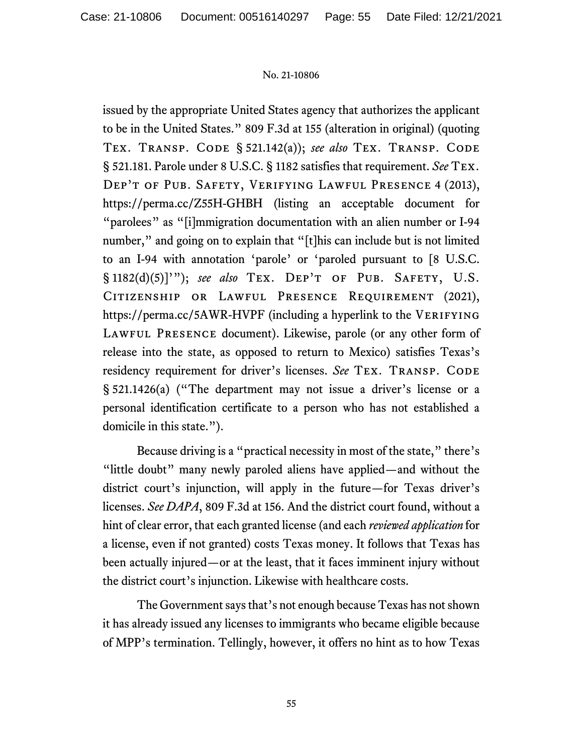issued by the appropriate United States agency that authorizes the applicant to be in the United States." 809 F.3d at 155 (alteration in original) (quoting Tex. Transp. Code § 521.142(a)); *see also* Tex. Transp. Code § 521.181. Parole under 8 U.S.C. § 1182 satisfies that requirement. *See* Tex. Dep't of Pub. Safety, Verifying Lawful Presence 4 (2013), https://perma.cc/Z55H-GHBH (listing an acceptable document for "parolees" as "[i]mmigration documentation with an alien number or I-94 number," and going on to explain that "[t]his can include but is not limited to an I-94 with annotation 'parole' or 'paroled pursuant to [8 U.S.C. § 1182(d)(5)]'"); *see also* Tex. Dep't of Pub. Safety, U.S. CITIZENSHIP OR LAWFUL PRESENCE REQUIREMENT (2021), https://perma.cc/5AWR-HVPF (including a hyperlink to the VERIFYING LAWFUL PRESENCE document). Likewise, parole (or any other form of release into the state, as opposed to return to Mexico) satisfies Texas's residency requirement for driver's licenses. *See* TEX. TRANSP. CODE § 521.1426(a) ("The department may not issue a driver's license or a personal identification certificate to a person who has not established a domicile in this state.").

Because driving is a "practical necessity in most of the state," there's "little doubt" many newly paroled aliens have applied—and without the district court's injunction, will apply in the future—for Texas driver's licenses. *See DAPA*, 809 F.3d at 156. And the district court found, without a hint of clear error, that each granted license (and each *reviewed application* for a license, even if not granted) costs Texas money. It follows that Texas has been actually injured—or at the least, that it faces imminent injury without the district court's injunction. Likewise with healthcare costs.

The Government says that's not enough because Texas has not shown it has already issued any licenses to immigrants who became eligible because of MPP's termination. Tellingly, however, it offers no hint as to how Texas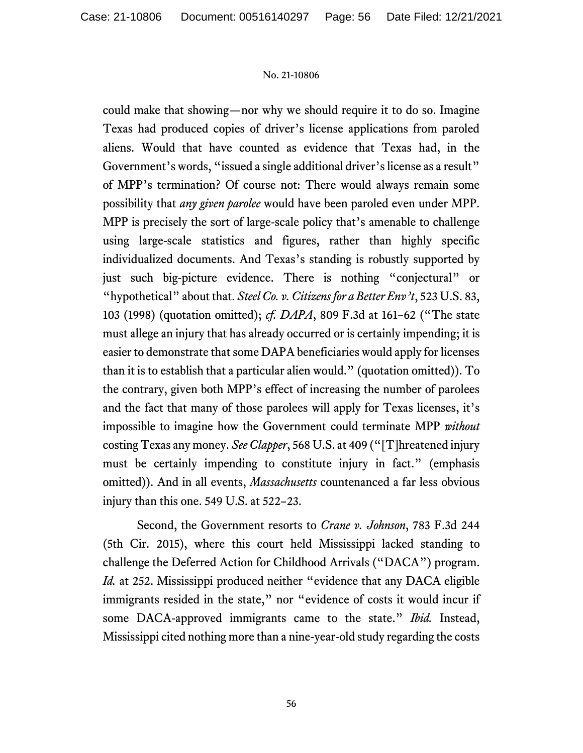could make that showing—nor why we should require it to do so. Imagine Texas had produced copies of driver's license applications from paroled aliens. Would that have counted as evidence that Texas had, in the Government's words, "issued a single additional driver's license as a result" of MPP's termination? Of course not: There would always remain some possibility that *any given parolee* would have been paroled even under MPP. MPP is precisely the sort of large-scale policy that's amenable to challenge using large-scale statistics and figures, rather than highly specific individualized documents. And Texas's standing is robustly supported by just such big-picture evidence. There is nothing "conjectural" or "hypothetical" about that. *Steel Co. v. Citizens for a Better Env't*, 523 U.S. 83, 103 (1998) (quotation omitted); *cf. DAPA*, 809 F.3d at 161–62 ("The state must allege an injury that has already occurred or is certainly impending; it is easier to demonstrate that some DAPA beneficiaries would apply for licenses than it is to establish that a particular alien would." (quotation omitted)). To the contrary, given both MPP's effect of increasing the number of parolees and the fact that many of those parolees will apply for Texas licenses, it's impossible to imagine how the Government could terminate MPP *without* costing Texas any money. *See Clapper*, 568 U.S. at 409 ("[T]hreatened injury must be certainly impending to constitute injury in fact." (emphasis omitted)). And in all events, *Massachusetts* countenanced a far less obvious injury than this one. 549 U.S. at 522–23.

Second, the Government resorts to *Crane v. Johnson*, 783 F.3d 244 (5th Cir. 2015), where this court held Mississippi lacked standing to challenge the Deferred Action for Childhood Arrivals ("DACA") program. *Id.* at 252. Mississippi produced neither "evidence that any DACA eligible immigrants resided in the state," nor "evidence of costs it would incur if some DACA-approved immigrants came to the state." *Ibid.* Instead, Mississippi cited nothing more than a nine-year-old study regarding the costs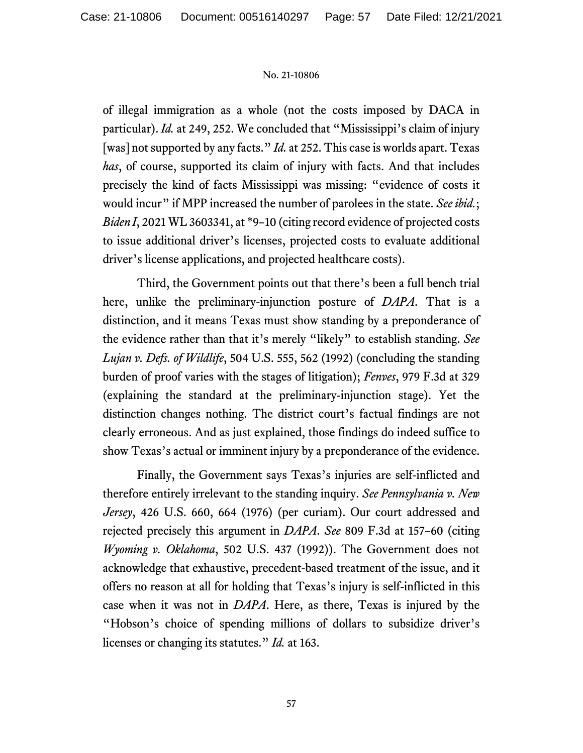of illegal immigration as a whole (not the costs imposed by DACA in particular). *Id.* at 249, 252. We concluded that "Mississippi's claim of injury [was] not supported by any facts." *Id.* at 252. This case is worlds apart. Texas *has*, of course, supported its claim of injury with facts. And that includes precisely the kind of facts Mississippi was missing: "evidence of costs it would incur" if MPP increased the number of parolees in the state. See ibid.; *Biden I*, 2021 WL 3603341, at \*9–10 (citing record evidence of projected costs to issue additional driver's licenses, projected costs to evaluate additional driver's license applications, and projected healthcare costs).

Third, the Government points out that there's been a full bench trial here, unlike the preliminary-injunction posture of *DAPA*. That is a distinction, and it means Texas must show standing by a preponderance of the evidence rather than that it's merely "likely" to establish standing. *See Lujan v. Defs. of Wildlife*, 504 U.S. 555, 562 (1992) (concluding the standing burden of proof varies with the stages of litigation); *Fenves*, 979 F.3d at 329 (explaining the standard at the preliminary-injunction stage). Yet the distinction changes nothing. The district court's factual findings are not clearly erroneous. And as just explained, those findings do indeed suffice to show Texas's actual or imminent injury by a preponderance of the evidence.

Finally, the Government says Texas's injuries are self-inflicted and therefore entirely irrelevant to the standing inquiry. *See Pennsylvania v. New Jersey*, 426 U.S. 660, 664 (1976) (per curiam). Our court addressed and rejected precisely this argument in *DAPA*. *See* 809 F.3d at 157–60 (citing *Wyoming v. Oklahoma*, 502 U.S. 437 (1992)). The Government does not acknowledge that exhaustive, precedent-based treatment of the issue, and it offers no reason at all for holding that Texas's injury is self-inflicted in this case when it was not in *DAPA*. Here, as there, Texas is injured by the "Hobson's choice of spending millions of dollars to subsidize driver's licenses or changing its statutes." *Id.* at 163.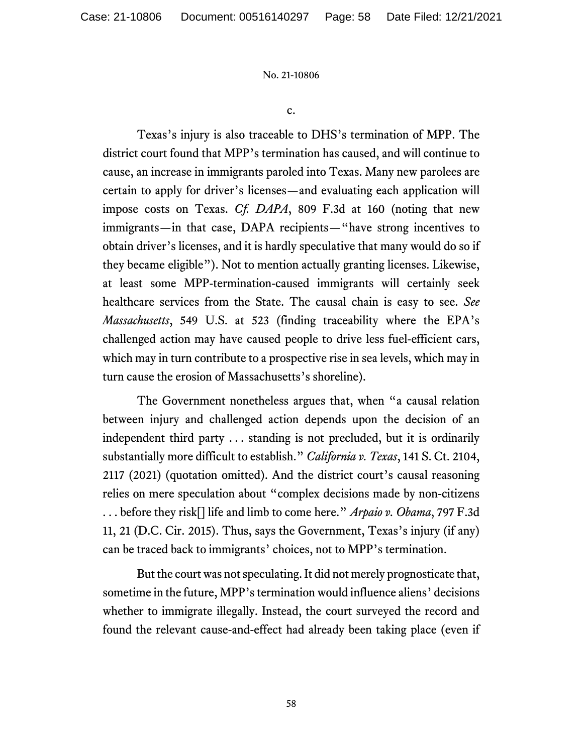c.

Texas's injury is also traceable to DHS's termination of MPP. The district court found that MPP's termination has caused, and will continue to cause, an increase in immigrants paroled into Texas. Many new parolees are certain to apply for driver's licenses—and evaluating each application will impose costs on Texas. *Cf. DAPA*, 809 F.3d at 160 (noting that new immigrants—in that case, DAPA recipients—"have strong incentives to obtain driver's licenses, and it is hardly speculative that many would do so if they became eligible"). Not to mention actually granting licenses. Likewise, at least some MPP-termination-caused immigrants will certainly seek healthcare services from the State. The causal chain is easy to see. *See Massachusetts*, 549 U.S. at 523 (finding traceability where the EPA's challenged action may have caused people to drive less fuel-efficient cars, which may in turn contribute to a prospective rise in sea levels, which may in turn cause the erosion of Massachusetts's shoreline).

The Government nonetheless argues that, when "a causal relation between injury and challenged action depends upon the decision of an independent third party . . . standing is not precluded, but it is ordinarily substantially more difficult to establish." *California v. Texas*, 141 S. Ct. 2104, 2117 (2021) (quotation omitted). And the district court's causal reasoning relies on mere speculation about "complex decisions made by non-citizens . . . before they risk[] life and limb to come here." *Arpaio v. Obama*, 797 F.3d 11, 21 (D.C. Cir. 2015). Thus, says the Government, Texas's injury (if any) can be traced back to immigrants' choices, not to MPP's termination.

But the court was not speculating. It did not merely prognosticate that, sometime in the future, MPP's termination would influence aliens' decisions whether to immigrate illegally. Instead, the court surveyed the record and found the relevant cause-and-effect had already been taking place (even if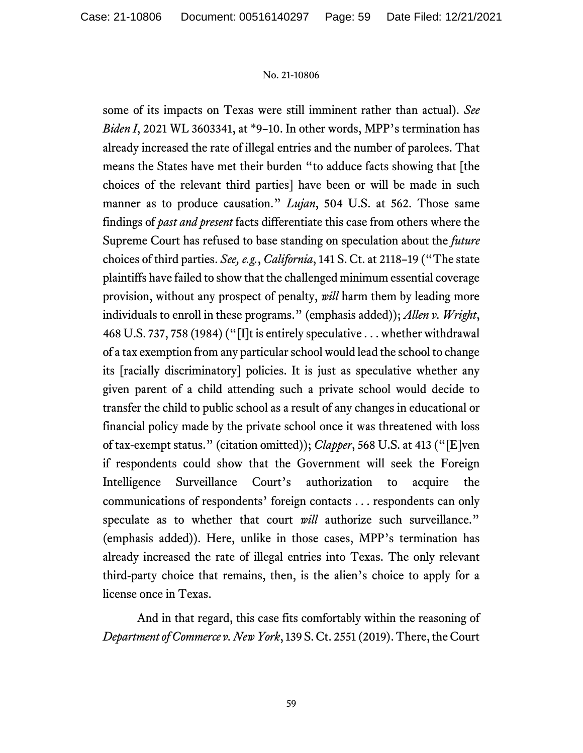some of its impacts on Texas were still imminent rather than actual). *See Biden I*, 2021 WL 3603341, at \*9–10. In other words, MPP's termination has already increased the rate of illegal entries and the number of parolees. That means the States have met their burden "to adduce facts showing that [the choices of the relevant third parties] have been or will be made in such manner as to produce causation." *Lujan*, 504 U.S. at 562. Those same findings of *past and present* facts differentiate this case from others where the Supreme Court has refused to base standing on speculation about the *future* choices of third parties. *See, e.g.*, *California*, 141 S. Ct. at 2118–19 ("The state plaintiffs have failed to show that the challenged minimum essential coverage provision, without any prospect of penalty, *will* harm them by leading more individuals to enroll in these programs." (emphasis added)); *Allen v. Wright*, 468 U.S. 737, 758 (1984) ("[I]t is entirely speculative . . . whether withdrawal of a tax exemption from any particular school would lead the school to change its [racially discriminatory] policies. It is just as speculative whether any given parent of a child attending such a private school would decide to transfer the child to public school as a result of any changes in educational or financial policy made by the private school once it was threatened with loss of tax-exempt status." (citation omitted)); *Clapper*, 568 U.S. at 413 ("[E]ven if respondents could show that the Government will seek the Foreign Intelligence Surveillance Court's authorization to acquire the communications of respondents' foreign contacts . . . respondents can only speculate as to whether that court *will* authorize such surveillance." (emphasis added)). Here, unlike in those cases, MPP's termination has already increased the rate of illegal entries into Texas. The only relevant third-party choice that remains, then, is the alien's choice to apply for a license once in Texas.

And in that regard, this case fits comfortably within the reasoning of *Department of Commerce v. New York*, 139 S. Ct. 2551 (2019). There, the Court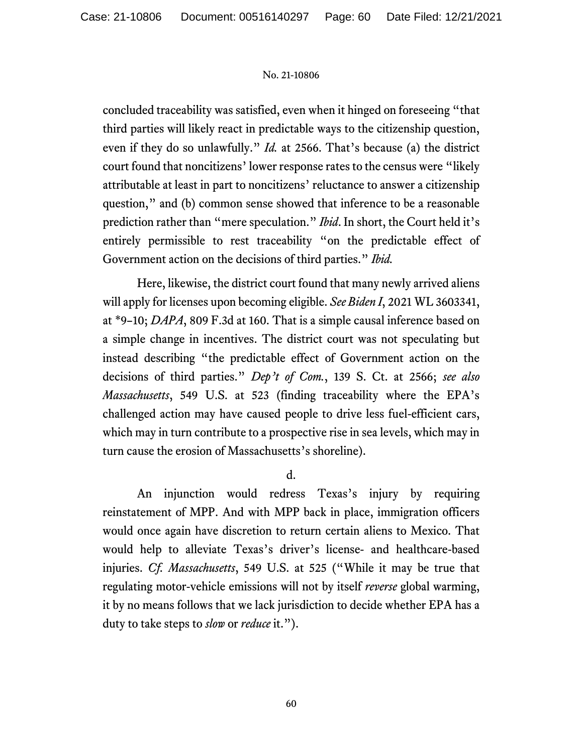concluded traceability was satisfied, even when it hinged on foreseeing "that third parties will likely react in predictable ways to the citizenship question, even if they do so unlawfully." *Id.* at 2566. That's because (a) the district court found that noncitizens' lower response rates to the census were "likely attributable at least in part to noncitizens' reluctance to answer a citizenship question," and (b) common sense showed that inference to be a reasonable prediction rather than "mere speculation." *Ibid*. In short, the Court held it's entirely permissible to rest traceability "on the predictable effect of Government action on the decisions of third parties." *Ibid.*

Here, likewise, the district court found that many newly arrived aliens will apply for licenses upon becoming eligible. *See Biden I*, 2021 WL 3603341, at \*9–10; *DAPA*, 809 F.3d at 160. That is a simple causal inference based on a simple change in incentives. The district court was not speculating but instead describing "the predictable effect of Government action on the decisions of third parties." *Dep't of Com.*, 139 S. Ct. at 2566; *see also Massachusetts*, 549 U.S. at 523 (finding traceability where the EPA's challenged action may have caused people to drive less fuel-efficient cars, which may in turn contribute to a prospective rise in sea levels, which may in turn cause the erosion of Massachusetts's shoreline).

d.

An injunction would redress Texas's injury by requiring reinstatement of MPP. And with MPP back in place, immigration officers would once again have discretion to return certain aliens to Mexico. That would help to alleviate Texas's driver's license- and healthcare-based injuries. *Cf. Massachusetts*, 549 U.S. at 525 ("While it may be true that regulating motor-vehicle emissions will not by itself *reverse* global warming, it by no means follows that we lack jurisdiction to decide whether EPA has a duty to take steps to *slow* or *reduce* it.").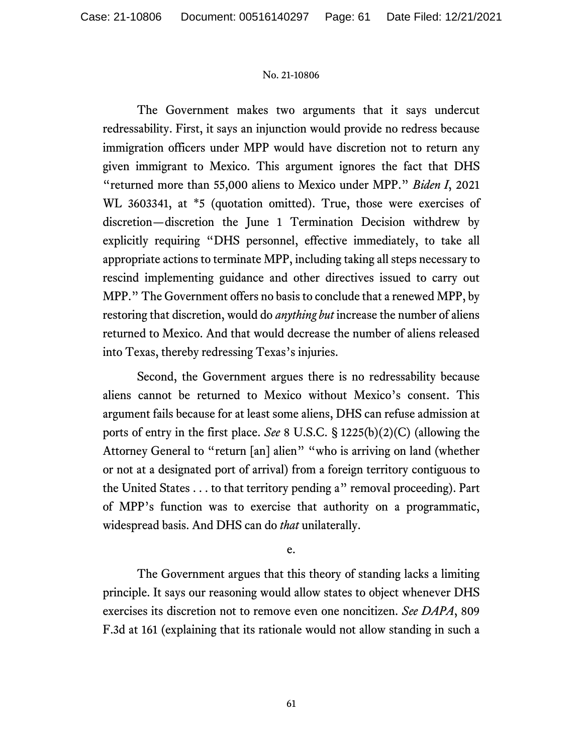The Government makes two arguments that it says undercut redressability. First, it says an injunction would provide no redress because immigration officers under MPP would have discretion not to return any given immigrant to Mexico. This argument ignores the fact that DHS "returned more than 55,000 aliens to Mexico under MPP." *Biden I*, 2021 WL 3603341, at \*5 (quotation omitted). True, those were exercises of discretion—discretion the June 1 Termination Decision withdrew by explicitly requiring "DHS personnel, effective immediately, to take all appropriate actions to terminate MPP, including taking all steps necessary to rescind implementing guidance and other directives issued to carry out MPP." The Government offers no basis to conclude that a renewed MPP, by restoring that discretion, would do *anything but* increase the number of aliens returned to Mexico. And that would decrease the number of aliens released into Texas, thereby redressing Texas's injuries.

Second, the Government argues there is no redressability because aliens cannot be returned to Mexico without Mexico's consent. This argument fails because for at least some aliens, DHS can refuse admission at ports of entry in the first place. *See* 8 U.S.C. § 1225(b)(2)(C) (allowing the Attorney General to "return [an] alien" "who is arriving on land (whether or not at a designated port of arrival) from a foreign territory contiguous to the United States . . . to that territory pending a" removal proceeding). Part of MPP's function was to exercise that authority on a programmatic, widespread basis. And DHS can do *that* unilaterally.

e.

The Government argues that this theory of standing lacks a limiting principle. It says our reasoning would allow states to object whenever DHS exercises its discretion not to remove even one noncitizen. *See DAPA*, 809 F.3d at 161 (explaining that its rationale would not allow standing in such a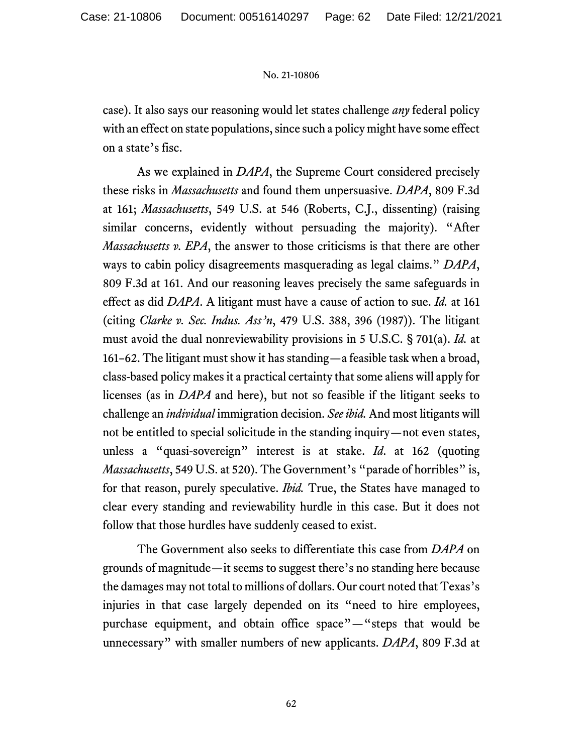case). It also says our reasoning would let states challenge *any* federal policy with an effect on state populations, since such a policy might have some effect on a state's fisc.

As we explained in *DAPA*, the Supreme Court considered precisely these risks in *Massachusetts* and found them unpersuasive. *DAPA*, 809 F.3d at 161; *Massachusetts*, 549 U.S. at 546 (Roberts, C.J., dissenting) (raising similar concerns, evidently without persuading the majority). "After *Massachusetts v. EPA*, the answer to those criticisms is that there are other ways to cabin policy disagreements masquerading as legal claims." *DAPA*, 809 F.3d at 161. And our reasoning leaves precisely the same safeguards in effect as did *DAPA*. A litigant must have a cause of action to sue. *Id.* at 161 (citing *Clarke v. Sec. Indus. Ass'n*, 479 U.S. 388, 396 (1987)). The litigant must avoid the dual nonreviewability provisions in 5 U.S.C. § 701(a). *Id.* at 161–62. The litigant must show it has standing—a feasible task when a broad, class-based policy makes it a practical certainty that some aliens will apply for licenses (as in *DAPA* and here), but not so feasible if the litigant seeks to challenge an *individual* immigration decision. *See ibid.* And most litigants will not be entitled to special solicitude in the standing inquiry—not even states, unless a "quasi-sovereign" interest is at stake. *Id*. at 162 (quoting *Massachusetts*, 549 U.S. at 520). The Government's "parade of horribles" is, for that reason, purely speculative. *Ibid.* True, the States have managed to clear every standing and reviewability hurdle in this case. But it does not follow that those hurdles have suddenly ceased to exist.

The Government also seeks to differentiate this case from *DAPA* on grounds of magnitude—it seems to suggest there's no standing here because the damages may not total to millions of dollars. Our court noted that Texas's injuries in that case largely depended on its "need to hire employees, purchase equipment, and obtain office space"—"steps that would be unnecessary" with smaller numbers of new applicants. *DAPA*, 809 F.3d at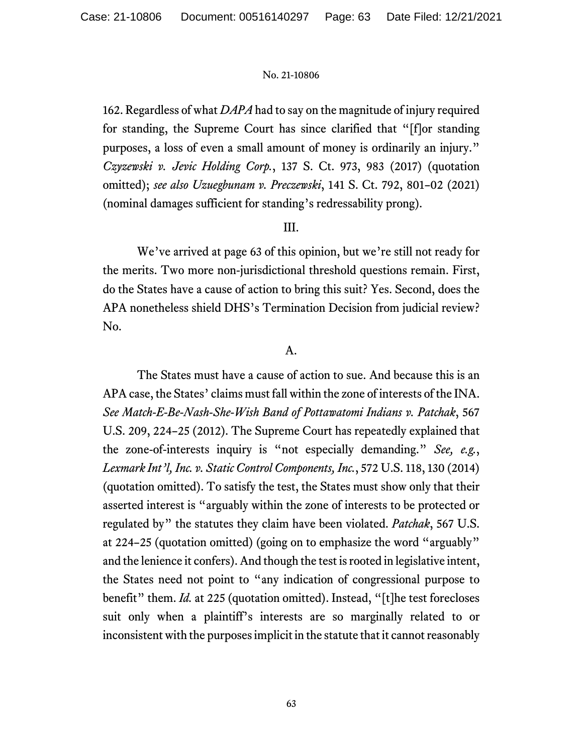162. Regardless of what *DAPA* had to say on the magnitude of injury required for standing, the Supreme Court has since clarified that "[f]or standing purposes, a loss of even a small amount of money is ordinarily an injury." *Czyzewski v. Jevic Holding Corp.*, 137 S. Ct. 973, 983 (2017) (quotation omitted); *see also Uzuegbunam v. Preczewski*, 141 S. Ct. 792, 801–02 (2021) (nominal damages sufficient for standing's redressability prong).

# III.

We've arrived at page 63 of this opinion, but we're still not ready for the merits. Two more non-jurisdictional threshold questions remain. First, do the States have a cause of action to bring this suit? Yes. Second, does the APA nonetheless shield DHS's Termination Decision from judicial review? No.

# A.

The States must have a cause of action to sue. And because this is an APA case, the States' claims must fall within the zone of interests of the INA. *See Match-E-Be-Nash-She-Wish Band of Pottawatomi Indians v. Patchak*, 567 U.S. 209, 224–25 (2012). The Supreme Court has repeatedly explained that the zone-of-interests inquiry is "not especially demanding." *See, e.g.*, *Lexmark Int'l, Inc. v. Static Control Components, Inc.*, 572 U.S. 118, 130 (2014) (quotation omitted). To satisfy the test, the States must show only that their asserted interest is "arguably within the zone of interests to be protected or regulated by" the statutes they claim have been violated. *Patchak*, 567 U.S. at 224–25 (quotation omitted) (going on to emphasize the word "arguably" and the lenience it confers). And though the test is rooted in legislative intent, the States need not point to "any indication of congressional purpose to benefit" them. *Id.* at 225 (quotation omitted). Instead, "[t]he test forecloses suit only when a plaintiff's interests are so marginally related to or inconsistent with the purposes implicit in the statute that it cannot reasonably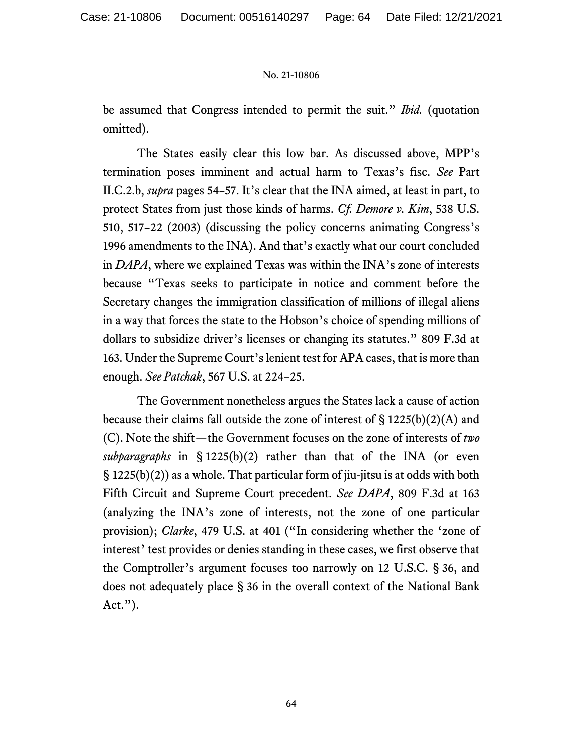be assumed that Congress intended to permit the suit." *Ibid.* (quotation omitted).

The States easily clear this low bar. As discussed above, MPP's termination poses imminent and actual harm to Texas's fisc. *See* Part II.C.2.b, *supra* pages 54–57. It's clear that the INA aimed, at least in part, to protect States from just those kinds of harms. *Cf. Demore v. Kim*, 538 U.S. 510, 517–22 (2003) (discussing the policy concerns animating Congress's 1996 amendments to the INA). And that's exactly what our court concluded in *DAPA*, where we explained Texas was within the INA's zone of interests because "Texas seeks to participate in notice and comment before the Secretary changes the immigration classification of millions of illegal aliens in a way that forces the state to the Hobson's choice of spending millions of dollars to subsidize driver's licenses or changing its statutes." 809 F.3d at 163. Under the Supreme Court's lenient test for APA cases, that is more than enough. *See Patchak*, 567 U.S. at 224–25.

The Government nonetheless argues the States lack a cause of action because their claims fall outside the zone of interest of  $\S 1225(b)(2)(A)$  and (C). Note the shift—the Government focuses on the zone of interests of *two subparagraphs* in § 1225(b)(2) rather than that of the INA (or even  $\S$  1225(b)(2)) as a whole. That particular form of jiu-jitsu is at odds with both Fifth Circuit and Supreme Court precedent. *See DAPA*, 809 F.3d at 163 (analyzing the INA's zone of interests, not the zone of one particular provision); *Clarke*, 479 U.S. at 401 ("In considering whether the 'zone of interest' test provides or denies standing in these cases, we first observe that the Comptroller's argument focuses too narrowly on 12 U.S.C. § 36, and does not adequately place § 36 in the overall context of the National Bank  $Act."$ ).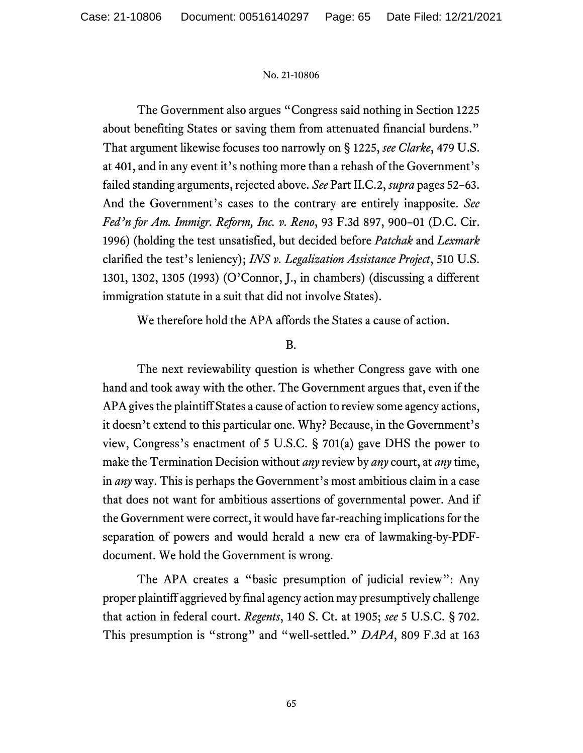The Government also argues "Congress said nothing in Section 1225 about benefiting States or saving them from attenuated financial burdens." That argument likewise focuses too narrowly on § 1225, *see Clarke*, 479 U.S. at 401, and in any event it's nothing more than a rehash of the Government's failed standing arguments, rejected above. *See* Part II.C.2, *supra* pages 52–63. And the Government's cases to the contrary are entirely inapposite. *See Fed'n for Am. Immigr. Reform, Inc. v. Reno*, 93 F.3d 897, 900–01 (D.C. Cir. 1996) (holding the test unsatisfied, but decided before *Patchak* and *Lexmark* clarified the test's leniency); *INS v. Legalization Assistance Project*, 510 U.S. 1301, 1302, 1305 (1993) (O'Connor, J., in chambers) (discussing a different immigration statute in a suit that did not involve States).

We therefore hold the APA affords the States a cause of action.

# B.

The next reviewability question is whether Congress gave with one hand and took away with the other. The Government argues that, even if the APA gives the plaintiff States a cause of action to review some agency actions, it doesn't extend to this particular one. Why? Because, in the Government's view, Congress's enactment of 5 U.S.C. § 701(a) gave DHS the power to make the Termination Decision without *any* review by *any* court, at *any* time, in *any* way. This is perhaps the Government's most ambitious claim in a case that does not want for ambitious assertions of governmental power. And if the Government were correct, it would have far-reaching implications for the separation of powers and would herald a new era of lawmaking-by-PDFdocument. We hold the Government is wrong.

The APA creates a "basic presumption of judicial review": Any proper plaintiff aggrieved by final agency action may presumptively challenge that action in federal court. *Regents*, 140 S. Ct. at 1905; *see* 5 U.S.C. § 702. This presumption is "strong" and "well-settled." *DAPA*, 809 F.3d at 163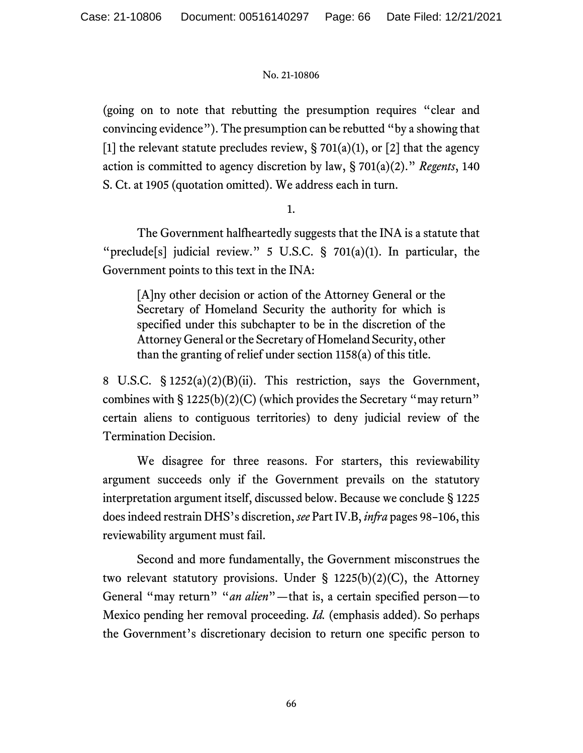(going on to note that rebutting the presumption requires "clear and convincing evidence"). The presumption can be rebutted "by a showing that [1] the relevant statute precludes review,  $\S 701(a)(1)$ , or [2] that the agency action is committed to agency discretion by law, § 701(a)(2)." *Regents*, 140 S. Ct. at 1905 (quotation omitted). We address each in turn.

1.

The Government halfheartedly suggests that the INA is a statute that "preclude<sup>[s]</sup> judicial review." 5 U.S.C. § 701(a)(1). In particular, the Government points to this text in the INA:

[A]ny other decision or action of the Attorney General or the Secretary of Homeland Security the authority for which is specified under this subchapter to be in the discretion of the Attorney General or the Secretary of Homeland Security, other than the granting of relief under section 1158(a) of this title.

8 U.S.C. § 1252(a)(2)(B)(ii). This restriction, says the Government, combines with  $\S 1225(b)(2)(C)$  (which provides the Secretary "may return" certain aliens to contiguous territories) to deny judicial review of the Termination Decision.

We disagree for three reasons. For starters, this reviewability argument succeeds only if the Government prevails on the statutory interpretation argument itself, discussed below. Because we conclude § 1225 does indeed restrain DHS's discretion, *see* Part IV.B, *infra* pages 98–106, this reviewability argument must fail.

Second and more fundamentally, the Government misconstrues the two relevant statutory provisions. Under  $\S$  1225(b)(2)(C), the Attorney General "may return" "*an alien*"—that is, a certain specified person—to Mexico pending her removal proceeding. *Id.* (emphasis added). So perhaps the Government's discretionary decision to return one specific person to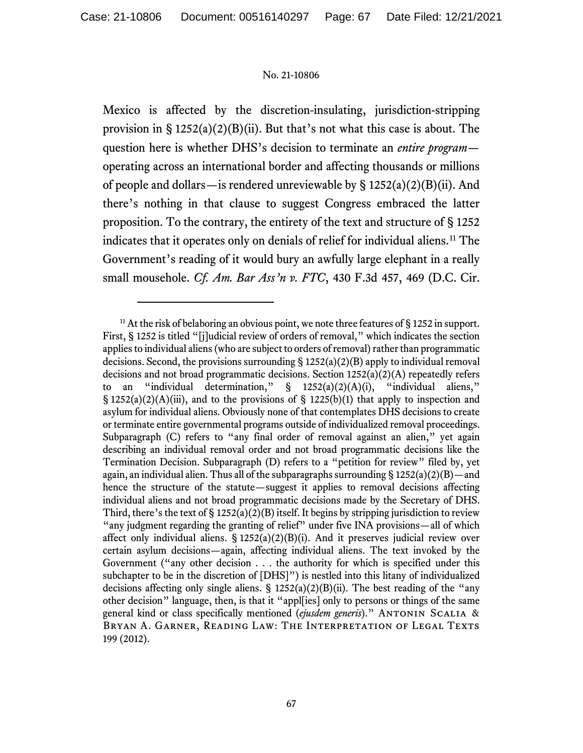Mexico is affected by the discretion-insulating, jurisdiction-stripping provision in  $\S 1252(a)(2)(B)(ii)$ . But that's not what this case is about. The question here is whether DHS's decision to terminate an *entire program* operating across an international border and affecting thousands or millions of people and dollars—is rendered unreviewable by  $\S$  1252(a)(2)(B)(ii). And there's nothing in that clause to suggest Congress embraced the latter proposition. To the contrary, the entirety of the text and structure of § 1252 indicates that it operates only on denials of relief for individual aliens.[11](#page-66-0) The Government's reading of it would bury an awfully large elephant in a really small mousehole. *Cf. Am. Bar Ass'n v. FTC*, 430 F.3d 457, 469 (D.C. Cir.

<span id="page-66-0"></span><sup>&</sup>lt;sup>11</sup> At the risk of belaboring an obvious point, we note three features of  $\S$  1252 in support. First, § 1252 is titled "[j]udicial review of orders of removal," which indicates the section applies to individual aliens (who are subject to orders of removal) rather than programmatic decisions. Second, the provisions surrounding § 1252(a)(2)(B) apply to individual removal decisions and not broad programmatic decisions. Section 1252(a)(2)(A) repeatedly refers to an "individual determination,"  $\S$  1252(a)(2)(A)(i), "individual aliens,"  $\S$  1252(a)(2)(A)(iii), and to the provisions of  $\S$  1225(b)(1) that apply to inspection and asylum for individual aliens. Obviously none of that contemplates DHS decisions to create or terminate entire governmental programs outside of individualized removal proceedings. Subparagraph (C) refers to "any final order of removal against an alien," yet again describing an individual removal order and not broad programmatic decisions like the Termination Decision. Subparagraph (D) refers to a "petition for review" filed by, yet again, an individual alien. Thus all of the subparagraphs surrounding  $\S 1252(a)(2)(B)$ —and hence the structure of the statute—suggest it applies to removal decisions affecting individual aliens and not broad programmatic decisions made by the Secretary of DHS. Third, there's the text of  $\S 1252(a)(2)(B)$  itself. It begins by stripping jurisdiction to review "any judgment regarding the granting of relief" under five INA provisions—all of which affect only individual aliens.  $\S 1252(a)(2)(B)(i)$ . And it preserves judicial review over certain asylum decisions—again, affecting individual aliens. The text invoked by the Government ("any other decision . . . the authority for which is specified under this subchapter to be in the discretion of [DHS]") is nestled into this litany of individualized decisions affecting only single aliens.  $\S$  1252(a)(2)(B)(ii). The best reading of the "any other decision" language, then, is that it "appl[ies] only to persons or things of the same general kind or class specifically mentioned (*ejusdem generis*)." Antonin Scalia & BRYAN A. GARNER, READING LAW: THE INTERPRETATION OF LEGAL TEXTS 199 (2012).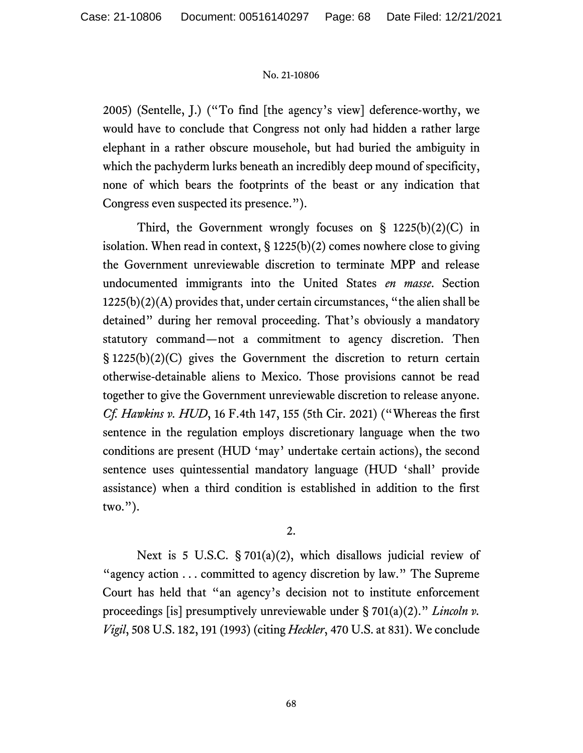2005) (Sentelle, J.) ("To find [the agency's view] deference-worthy, we would have to conclude that Congress not only had hidden a rather large elephant in a rather obscure mousehole, but had buried the ambiguity in which the pachyderm lurks beneath an incredibly deep mound of specificity, none of which bears the footprints of the beast or any indication that Congress even suspected its presence.").

Third, the Government wrongly focuses on  $\S$  1225(b)(2)(C) in isolation. When read in context,  $\S$  1225(b)(2) comes nowhere close to giving the Government unreviewable discretion to terminate MPP and release undocumented immigrants into the United States *en masse*. Section 1225(b)(2)(A) provides that, under certain circumstances, "the alien shall be detained" during her removal proceeding. That's obviously a mandatory statutory command—not a commitment to agency discretion. Then  $\S$  1225(b)(2)(C) gives the Government the discretion to return certain otherwise-detainable aliens to Mexico. Those provisions cannot be read together to give the Government unreviewable discretion to release anyone. *Cf. Hawkins v. HUD*, 16 F.4th 147, 155 (5th Cir. 2021) ("Whereas the first sentence in the regulation employs discretionary language when the two conditions are present (HUD 'may' undertake certain actions), the second sentence uses quintessential mandatory language (HUD 'shall' provide assistance) when a third condition is established in addition to the first two.").

2.

Next is 5 U.S.C. § 701(a)(2), which disallows judicial review of "agency action  $\dots$  committed to agency discretion by law." The Supreme Court has held that "an agency's decision not to institute enforcement proceedings [is] presumptively unreviewable under § 701(a)(2)." *Lincoln v. Vigil*, 508 U.S. 182, 191 (1993) (citing *Heckler*, 470 U.S. at 831). We conclude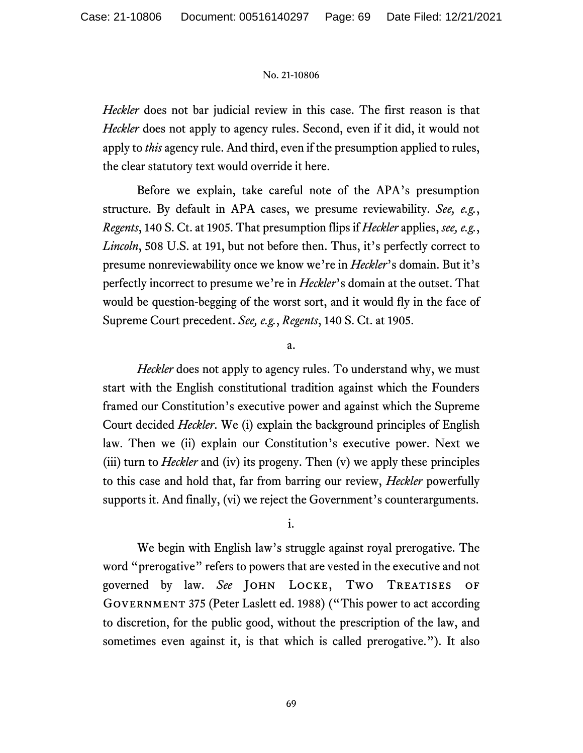*Heckler* does not bar judicial review in this case. The first reason is that *Heckler* does not apply to agency rules. Second, even if it did, it would not apply to *this* agency rule. And third, even if the presumption applied to rules, the clear statutory text would override it here.

Before we explain, take careful note of the APA's presumption structure. By default in APA cases, we presume reviewability. *See, e.g.*, *Regents*, 140 S. Ct. at 1905. That presumption flips if *Heckler* applies, *see, e.g.*, *Lincoln*, 508 U.S. at 191, but not before then. Thus, it's perfectly correct to presume nonreviewability once we know we're in *Heckler*'s domain. But it's perfectly incorrect to presume we're in *Heckler*'s domain at the outset. That would be question-begging of the worst sort, and it would fly in the face of Supreme Court precedent. *See, e.g.*, *Regents*, 140 S. Ct. at 1905.

# a.

*Heckler* does not apply to agency rules. To understand why, we must start with the English constitutional tradition against which the Founders framed our Constitution's executive power and against which the Supreme Court decided *Heckler*. We (i) explain the background principles of English law. Then we (ii) explain our Constitution's executive power. Next we (iii) turn to *Heckler* and (iv) its progeny. Then (v) we apply these principles to this case and hold that, far from barring our review, *Heckler* powerfully supports it. And finally, (vi) we reject the Government's counterarguments.

# i.

We begin with English law's struggle against royal prerogative. The word "prerogative" refers to powers that are vested in the executive and not governed by law. *See* John Locke, Two Treatises of Government 375 (Peter Laslett ed. 1988) ("This power to act according to discretion, for the public good, without the prescription of the law, and sometimes even against it, is that which is called prerogative."). It also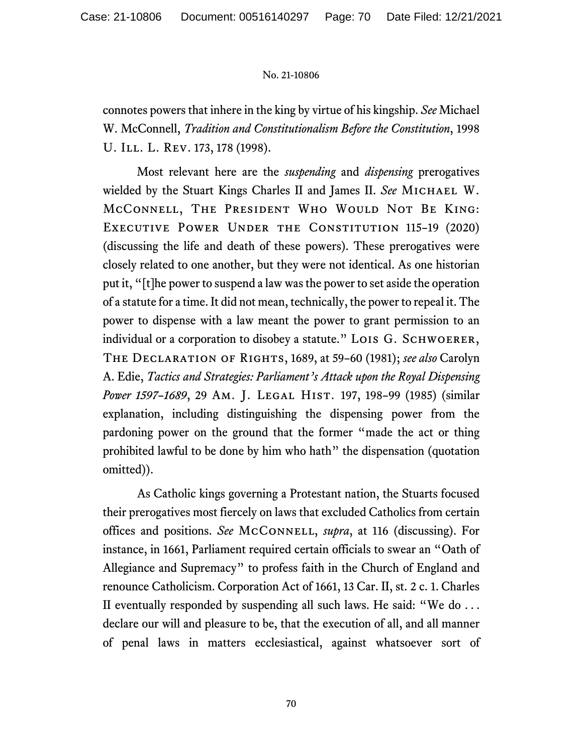connotes powers that inhere in the king by virtue of his kingship. *See* Michael W. McConnell, *Tradition and Constitutionalism Before the Constitution*, 1998 U. ILL. L. REV. 173, 178 (1998).

Most relevant here are the *suspending* and *dispensing* prerogatives wielded by the Stuart Kings Charles II and James II. *See* Michael W. McConnell, The President Who Would Not Be King: Executive Power Under the Constitution 115–19 (2020) (discussing the life and death of these powers). These prerogatives were closely related to one another, but they were not identical. As one historian put it, "[t]he power to suspend a law was the power to set aside the operation of a statute for a time. It did not mean, technically, the power to repeal it. The power to dispense with a law meant the power to grant permission to an individual or a corporation to disobey a statute." LOIS G. SCHWOERER, The Declaration of Rights, 1689, at 59–60 (1981); *see also* Carolyn A. Edie, *Tactics and Strategies: Parliament's Attack upon the Royal Dispensing Power 1597–1689*, 29 Am. J. Legal Hist. 197, 198–99 (1985) (similar explanation, including distinguishing the dispensing power from the pardoning power on the ground that the former "made the act or thing prohibited lawful to be done by him who hath" the dispensation (quotation omitted)).

As Catholic kings governing a Protestant nation, the Stuarts focused their prerogatives most fiercely on laws that excluded Catholics from certain offices and positions. *See* McConnell, *supra*, at 116 (discussing). For instance, in 1661, Parliament required certain officials to swear an "Oath of Allegiance and Supremacy" to profess faith in the Church of England and renounce Catholicism. Corporation Act of 1661, 13 Car. II, st. 2 c. 1. Charles II eventually responded by suspending all such laws. He said: "We do . . . declare our will and pleasure to be, that the execution of all, and all manner of penal laws in matters ecclesiastical, against whatsoever sort of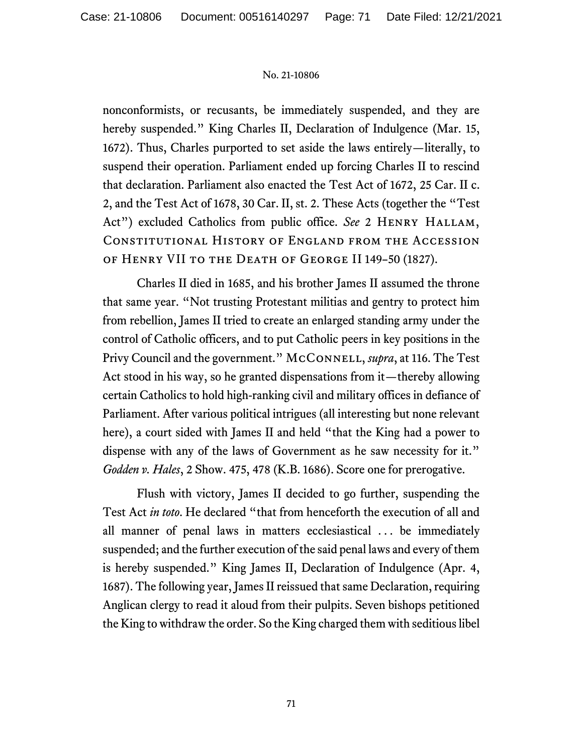nonconformists, or recusants, be immediately suspended, and they are hereby suspended." King Charles II, Declaration of Indulgence (Mar. 15, 1672). Thus, Charles purported to set aside the laws entirely—literally, to suspend their operation. Parliament ended up forcing Charles II to rescind that declaration. Parliament also enacted the Test Act of 1672, 25 Car. II c. 2, and the Test Act of 1678, 30 Car. II, st. 2. These Acts (together the "Test Act") excluded Catholics from public office. See 2 HENRY HALLAM, Constitutional History of England from the Accession of Henry VII to the Death of George II 149–50 (1827).

Charles II died in 1685, and his brother James II assumed the throne that same year. "Not trusting Protestant militias and gentry to protect him from rebellion, James II tried to create an enlarged standing army under the control of Catholic officers, and to put Catholic peers in key positions in the Privy Council and the government." McConnell, *supra*, at 116. The Test Act stood in his way, so he granted dispensations from it—thereby allowing certain Catholics to hold high-ranking civil and military offices in defiance of Parliament. After various political intrigues (all interesting but none relevant here), a court sided with James II and held "that the King had a power to dispense with any of the laws of Government as he saw necessity for it." *Godden v. Hales*, 2 Show. 475, 478 (K.B. 1686). Score one for prerogative.

Flush with victory, James II decided to go further, suspending the Test Act *in toto*. He declared "that from henceforth the execution of all and all manner of penal laws in matters ecclesiastical . . . be immediately suspended; and the further execution of the said penal laws and every of them is hereby suspended." King James II, Declaration of Indulgence (Apr. 4, 1687). The following year, James II reissued that same Declaration, requiring Anglican clergy to read it aloud from their pulpits. Seven bishops petitioned the King to withdraw the order. So the King charged them with seditious libel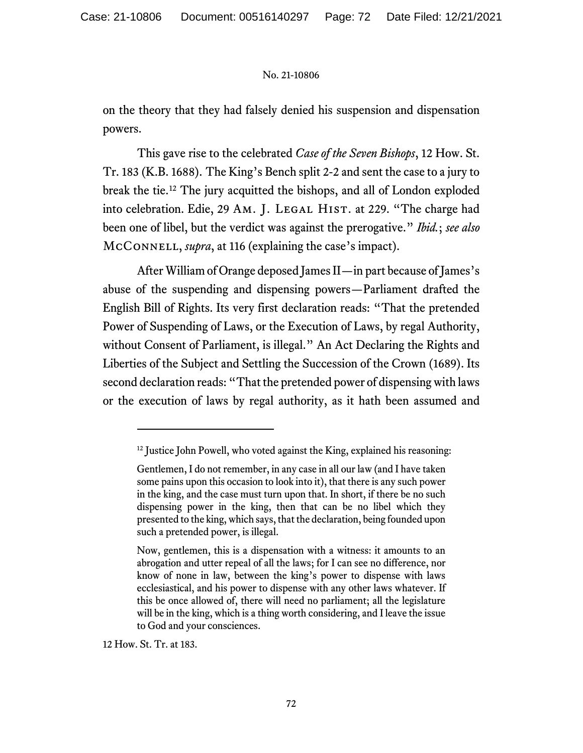on the theory that they had falsely denied his suspension and dispensation powers.

This gave rise to the celebrated *Case of the Seven Bishops*, 12 How. St. Tr. 183 (K.B. 1688). The King's Bench split 2-2 and sent the case to a jury to break the tie.[12](#page-71-0) The jury acquitted the bishops, and all of London exploded into celebration. Edie, 29 AM. J. LEGAL HIST. at 229. "The charge had been one of libel, but the verdict was against the prerogative." *Ibid.*; *see also* McConnell, *supra*, at 116 (explaining the case's impact).

After William of Orange deposed James II—in part because of James's abuse of the suspending and dispensing powers—Parliament drafted the English Bill of Rights. Its very first declaration reads: "That the pretended Power of Suspending of Laws, or the Execution of Laws, by regal Authority, without Consent of Parliament, is illegal." An Act Declaring the Rights and Liberties of the Subject and Settling the Succession of the Crown (1689). Its second declaration reads: "That the pretended power of dispensing with laws or the execution of laws by regal authority, as it hath been assumed and

12 How. St. Tr. at 183.

<span id="page-71-0"></span> $12$  Justice John Powell, who voted against the King, explained his reasoning:

Gentlemen, I do not remember, in any case in all our law (and I have taken some pains upon this occasion to look into it), that there is any such power in the king, and the case must turn upon that. In short, if there be no such dispensing power in the king, then that can be no libel which they presented to the king, which says, that the declaration, being founded upon such a pretended power, is illegal.

Now, gentlemen, this is a dispensation with a witness: it amounts to an abrogation and utter repeal of all the laws; for I can see no difference, nor know of none in law, between the king's power to dispense with laws ecclesiastical, and his power to dispense with any other laws whatever. If this be once allowed of, there will need no parliament; all the legislature will be in the king, which is a thing worth considering, and I leave the issue to God and your consciences.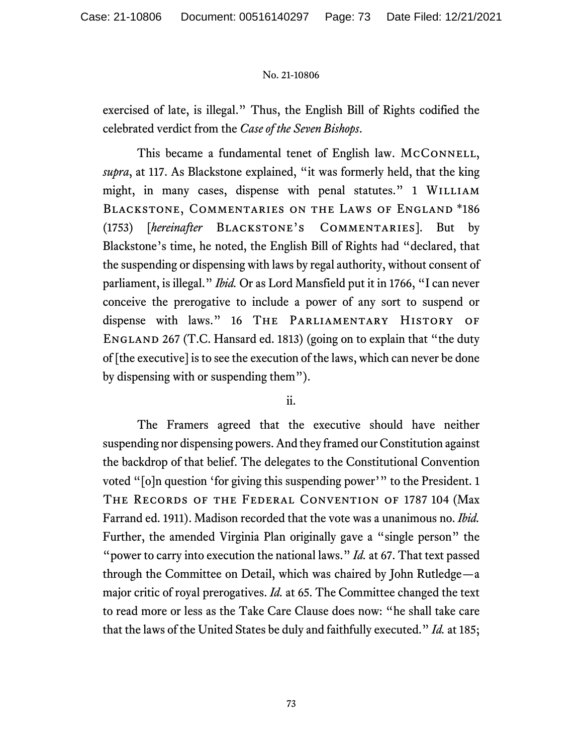exercised of late, is illegal." Thus, the English Bill of Rights codified the celebrated verdict from the *Case of the Seven Bishops*.

This became a fundamental tenet of English law. MCCONNELL, *supra*, at 117. As Blackstone explained, "it was formerly held, that the king might, in many cases, dispense with penal statutes." 1 WILLIAM Blackstone, Commentaries on the Laws of England \*186 (1753) [*hereinafter* Blackstone's Commentaries]. But by Blackstone's time, he noted, the English Bill of Rights had "declared, that the suspending or dispensing with laws by regal authority, without consent of parliament, is illegal." *Ibid.* Or as Lord Mansfield put it in 1766, "I can never conceive the prerogative to include a power of any sort to suspend or dispense with laws." 16 THE PARLIAMENTARY HISTORY OF England 267 (T.C. Hansard ed. 1813) (going on to explain that "the duty of [the executive] is to see the execution of the laws, which can never be done by dispensing with or suspending them").

# ii.

The Framers agreed that the executive should have neither suspending nor dispensing powers. And they framed our Constitution against the backdrop of that belief. The delegates to the Constitutional Convention voted "[o]n question 'for giving this suspending power'" to the President. 1 The Records of the Federal Convention of 1787 104 (Max Farrand ed. 1911). Madison recorded that the vote was a unanimous no. *Ibid.* Further, the amended Virginia Plan originally gave a "single person" the "power to carry into execution the national laws." *Id.* at 67. That text passed through the Committee on Detail, which was chaired by John Rutledge—a major critic of royal prerogatives. *Id.* at 65. The Committee changed the text to read more or less as the Take Care Clause does now: "he shall take care that the laws of the United States be duly and faithfully executed." *Id.* at 185;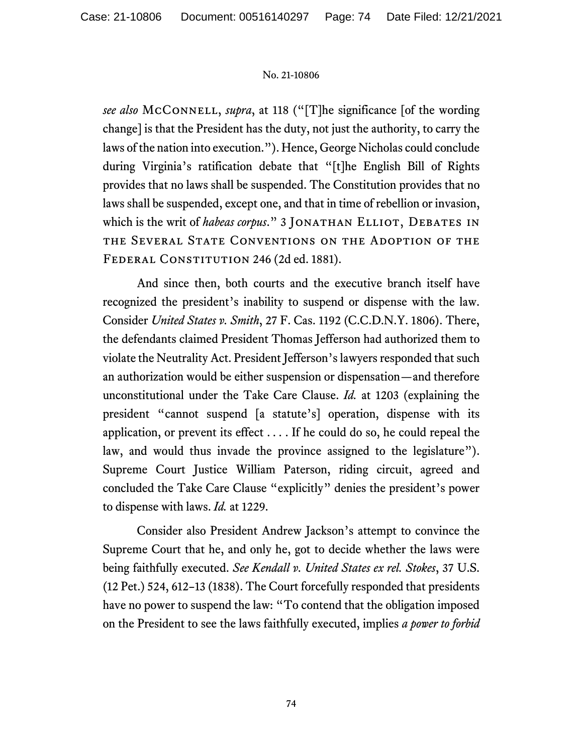*see also* McConnell, *supra*, at 118 ("[T]he significance [of the wording change] is that the President has the duty, not just the authority, to carry the laws of the nation into execution."). Hence, George Nicholas could conclude during Virginia's ratification debate that "[t]he English Bill of Rights provides that no laws shall be suspended. The Constitution provides that no laws shall be suspended, except one, and that in time of rebellion or invasion, which is the writ of *habeas corpus.*" 3 JONATHAN ELLIOT, DEBATES IN the Several State Conventions on the Adoption of the FEDERAL CONSTITUTION 246 (2d ed. 1881).

And since then, both courts and the executive branch itself have recognized the president's inability to suspend or dispense with the law. Consider *United States v. Smith*, 27 F. Cas. 1192 (C.C.D.N.Y. 1806). There, the defendants claimed President Thomas Jefferson had authorized them to violate the Neutrality Act. President Jefferson's lawyers responded that such an authorization would be either suspension or dispensation—and therefore unconstitutional under the Take Care Clause. *Id.* at 1203 (explaining the president "cannot suspend [a statute's] operation, dispense with its application, or prevent its effect . . . . If he could do so, he could repeal the law, and would thus invade the province assigned to the legislature"). Supreme Court Justice William Paterson, riding circuit, agreed and concluded the Take Care Clause "explicitly" denies the president's power to dispense with laws. *Id.* at 1229.

Consider also President Andrew Jackson's attempt to convince the Supreme Court that he, and only he, got to decide whether the laws were being faithfully executed. *See Kendall v. United States ex rel. Stokes*, 37 U.S. (12 Pet.) 524, 612–13 (1838). The Court forcefully responded that presidents have no power to suspend the law: "To contend that the obligation imposed on the President to see the laws faithfully executed, implies *a power to forbid*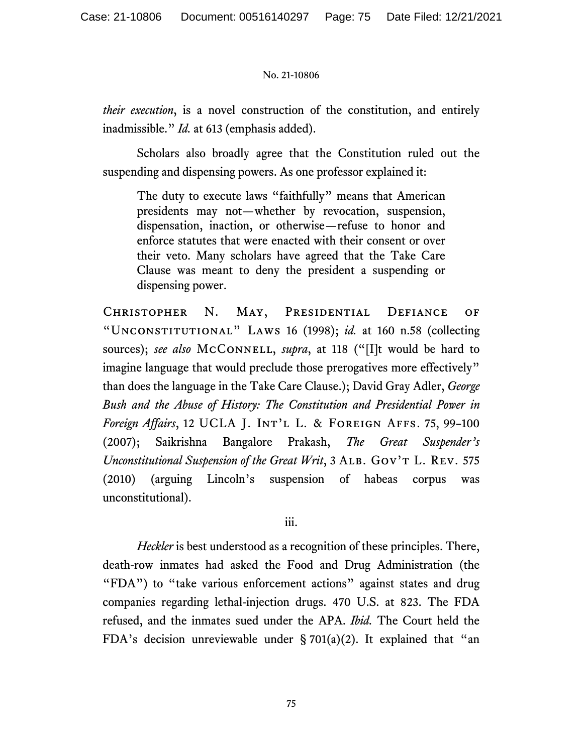*their execution*, is a novel construction of the constitution, and entirely inadmissible." *Id.* at 613 (emphasis added).

Scholars also broadly agree that the Constitution ruled out the suspending and dispensing powers. As one professor explained it:

The duty to execute laws "faithfully" means that American presidents may not—whether by revocation, suspension, dispensation, inaction, or otherwise—refuse to honor and enforce statutes that were enacted with their consent or over their veto. Many scholars have agreed that the Take Care Clause was meant to deny the president a suspending or dispensing power.

Christopher N. May, Presidential Defiance of "Unconstitutional" Laws 16 (1998); *id.* at 160 n.58 (collecting sources); *see also* McCONNELL, *supra*, at 118 ("[I]t would be hard to imagine language that would preclude those prerogatives more effectively" than does the language in the Take Care Clause.); David Gray Adler, *George Bush and the Abuse of History: The Constitution and Presidential Power in Foreign Affairs*, 12 UCLA J. Int'l L. & Foreign Affs. 75, 99–100 (2007); Saikrishna Bangalore Prakash, *The Great Suspender's Unconstitutional Suspension of the Great Writ*, 3 ALB. GOV'T L. REV. 575 (2010) (arguing Lincoln's suspension of habeas corpus was unconstitutional).

# iii.

*Heckler* is best understood as a recognition of these principles. There, death-row inmates had asked the Food and Drug Administration (the "FDA") to "take various enforcement actions" against states and drug companies regarding lethal-injection drugs. 470 U.S. at 823. The FDA refused, and the inmates sued under the APA. *Ibid.* The Court held the FDA's decision unreviewable under § 701(a)(2). It explained that "an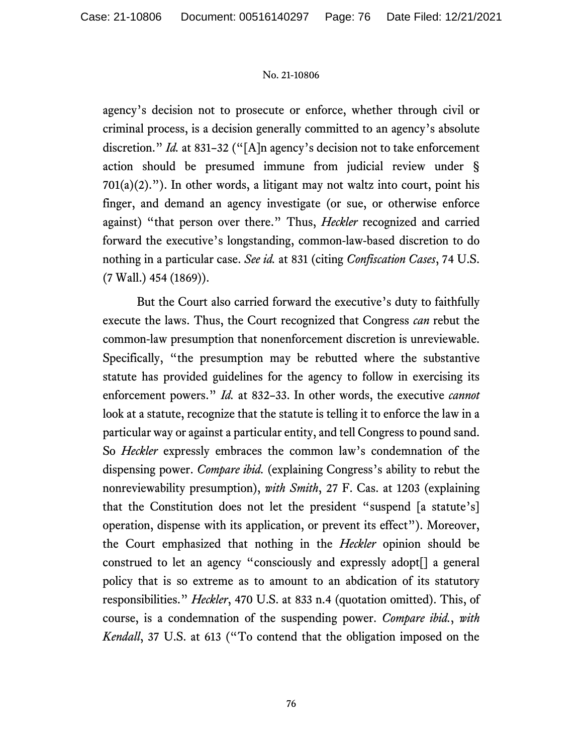agency's decision not to prosecute or enforce, whether through civil or criminal process, is a decision generally committed to an agency's absolute discretion." *Id.* at 831–32 ("[A]n agency's decision not to take enforcement action should be presumed immune from judicial review under §  $701(a)(2)$ ."). In other words, a litigant may not waltz into court, point his finger, and demand an agency investigate (or sue, or otherwise enforce against) "that person over there." Thus, *Heckler* recognized and carried forward the executive's longstanding, common-law-based discretion to do nothing in a particular case. *See id.* at 831 (citing *Confiscation Cases*, 74 U.S. (7 Wall.) 454 (1869)).

But the Court also carried forward the executive's duty to faithfully execute the laws. Thus, the Court recognized that Congress *can* rebut the common-law presumption that nonenforcement discretion is unreviewable. Specifically, "the presumption may be rebutted where the substantive statute has provided guidelines for the agency to follow in exercising its enforcement powers." *Id.* at 832–33. In other words, the executive *cannot* look at a statute, recognize that the statute is telling it to enforce the law in a particular way or against a particular entity, and tell Congress to pound sand. So *Heckler* expressly embraces the common law's condemnation of the dispensing power. *Compare ibid.* (explaining Congress's ability to rebut the nonreviewability presumption), *with Smith*, 27 F. Cas. at 1203 (explaining that the Constitution does not let the president "suspend [a statute's] operation, dispense with its application, or prevent its effect"). Moreover, the Court emphasized that nothing in the *Heckler* opinion should be construed to let an agency "consciously and expressly adopt[] a general policy that is so extreme as to amount to an abdication of its statutory responsibilities." *Heckler*, 470 U.S. at 833 n.4 (quotation omitted). This, of course, is a condemnation of the suspending power. *Compare ibid.*, *with Kendall*, 37 U.S. at 613 ("To contend that the obligation imposed on the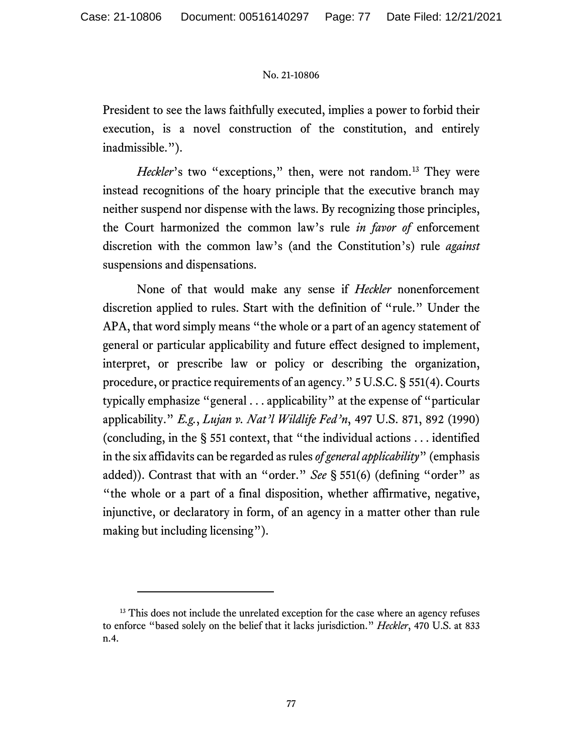President to see the laws faithfully executed, implies a power to forbid their execution, is a novel construction of the constitution, and entirely inadmissible.").

*Heckler*'s two "exceptions," then, were not random.<sup>[13](#page-76-0)</sup> They were instead recognitions of the hoary principle that the executive branch may neither suspend nor dispense with the laws. By recognizing those principles, the Court harmonized the common law's rule *in favor of* enforcement discretion with the common law's (and the Constitution's) rule *against* suspensions and dispensations.

None of that would make any sense if *Heckler* nonenforcement discretion applied to rules. Start with the definition of "rule." Under the APA, that word simply means "the whole or a part of an agency statement of general or particular applicability and future effect designed to implement, interpret, or prescribe law or policy or describing the organization, procedure, or practice requirements of an agency." 5 U.S.C. § 551(4). Courts typically emphasize "general . . . applicability" at the expense of "particular applicability." *E.g.*, *Lujan v. Nat'l Wildlife Fed'n*, 497 U.S. 871, 892 (1990) (concluding, in the § 551 context, that "the individual actions . . . identified in the six affidavits can be regarded as rules *of general applicability*" (emphasis added)). Contrast that with an "order." *See* § 551(6) (defining "order" as "the whole or a part of a final disposition, whether affirmative, negative, injunctive, or declaratory in form, of an agency in a matter other than rule making but including licensing").

<span id="page-76-0"></span><sup>&</sup>lt;sup>13</sup> This does not include the unrelated exception for the case where an agency refuses to enforce "based solely on the belief that it lacks jurisdiction." *Heckler*, 470 U.S. at 833 n.4.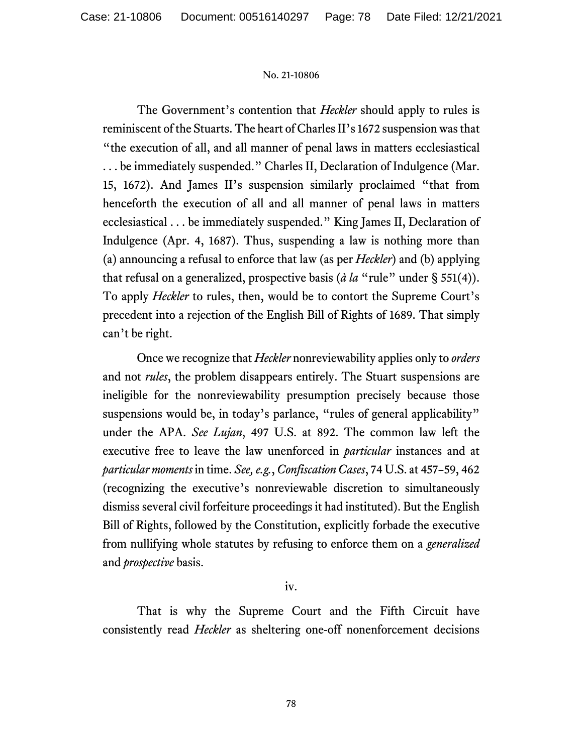The Government's contention that *Heckler* should apply to rules is reminiscent of the Stuarts. The heart of Charles II's 1672 suspension was that "the execution of all, and all manner of penal laws in matters ecclesiastical . . . be immediately suspended." Charles II, Declaration of Indulgence (Mar. 15, 1672). And James II's suspension similarly proclaimed "that from henceforth the execution of all and all manner of penal laws in matters ecclesiastical . . . be immediately suspended." King James II, Declaration of Indulgence (Apr. 4, 1687). Thus, suspending a law is nothing more than (a) announcing a refusal to enforce that law (as per *Heckler*) and (b) applying that refusal on a generalized, prospective basis (*à la* "rule" under § 551(4)). To apply *Heckler* to rules, then, would be to contort the Supreme Court's precedent into a rejection of the English Bill of Rights of 1689. That simply can't be right.

Once we recognize that *Heckler* nonreviewability applies only to *orders* and not *rules*, the problem disappears entirely. The Stuart suspensions are ineligible for the nonreviewability presumption precisely because those suspensions would be, in today's parlance, "rules of general applicability" under the APA. *See Lujan*, 497 U.S. at 892. The common law left the executive free to leave the law unenforced in *particular* instances and at *particular moments* in time. *See, e.g.*, *Confiscation Cases*, 74 U.S. at 457–59, 462 (recognizing the executive's nonreviewable discretion to simultaneously dismiss several civil forfeiture proceedings it had instituted). But the English Bill of Rights, followed by the Constitution, explicitly forbade the executive from nullifying whole statutes by refusing to enforce them on a *generalized* and *prospective* basis.

# iv.

That is why the Supreme Court and the Fifth Circuit have consistently read *Heckler* as sheltering one-off nonenforcement decisions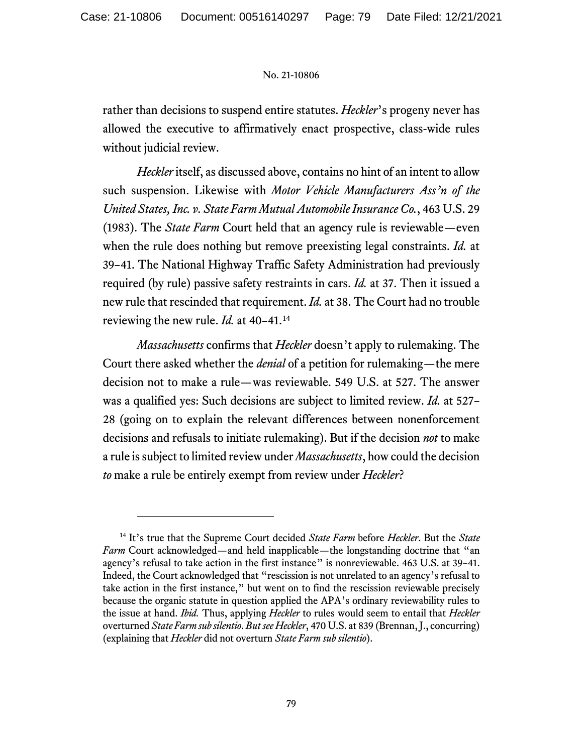rather than decisions to suspend entire statutes. *Heckler*'s progeny never has allowed the executive to affirmatively enact prospective, class-wide rules without judicial review.

*Heckler* itself, as discussed above, contains no hint of an intent to allow such suspension. Likewise with *Motor Vehicle Manufacturers Ass'n of the United States, Inc. v. State Farm Mutual Automobile Insurance Co.*, 463 U.S. 29 (1983). The *State Farm* Court held that an agency rule is reviewable—even when the rule does nothing but remove preexisting legal constraints. *Id.* at 39–41. The National Highway Traffic Safety Administration had previously required (by rule) passive safety restraints in cars. *Id.* at 37. Then it issued a new rule that rescinded that requirement. *Id.* at 38. The Court had no trouble reviewing the new rule. *Id.* at 40–41.[14](#page-78-0)

*Massachusetts* confirms that *Heckler* doesn't apply to rulemaking. The Court there asked whether the *denial* of a petition for rulemaking—the mere decision not to make a rule—was reviewable. 549 U.S. at 527. The answer was a qualified yes: Such decisions are subject to limited review. *Id.* at 527– 28 (going on to explain the relevant differences between nonenforcement decisions and refusals to initiate rulemaking). But if the decision *not* to make a rule is subject to limited review under *Massachusetts*, how could the decision *to* make a rule be entirely exempt from review under *Heckler*?

<span id="page-78-0"></span><sup>14</sup> It's true that the Supreme Court decided *State Farm* before *Heckler*. But the *State Farm* Court acknowledged—and held inapplicable—the longstanding doctrine that "an agency's refusal to take action in the first instance" is nonreviewable. 463 U.S. at 39–41. Indeed, the Court acknowledged that "rescission is not unrelated to an agency's refusal to take action in the first instance," but went on to find the rescission reviewable precisely because the organic statute in question applied the APA's ordinary reviewability rules to the issue at hand. *Ibid.* Thus, applying *Heckler* to rules would seem to entail that *Heckler*  overturned *State Farm sub silentio*. *But see Heckler*, 470 U.S. at 839 (Brennan,J., concurring) (explaining that *Heckler* did not overturn *State Farm sub silentio*).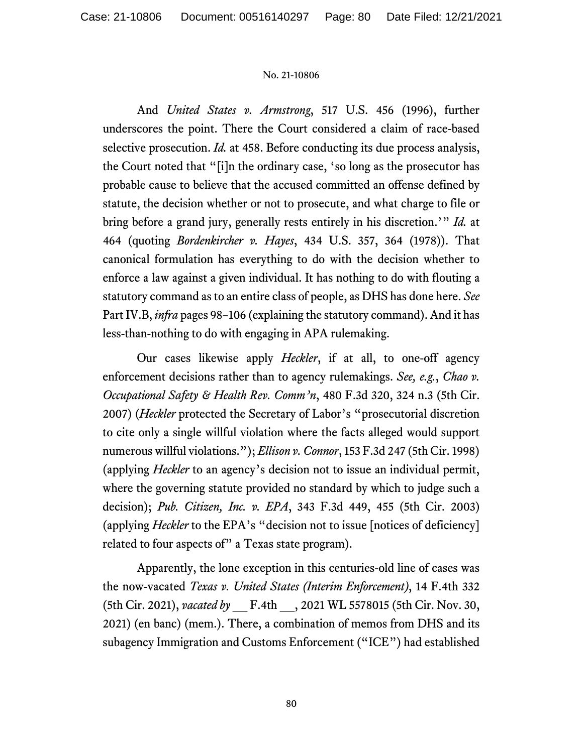And *United States v. Armstrong*, 517 U.S. 456 (1996), further underscores the point. There the Court considered a claim of race-based selective prosecution. *Id.* at 458. Before conducting its due process analysis, the Court noted that "[i]n the ordinary case, 'so long as the prosecutor has probable cause to believe that the accused committed an offense defined by statute, the decision whether or not to prosecute, and what charge to file or bring before a grand jury, generally rests entirely in his discretion.'" *Id.* at 464 (quoting *Bordenkircher v. Hayes*, 434 U.S. 357, 364 (1978)). That canonical formulation has everything to do with the decision whether to enforce a law against a given individual. It has nothing to do with flouting a statutory command as to an entire class of people, as DHS has done here. *See*  Part IV.B, *infra* pages 98–106 (explaining the statutory command). And it has less-than-nothing to do with engaging in APA rulemaking.

Our cases likewise apply *Heckler*, if at all, to one-off agency enforcement decisions rather than to agency rulemakings. *See, e.g.*, *Chao v. Occupational Safety & Health Rev. Comm'n*, 480 F.3d 320, 324 n.3 (5th Cir. 2007) (*Heckler* protected the Secretary of Labor's "prosecutorial discretion to cite only a single willful violation where the facts alleged would support numerous willful violations."); *Ellison v. Connor*, 153 F.3d 247 (5th Cir. 1998) (applying *Heckler* to an agency's decision not to issue an individual permit, where the governing statute provided no standard by which to judge such a decision); *Pub. Citizen, Inc. v. EPA*, 343 F.3d 449, 455 (5th Cir. 2003) (applying *Heckler* to the EPA's "decision not to issue [notices of deficiency] related to four aspects of" a Texas state program).

Apparently, the lone exception in this centuries-old line of cases was the now-vacated *Texas v. United States (Interim Enforcement)*, 14 F.4th 332 (5th Cir. 2021), *vacated by* \_\_ F.4th \_\_, 2021 WL 5578015 (5th Cir. Nov. 30, 2021) (en banc) (mem.). There, a combination of memos from DHS and its subagency Immigration and Customs Enforcement ("ICE") had established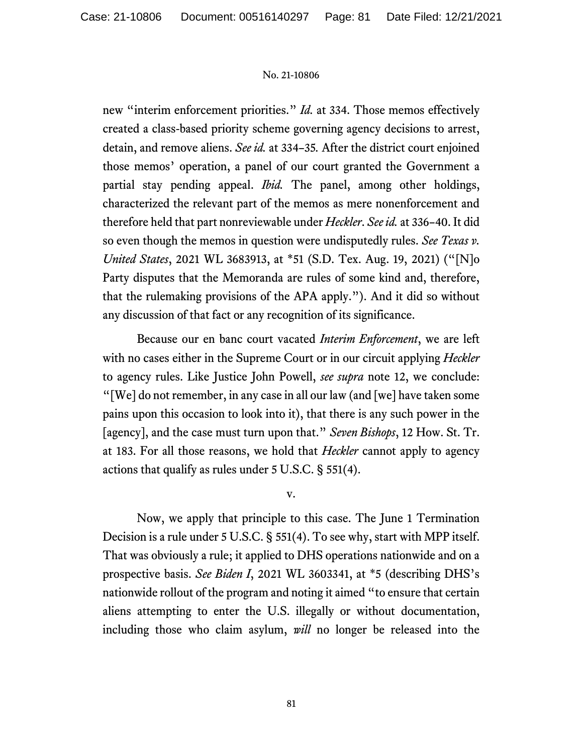new "interim enforcement priorities." *Id.* at 334. Those memos effectively created a class-based priority scheme governing agency decisions to arrest, detain, and remove aliens. *See id.* at 334–35*.* After the district court enjoined those memos' operation, a panel of our court granted the Government a partial stay pending appeal. *Ibid.* The panel, among other holdings, characterized the relevant part of the memos as mere nonenforcement and therefore held that part nonreviewable under *Heckler*. *See id.* at 336–40. It did so even though the memos in question were undisputedly rules. *See Texas v. United States*, 2021 WL 3683913, at \*51 (S.D. Tex. Aug. 19, 2021) ("[N]o Party disputes that the Memoranda are rules of some kind and, therefore, that the rulemaking provisions of the APA apply."). And it did so without any discussion of that fact or any recognition of its significance.

Because our en banc court vacated *Interim Enforcement*, we are left with no cases either in the Supreme Court or in our circuit applying *Heckler* to agency rules. Like Justice John Powell, *see supra* note 12, we conclude: "[We] do not remember, in any case in all our law (and [we] have taken some pains upon this occasion to look into it), that there is any such power in the [agency], and the case must turn upon that." *Seven Bishops*, 12 How. St. Tr. at 183. For all those reasons, we hold that *Heckler* cannot apply to agency actions that qualify as rules under 5 U.S.C. § 551(4).

v.

Now, we apply that principle to this case. The June 1 Termination Decision is a rule under 5 U.S.C. § 551(4). To see why, start with MPP itself. That was obviously a rule; it applied to DHS operations nationwide and on a prospective basis. *See Biden I*, 2021 WL 3603341, at \*5 (describing DHS's nationwide rollout of the program and noting it aimed "to ensure that certain aliens attempting to enter the U.S. illegally or without documentation, including those who claim asylum, *will* no longer be released into the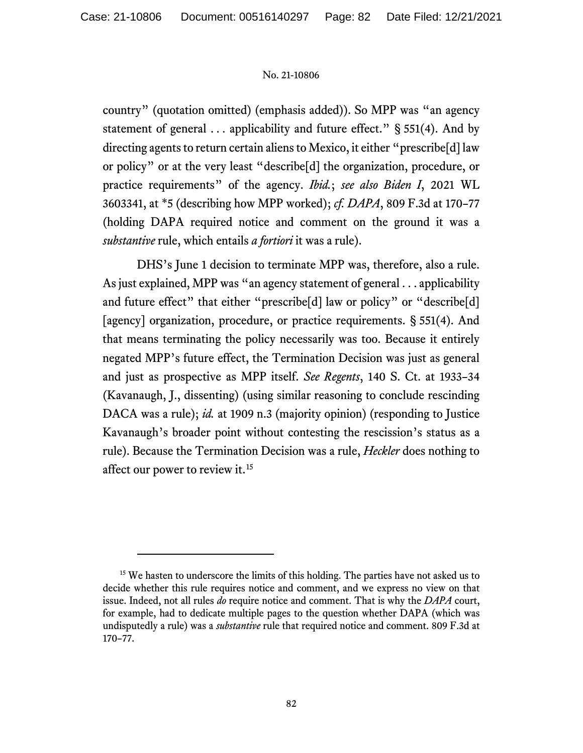country" (quotation omitted) (emphasis added)). So MPP was "an agency statement of general . . . applicability and future effect." § 551(4). And by directing agents to return certain aliens to Mexico, it either "prescribe[d] law or policy" or at the very least "describe[d] the organization, procedure, or practice requirements" of the agency. *Ibid.*; *see also Biden I*, 2021 WL 3603341, at \*5 (describing how MPP worked); *cf. DAPA*, 809 F.3d at 170–77 (holding DAPA required notice and comment on the ground it was a *substantive* rule, which entails *a fortiori* it was a rule).

DHS's June 1 decision to terminate MPP was, therefore, also a rule. As just explained, MPP was "an agency statement of general . . . applicability and future effect" that either "prescribe<sup>[d]</sup> law or policy" or "describe<sup>[d]</sup> [agency] organization, procedure, or practice requirements. § 551(4). And that means terminating the policy necessarily was too. Because it entirely negated MPP's future effect, the Termination Decision was just as general and just as prospective as MPP itself. *See Regents*, 140 S. Ct. at 1933–34 (Kavanaugh, J., dissenting) (using similar reasoning to conclude rescinding DACA was a rule); *id.* at 1909 n.3 (majority opinion) (responding to Justice Kavanaugh's broader point without contesting the rescission's status as a rule). Because the Termination Decision was a rule, *Heckler* does nothing to affect our power to review it.<sup>[15](#page-81-0)</sup>

<span id="page-81-0"></span><sup>&</sup>lt;sup>15</sup> We hasten to underscore the limits of this holding. The parties have not asked us to decide whether this rule requires notice and comment, and we express no view on that issue. Indeed, not all rules *do* require notice and comment. That is why the *DAPA* court, for example, had to dedicate multiple pages to the question whether DAPA (which was undisputedly a rule) was a *substantive* rule that required notice and comment. 809 F.3d at 170–77.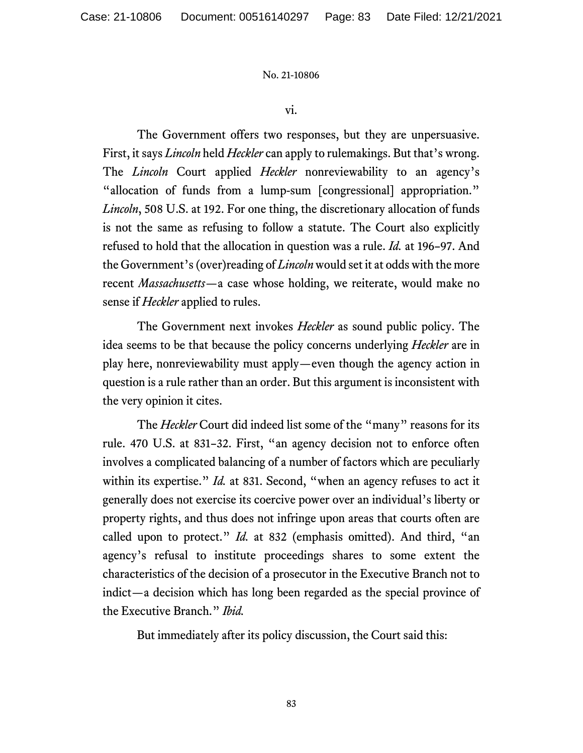vi.

The Government offers two responses, but they are unpersuasive. First, it says *Lincoln* held *Heckler* can apply to rulemakings. But that's wrong. The *Lincoln* Court applied *Heckler* nonreviewability to an agency's "allocation of funds from a lump-sum [congressional] appropriation." *Lincoln*, 508 U.S. at 192. For one thing, the discretionary allocation of funds is not the same as refusing to follow a statute. The Court also explicitly refused to hold that the allocation in question was a rule. *Id.* at 196–97. And the Government's (over)reading of *Lincoln* would set it at odds with the more recent *Massachusetts*—a case whose holding, we reiterate, would make no sense if *Heckler* applied to rules.

The Government next invokes *Heckler* as sound public policy. The idea seems to be that because the policy concerns underlying *Heckler* are in play here, nonreviewability must apply—even though the agency action in question is a rule rather than an order. But this argument is inconsistent with the very opinion it cites.

The *Heckler* Court did indeed list some of the "many" reasons for its rule. 470 U.S. at 831–32. First, "an agency decision not to enforce often involves a complicated balancing of a number of factors which are peculiarly within its expertise." *Id.* at 831. Second, "when an agency refuses to act it generally does not exercise its coercive power over an individual's liberty or property rights, and thus does not infringe upon areas that courts often are called upon to protect." *Id.* at 832 (emphasis omitted). And third, "an agency's refusal to institute proceedings shares to some extent the characteristics of the decision of a prosecutor in the Executive Branch not to indict—a decision which has long been regarded as the special province of the Executive Branch." *Ibid.* 

But immediately after its policy discussion, the Court said this: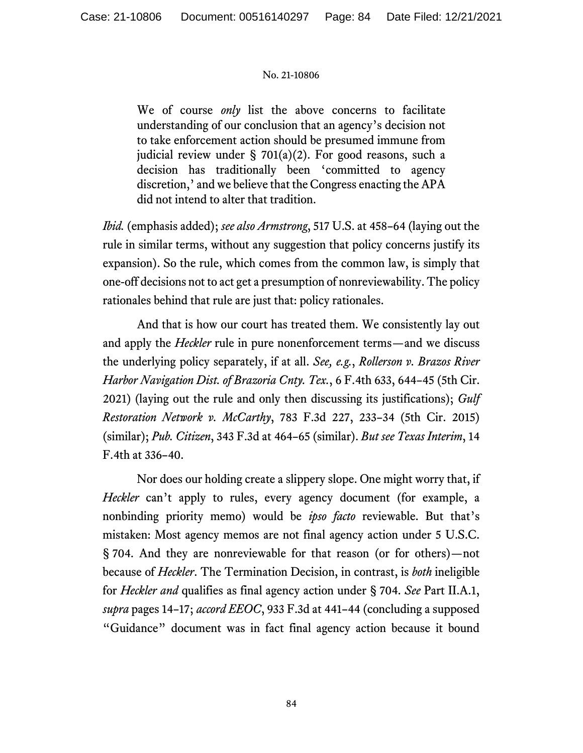We of course *only* list the above concerns to facilitate understanding of our conclusion that an agency's decision not to take enforcement action should be presumed immune from judicial review under § 701(a)(2). For good reasons, such a decision has traditionally been 'committed to agency discretion,' and we believe that the Congress enacting the APA did not intend to alter that tradition.

*Ibid.* (emphasis added); *see also Armstrong*, 517 U.S. at 458–64 (laying out the rule in similar terms, without any suggestion that policy concerns justify its expansion). So the rule, which comes from the common law, is simply that one-off decisions not to act get a presumption of nonreviewability. The policy rationales behind that rule are just that: policy rationales.

And that is how our court has treated them. We consistently lay out and apply the *Heckler* rule in pure nonenforcement terms—and we discuss the underlying policy separately, if at all. *See, e.g.*, *Rollerson v. Brazos River Harbor Navigation Dist. of Brazoria Cnty. Tex.*, 6 F.4th 633, 644–45 (5th Cir. 2021) (laying out the rule and only then discussing its justifications); *Gulf Restoration Network v. McCarthy*, 783 F.3d 227, 233–34 (5th Cir. 2015) (similar); *Pub. Citizen*, 343 F.3d at 464–65 (similar). *But see Texas Interim*, 14 F.4th at 336–40.

Nor does our holding create a slippery slope. One might worry that, if *Heckler* can't apply to rules, every agency document (for example, a nonbinding priority memo) would be *ipso facto* reviewable. But that's mistaken: Most agency memos are not final agency action under 5 U.S.C. § 704. And they are nonreviewable for that reason (or for others)—not because of *Heckler*. The Termination Decision, in contrast, is *both* ineligible for *Heckler and* qualifies as final agency action under § 704. *See* Part II.A.1, *supra* pages 14–17; *accord EEOC*, 933 F.3d at 441–44 (concluding a supposed "Guidance" document was in fact final agency action because it bound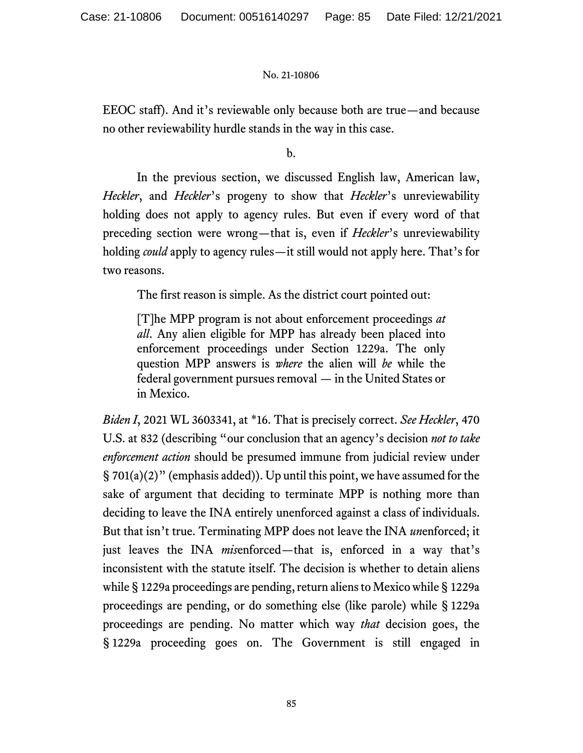EEOC staff). And it's reviewable only because both are true—and because no other reviewability hurdle stands in the way in this case.

b.

In the previous section, we discussed English law, American law, *Heckler*, and *Heckler*'s progeny to show that *Heckler*'s unreviewability holding does not apply to agency rules. But even if every word of that preceding section were wrong—that is, even if *Heckler*'s unreviewability holding *could* apply to agency rules—it still would not apply here. That's for two reasons.

The first reason is simple. As the district court pointed out:

[T]he MPP program is not about enforcement proceedings *at all*. Any alien eligible for MPP has already been placed into enforcement proceedings under Section 1229a. The only question MPP answers is *where* the alien will *be* while the federal government pursues removal — in the United States or in Mexico.

*Biden I*, 2021 WL 3603341, at \*16. That is precisely correct. *See Heckler*, 470 U.S. at 832 (describing "our conclusion that an agency's decision *not to take enforcement action* should be presumed immune from judicial review under § 701(a)(2)" (emphasis added)). Up until this point, we have assumed for the sake of argument that deciding to terminate MPP is nothing more than deciding to leave the INA entirely unenforced against a class of individuals. But that isn't true. Terminating MPP does not leave the INA *un*enforced; it just leaves the INA *mis*enforced—that is, enforced in a way that's inconsistent with the statute itself. The decision is whether to detain aliens while § 1229a proceedings are pending, return aliens to Mexico while § 1229a proceedings are pending, or do something else (like parole) while § 1229a proceedings are pending. No matter which way *that* decision goes, the § 1229a proceeding goes on. The Government is still engaged in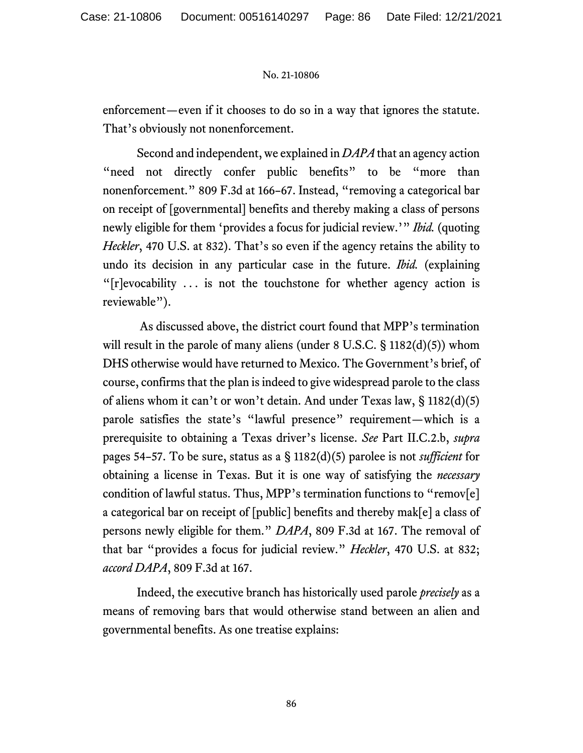enforcement—even if it chooses to do so in a way that ignores the statute. That's obviously not nonenforcement.

Second and independent, we explained in *DAPA* that an agency action "need not directly confer public benefits" to be "more than nonenforcement." 809 F.3d at 166–67. Instead, "removing a categorical bar on receipt of [governmental] benefits and thereby making a class of persons newly eligible for them 'provides a focus for judicial review.'" *Ibid.* (quoting *Heckler*, 470 U.S. at 832). That's so even if the agency retains the ability to undo its decision in any particular case in the future. *Ibid.* (explaining "[r]evocability . . . is not the touchstone for whether agency action is reviewable").

As discussed above, the district court found that MPP's termination will result in the parole of many aliens (under 8 U.S.C. § 1182(d)(5)) whom DHS otherwise would have returned to Mexico. The Government's brief, of course, confirms that the plan is indeed to give widespread parole to the class of aliens whom it can't or won't detain. And under Texas law, § 1182(d)(5) parole satisfies the state's "lawful presence" requirement—which is a prerequisite to obtaining a Texas driver's license. *See* Part II.C.2.b, *supra* pages 54–57. To be sure, status as a § 1182(d)(5) parolee is not *sufficient* for obtaining a license in Texas. But it is one way of satisfying the *necessary* condition of lawful status. Thus, MPP's termination functions to "remov[e] a categorical bar on receipt of [public] benefits and thereby mak[e] a class of persons newly eligible for them." *DAPA*, 809 F.3d at 167. The removal of that bar "provides a focus for judicial review." *Heckler*, 470 U.S. at 832; *accord DAPA*, 809 F.3d at 167.

Indeed, the executive branch has historically used parole *precisely* as a means of removing bars that would otherwise stand between an alien and governmental benefits. As one treatise explains: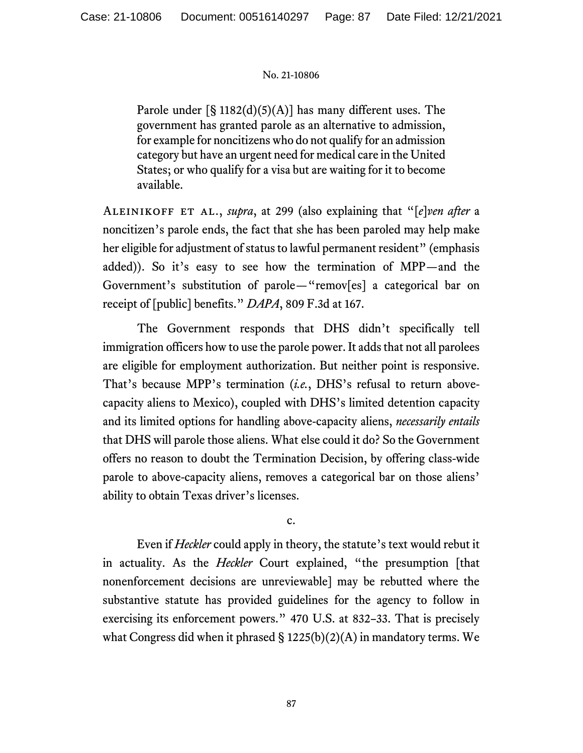Parole under  $\lceil \S 1182(d)(5)(A) \rceil$  has many different uses. The government has granted parole as an alternative to admission, for example for noncitizens who do not qualify for an admission category but have an urgent need for medical care in the United States; or who qualify for a visa but are waiting for it to become available.

Aleinikoff et al., *supra*, at 299 (also explaining that "[*e*]*ven after* a noncitizen's parole ends, the fact that she has been paroled may help make her eligible for adjustment of status to lawful permanent resident" (emphasis added)). So it's easy to see how the termination of MPP—and the Government's substitution of parole—"remov[es] a categorical bar on receipt of [public] benefits." *DAPA*, 809 F.3d at 167.

The Government responds that DHS didn't specifically tell immigration officers how to use the parole power. It adds that not all parolees are eligible for employment authorization. But neither point is responsive. That's because MPP's termination (*i.e.*, DHS's refusal to return abovecapacity aliens to Mexico), coupled with DHS's limited detention capacity and its limited options for handling above-capacity aliens, *necessarily entails* that DHS will parole those aliens. What else could it do? So the Government offers no reason to doubt the Termination Decision, by offering class-wide parole to above-capacity aliens, removes a categorical bar on those aliens' ability to obtain Texas driver's licenses.

c.

Even if *Heckler* could apply in theory, the statute's text would rebut it in actuality. As the *Heckler* Court explained, "the presumption [that nonenforcement decisions are unreviewable] may be rebutted where the substantive statute has provided guidelines for the agency to follow in exercising its enforcement powers." 470 U.S. at 832–33. That is precisely what Congress did when it phrased  $\S$  1225(b)(2)(A) in mandatory terms. We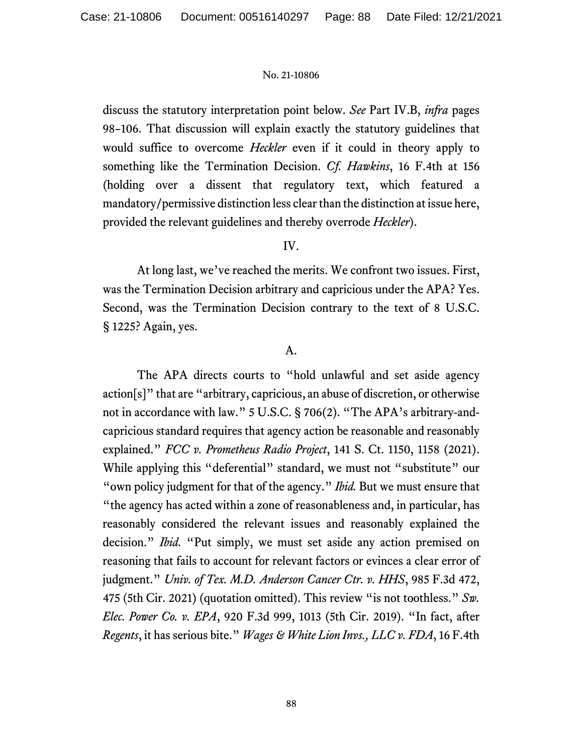discuss the statutory interpretation point below. *See* Part IV.B, *infra* pages 98–106. That discussion will explain exactly the statutory guidelines that would suffice to overcome *Heckler* even if it could in theory apply to something like the Termination Decision. *Cf. Hawkins*, 16 F.4th at 156 (holding over a dissent that regulatory text, which featured a mandatory/permissive distinction less clear than the distinction at issue here, provided the relevant guidelines and thereby overrode *Heckler*).

# IV.

At long last, we've reached the merits. We confront two issues. First, was the Termination Decision arbitrary and capricious under the APA? Yes. Second, was the Termination Decision contrary to the text of 8 U.S.C. § 1225? Again, yes.

# A.

The APA directs courts to "hold unlawful and set aside agency action[s]" that are "arbitrary, capricious, an abuse of discretion, or otherwise not in accordance with law." 5 U.S.C. § 706(2). "The APA's arbitrary-andcapricious standard requires that agency action be reasonable and reasonably explained." *FCC v. Prometheus Radio Project*, 141 S. Ct. 1150, 1158 (2021). While applying this "deferential" standard, we must not "substitute" our "own policy judgment for that of the agency." *Ibid.* But we must ensure that "the agency has acted within a zone of reasonableness and, in particular, has reasonably considered the relevant issues and reasonably explained the decision." *Ibid.* "Put simply, we must set aside any action premised on reasoning that fails to account for relevant factors or evinces a clear error of judgment." *Univ. of Tex. M.D. Anderson Cancer Ctr. v. HHS*, 985 F.3d 472, 475 (5th Cir. 2021) (quotation omitted). This review "is not toothless." *Sw. Elec. Power Co. v. EPA*, 920 F.3d 999, 1013 (5th Cir. 2019). "In fact, after *Regents*, it has serious bite." *Wages & White Lion Invs., LLC v. FDA*, 16 F.4th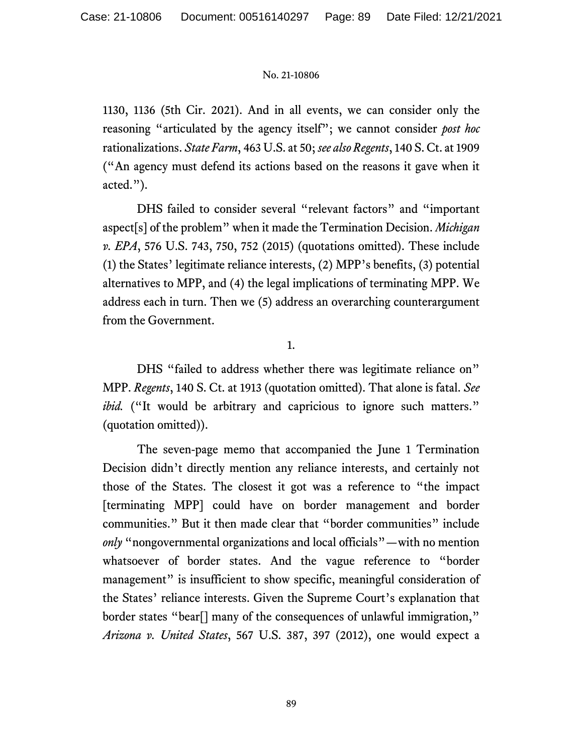1130, 1136 (5th Cir. 2021). And in all events, we can consider only the reasoning "articulated by the agency itself"; we cannot consider *post hoc*  rationalizations. *State Farm*, 463 U.S. at 50; *see also Regents*, 140 S. Ct. at 1909 ("An agency must defend its actions based on the reasons it gave when it acted.").

DHS failed to consider several "relevant factors" and "important aspect[s] of the problem" when it made the Termination Decision. *Michigan v. EPA*, 576 U.S. 743, 750, 752 (2015) (quotations omitted). These include (1) the States' legitimate reliance interests, (2) MPP's benefits, (3) potential alternatives to MPP, and (4) the legal implications of terminating MPP. We address each in turn. Then we (5) address an overarching counterargument from the Government.

1.

DHS "failed to address whether there was legitimate reliance on" MPP. *Regents*, 140 S. Ct. at 1913 (quotation omitted). That alone is fatal. *See ibid.* ("It would be arbitrary and capricious to ignore such matters." (quotation omitted)).

The seven-page memo that accompanied the June 1 Termination Decision didn't directly mention any reliance interests, and certainly not those of the States. The closest it got was a reference to "the impact [terminating MPP] could have on border management and border communities." But it then made clear that "border communities" include *only* "nongovernmental organizations and local officials"—with no mention whatsoever of border states. And the vague reference to "border management" is insufficient to show specific, meaningful consideration of the States' reliance interests. Given the Supreme Court's explanation that border states "bear[] many of the consequences of unlawful immigration," *Arizona v. United States*, 567 U.S. 387, 397 (2012), one would expect a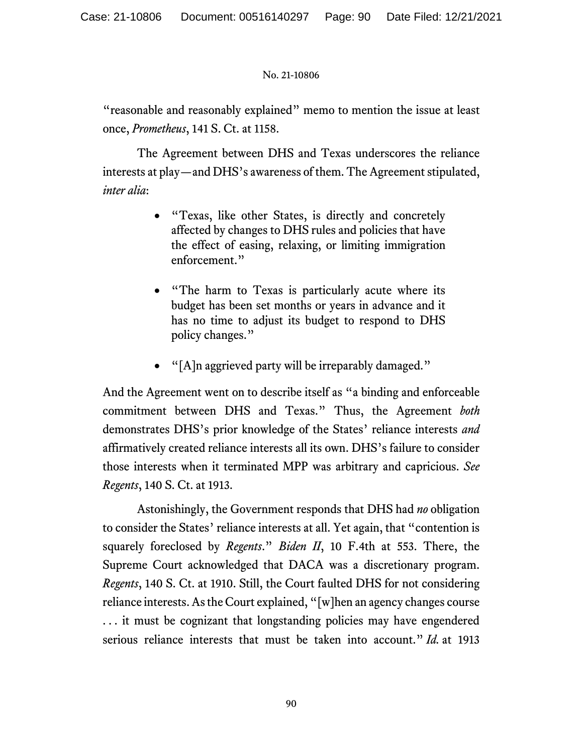"reasonable and reasonably explained" memo to mention the issue at least once, *Prometheus*, 141 S. Ct. at 1158.

The Agreement between DHS and Texas underscores the reliance interests at play—and DHS's awareness of them. The Agreement stipulated, *inter alia*:

- "Texas, like other States, is directly and concretely affected by changes to DHS rules and policies that have the effect of easing, relaxing, or limiting immigration enforcement."
- "The harm to Texas is particularly acute where its budget has been set months or years in advance and it has no time to adjust its budget to respond to DHS policy changes."
- "[A]n aggrieved party will be irreparably damaged."

And the Agreement went on to describe itself as "a binding and enforceable commitment between DHS and Texas." Thus, the Agreement *both* demonstrates DHS's prior knowledge of the States' reliance interests *and* affirmatively created reliance interests all its own. DHS's failure to consider those interests when it terminated MPP was arbitrary and capricious. *See Regents*, 140 S. Ct. at 1913.

Astonishingly, the Government responds that DHS had *no* obligation to consider the States' reliance interests at all. Yet again, that "contention is squarely foreclosed by *Regents*." *Biden II*, 10 F.4th at 553. There, the Supreme Court acknowledged that DACA was a discretionary program. *Regents*, 140 S. Ct. at 1910. Still, the Court faulted DHS for not considering reliance interests. As the Court explained, "[w]hen an agency changes course . . . it must be cognizant that longstanding policies may have engendered serious reliance interests that must be taken into account." *Id.* at 1913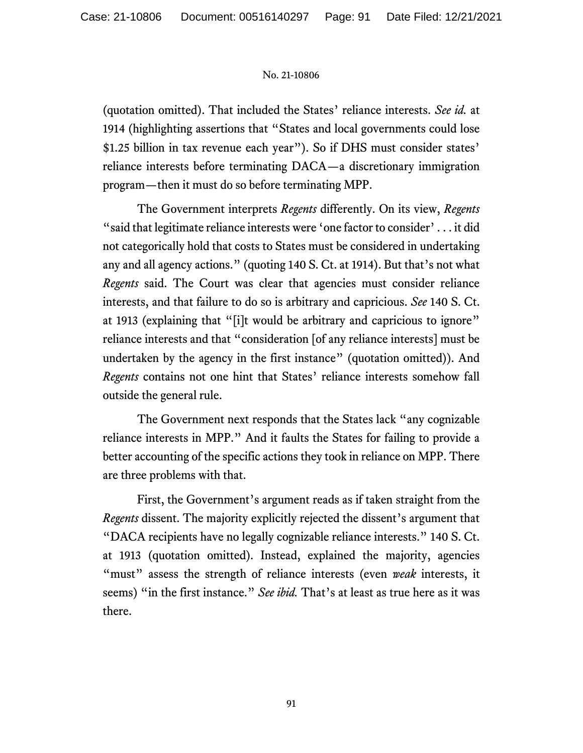(quotation omitted). That included the States' reliance interests. *See id.* at 1914 (highlighting assertions that "States and local governments could lose \$1.25 billion in tax revenue each year"). So if DHS must consider states' reliance interests before terminating DACA—a discretionary immigration program—then it must do so before terminating MPP.

The Government interprets *Regents* differently. On its view, *Regents* "said that legitimate reliance interests were 'one factor to consider' . . . it did not categorically hold that costs to States must be considered in undertaking any and all agency actions." (quoting 140 S. Ct. at 1914). But that's not what *Regents* said. The Court was clear that agencies must consider reliance interests, and that failure to do so is arbitrary and capricious. *See* 140 S. Ct. at 1913 (explaining that "[i]t would be arbitrary and capricious to ignore" reliance interests and that "consideration [of any reliance interests] must be undertaken by the agency in the first instance" (quotation omitted)). And *Regents* contains not one hint that States' reliance interests somehow fall outside the general rule.

The Government next responds that the States lack "any cognizable reliance interests in MPP." And it faults the States for failing to provide a better accounting of the specific actions they took in reliance on MPP. There are three problems with that.

First, the Government's argument reads as if taken straight from the *Regents* dissent. The majority explicitly rejected the dissent's argument that "DACA recipients have no legally cognizable reliance interests." 140 S. Ct. at 1913 (quotation omitted). Instead, explained the majority, agencies "must" assess the strength of reliance interests (even *weak* interests, it seems) "in the first instance." *See ibid.* That's at least as true here as it was there.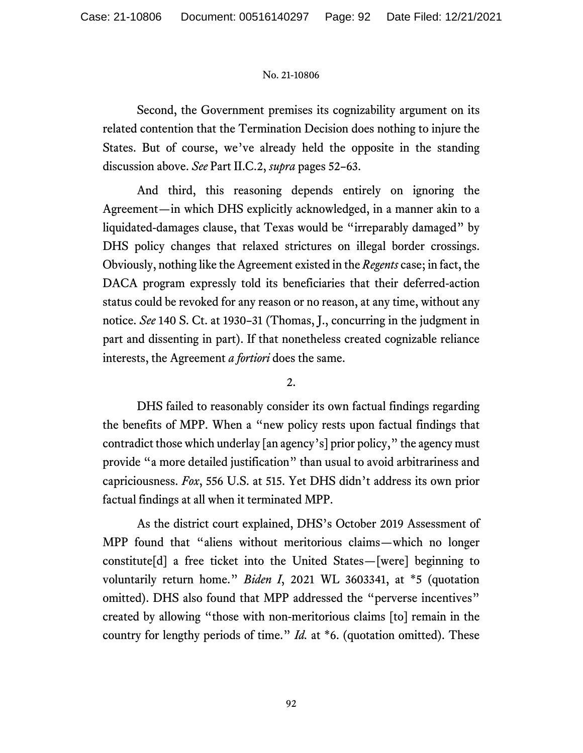Second, the Government premises its cognizability argument on its related contention that the Termination Decision does nothing to injure the States. But of course, we've already held the opposite in the standing discussion above. *See* Part II.C.2, *supra* pages 52–63.

And third, this reasoning depends entirely on ignoring the Agreement—in which DHS explicitly acknowledged, in a manner akin to a liquidated-damages clause, that Texas would be "irreparably damaged" by DHS policy changes that relaxed strictures on illegal border crossings. Obviously, nothing like the Agreement existed in the *Regents* case; in fact, the DACA program expressly told its beneficiaries that their deferred-action status could be revoked for any reason or no reason, at any time, without any notice. *See* 140 S. Ct. at 1930–31 (Thomas, J., concurring in the judgment in part and dissenting in part). If that nonetheless created cognizable reliance interests, the Agreement *a fortiori* does the same.

2.

DHS failed to reasonably consider its own factual findings regarding the benefits of MPP. When a "new policy rests upon factual findings that contradict those which underlay [an agency's] prior policy," the agency must provide "a more detailed justification" than usual to avoid arbitrariness and capriciousness. *Fox*, 556 U.S. at 515. Yet DHS didn't address its own prior factual findings at all when it terminated MPP.

As the district court explained, DHS's October 2019 Assessment of MPP found that "aliens without meritorious claims—which no longer constitute[d] a free ticket into the United States—[were] beginning to voluntarily return home." *Biden I*, 2021 WL 3603341, at \*5 (quotation omitted). DHS also found that MPP addressed the "perverse incentives" created by allowing "those with non-meritorious claims [to] remain in the country for lengthy periods of time." *Id.* at \*6. (quotation omitted). These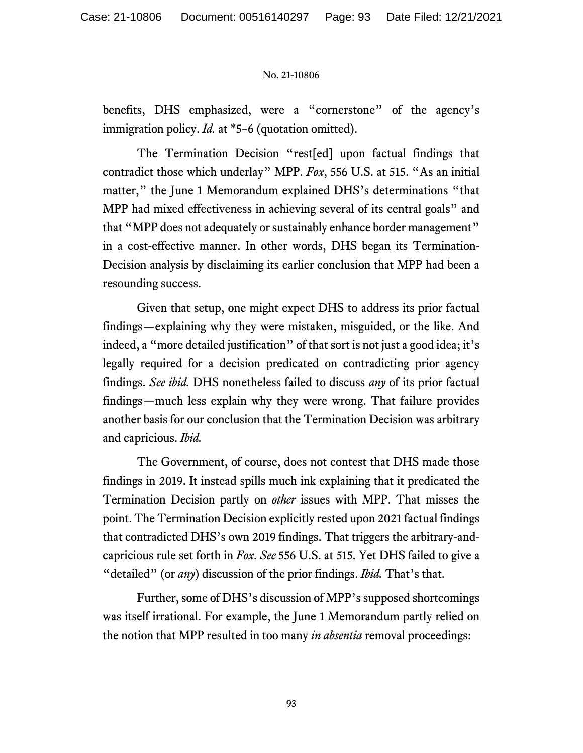benefits, DHS emphasized, were a "cornerstone" of the agency's immigration policy. *Id.* at \*5–6 (quotation omitted).

The Termination Decision "rest[ed] upon factual findings that contradict those which underlay" MPP. *Fox*, 556 U.S. at 515. "As an initial matter," the June 1 Memorandum explained DHS's determinations "that MPP had mixed effectiveness in achieving several of its central goals" and that "MPP does not adequately or sustainably enhance border management" in a cost-effective manner. In other words, DHS began its Termination-Decision analysis by disclaiming its earlier conclusion that MPP had been a resounding success.

Given that setup, one might expect DHS to address its prior factual findings—explaining why they were mistaken, misguided, or the like. And indeed, a "more detailed justification" of that sort is not just a good idea; it's legally required for a decision predicated on contradicting prior agency findings. *See ibid.* DHS nonetheless failed to discuss *any* of its prior factual findings—much less explain why they were wrong. That failure provides another basis for our conclusion that the Termination Decision was arbitrary and capricious. *Ibid.*

The Government, of course, does not contest that DHS made those findings in 2019. It instead spills much ink explaining that it predicated the Termination Decision partly on *other* issues with MPP. That misses the point. The Termination Decision explicitly rested upon 2021 factual findings that contradicted DHS's own 2019 findings. That triggers the arbitrary-andcapricious rule set forth in *Fox*. *See* 556 U.S. at 515. Yet DHS failed to give a "detailed" (or *any*) discussion of the prior findings. *Ibid.* That's that.

Further, some of DHS's discussion of MPP's supposed shortcomings was itself irrational. For example, the June 1 Memorandum partly relied on the notion that MPP resulted in too many *in absentia* removal proceedings: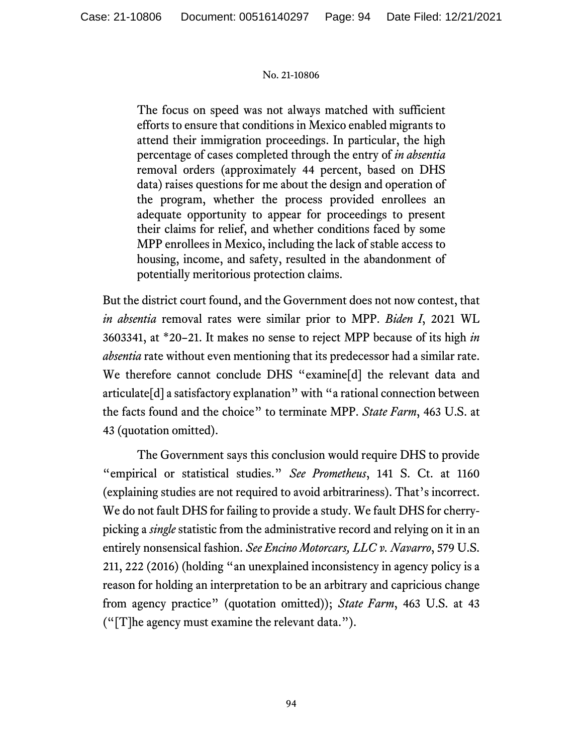The focus on speed was not always matched with sufficient efforts to ensure that conditions in Mexico enabled migrants to attend their immigration proceedings. In particular, the high percentage of cases completed through the entry of *in absentia*  removal orders (approximately 44 percent, based on DHS data) raises questions for me about the design and operation of the program, whether the process provided enrollees an adequate opportunity to appear for proceedings to present their claims for relief, and whether conditions faced by some MPP enrollees in Mexico, including the lack of stable access to housing, income, and safety, resulted in the abandonment of potentially meritorious protection claims.

But the district court found, and the Government does not now contest, that *in absentia* removal rates were similar prior to MPP. *Biden I*, 2021 WL 3603341, at \*20–21. It makes no sense to reject MPP because of its high *in absentia* rate without even mentioning that its predecessor had a similar rate. We therefore cannot conclude DHS "examine[d] the relevant data and articulate[d] a satisfactory explanation" with "a rational connection between the facts found and the choice" to terminate MPP. *State Farm*, 463 U.S. at 43 (quotation omitted).

The Government says this conclusion would require DHS to provide "empirical or statistical studies." *See Prometheus*, 141 S. Ct. at 1160 (explaining studies are not required to avoid arbitrariness). That's incorrect. We do not fault DHS for failing to provide a study. We fault DHS for cherrypicking a *single* statistic from the administrative record and relying on it in an entirely nonsensical fashion. *See Encino Motorcars, LLC v. Navarro*, 579 U.S. 211, 222 (2016) (holding "an unexplained inconsistency in agency policy is a reason for holding an interpretation to be an arbitrary and capricious change from agency practice" (quotation omitted)); *State Farm*, 463 U.S. at 43 ("[T]he agency must examine the relevant data.").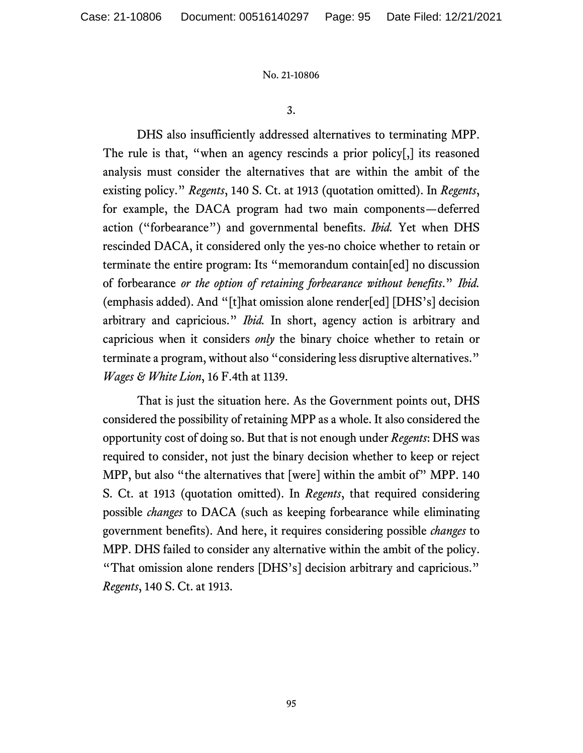3.

DHS also insufficiently addressed alternatives to terminating MPP. The rule is that, "when an agency rescinds a prior policy[,] its reasoned analysis must consider the alternatives that are within the ambit of the existing policy." *Regents*, 140 S. Ct. at 1913 (quotation omitted). In *Regents*, for example, the DACA program had two main components—deferred action ("forbearance") and governmental benefits. *Ibid.* Yet when DHS rescinded DACA, it considered only the yes-no choice whether to retain or terminate the entire program: Its "memorandum contain[ed] no discussion of forbearance *or the option of retaining forbearance without benefits*." *Ibid.* (emphasis added). And "[t]hat omission alone render[ed] [DHS's] decision arbitrary and capricious." *Ibid.* In short, agency action is arbitrary and capricious when it considers *only* the binary choice whether to retain or terminate a program, without also "considering less disruptive alternatives." *Wages & White Lion*, 16 F.4th at 1139.

That is just the situation here. As the Government points out, DHS considered the possibility of retaining MPP as a whole. It also considered the opportunity cost of doing so. But that is not enough under *Regents*: DHS was required to consider, not just the binary decision whether to keep or reject MPP, but also "the alternatives that [were] within the ambit of" MPP. 140 S. Ct. at 1913 (quotation omitted). In *Regents*, that required considering possible *changes* to DACA (such as keeping forbearance while eliminating government benefits). And here, it requires considering possible *changes* to MPP. DHS failed to consider any alternative within the ambit of the policy. "That omission alone renders [DHS's] decision arbitrary and capricious." *Regents*, 140 S. Ct. at 1913.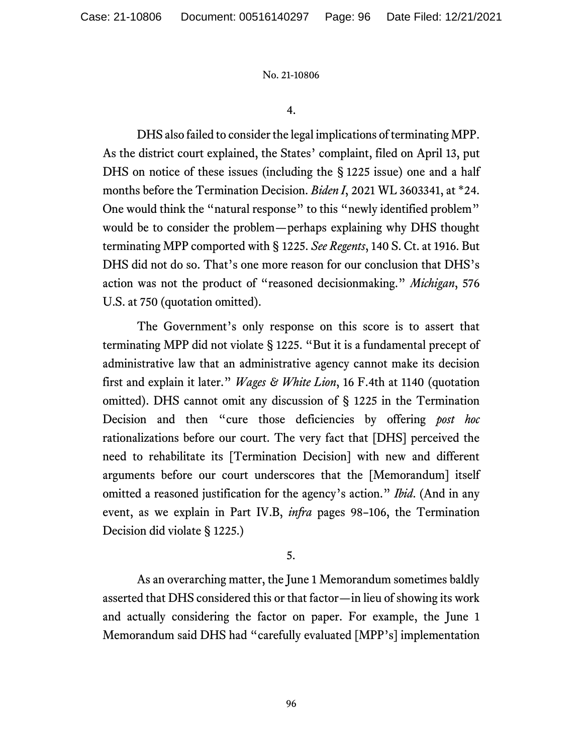4.

DHS also failed to consider the legal implications of terminating MPP. As the district court explained, the States' complaint, filed on April 13, put DHS on notice of these issues (including the § 1225 issue) one and a half months before the Termination Decision. *Biden I*, 2021 WL 3603341, at \*24. One would think the "natural response" to this "newly identified problem" would be to consider the problem—perhaps explaining why DHS thought terminating MPP comported with § 1225. *See Regents*, 140 S. Ct. at 1916. But DHS did not do so. That's one more reason for our conclusion that DHS's action was not the product of "reasoned decisionmaking." *Michigan*, 576 U.S. at 750 (quotation omitted).

The Government's only response on this score is to assert that terminating MPP did not violate § 1225. "But it is a fundamental precept of administrative law that an administrative agency cannot make its decision first and explain it later." *Wages & White Lion*, 16 F.4th at 1140 (quotation omitted). DHS cannot omit any discussion of § 1225 in the Termination Decision and then "cure those deficiencies by offering *post hoc* rationalizations before our court. The very fact that [DHS] perceived the need to rehabilitate its [Termination Decision] with new and different arguments before our court underscores that the [Memorandum] itself omitted a reasoned justification for the agency's action." *Ibid*. (And in any event, as we explain in Part IV.B, *infra* pages 98–106, the Termination Decision did violate § 1225.)

5.

As an overarching matter, the June 1 Memorandum sometimes baldly asserted that DHS considered this or that factor—in lieu of showing its work and actually considering the factor on paper. For example, the June 1 Memorandum said DHS had "carefully evaluated [MPP's] implementation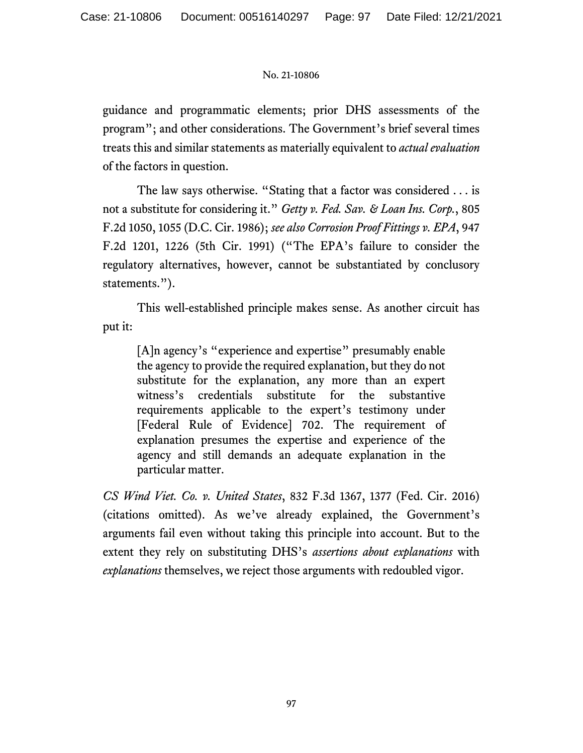guidance and programmatic elements; prior DHS assessments of the program"; and other considerations. The Government's brief several times treats this and similar statements as materially equivalent to *actual evaluation* of the factors in question.

The law says otherwise. "Stating that a factor was considered . . . is not a substitute for considering it." *Getty v. Fed. Sav. & Loan Ins. Corp.*, 805 F.2d 1050, 1055 (D.C. Cir. 1986); *see also Corrosion Proof Fittings v. EPA*, 947 F.2d 1201, 1226 (5th Cir. 1991) ("The EPA's failure to consider the regulatory alternatives, however, cannot be substantiated by conclusory statements.").

This well-established principle makes sense. As another circuit has put it:

[A]n agency's "experience and expertise" presumably enable the agency to provide the required explanation, but they do not substitute for the explanation, any more than an expert witness's credentials substitute for the substantive requirements applicable to the expert's testimony under [Federal Rule of Evidence] 702. The requirement of explanation presumes the expertise and experience of the agency and still demands an adequate explanation in the particular matter.

*CS Wind Viet. Co. v. United States*, 832 F.3d 1367, 1377 (Fed. Cir. 2016) (citations omitted). As we've already explained, the Government's arguments fail even without taking this principle into account. But to the extent they rely on substituting DHS's *assertions about explanations* with *explanations* themselves, we reject those arguments with redoubled vigor.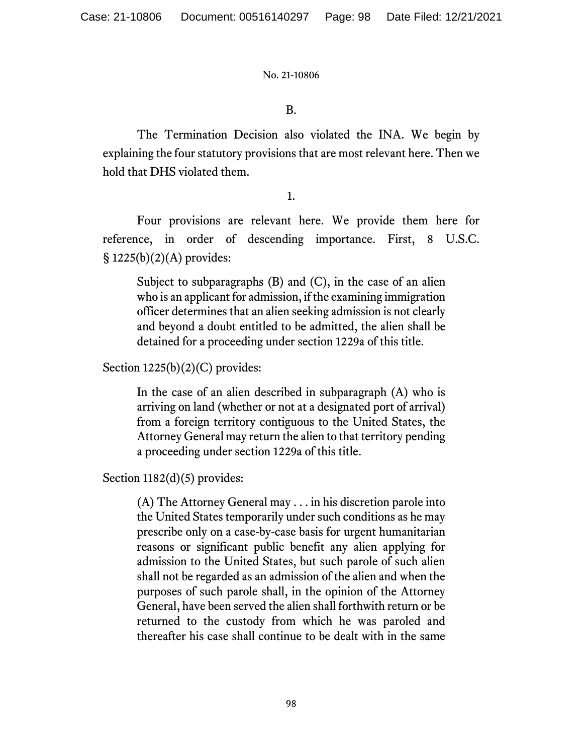# B.

The Termination Decision also violated the INA. We begin by explaining the four statutory provisions that are most relevant here. Then we hold that DHS violated them.

1.

Four provisions are relevant here. We provide them here for reference, in order of descending importance. First, 8 U.S.C. § 1225(b)(2)(A) provides:

Subject to subparagraphs (B) and (C), in the case of an alien who is an applicant for admission, if the examining immigration officer determines that an alien seeking admission is not clearly and beyond a doubt entitled to be admitted, the alien shall be detained for a proceeding under section 1229a of this title.

Section 1225(b)(2)(C) provides:

In the case of an alien described in subparagraph (A) who is arriving on land (whether or not at a designated port of arrival) from a foreign territory contiguous to the United States, the Attorney General may return the alien to that territory pending a proceeding under section 1229a of this title.

Section 1182(d)(5) provides:

(A) The Attorney General may . . . in his discretion parole into the United States temporarily under such conditions as he may prescribe only on a case-by-case basis for urgent humanitarian reasons or significant public benefit any alien applying for admission to the United States, but such parole of such alien shall not be regarded as an admission of the alien and when the purposes of such parole shall, in the opinion of the Attorney General, have been served the alien shall forthwith return or be returned to the custody from which he was paroled and thereafter his case shall continue to be dealt with in the same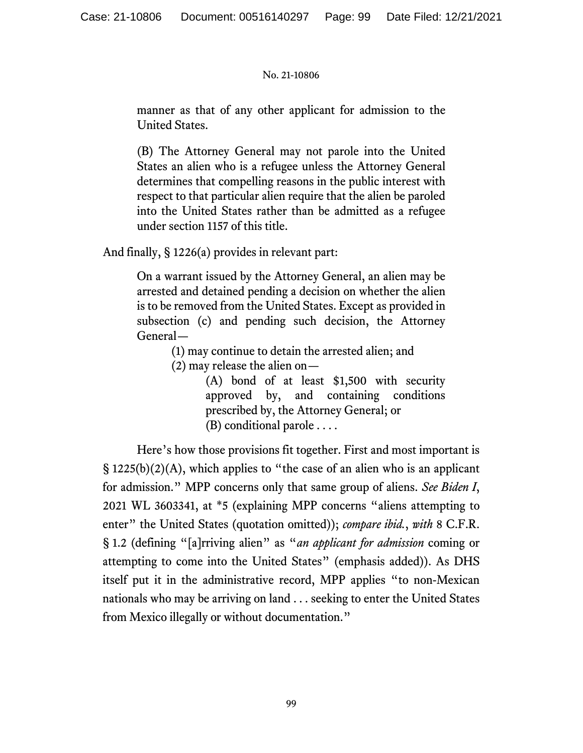manner as that of any other applicant for admission to the United States.

(B) The Attorney General may not parole into the United States an alien who is a refugee unless the Attorney General determines that compelling reasons in the public interest with respect to that particular alien require that the alien be paroled into the United States rather than be admitted as a refugee under section 1157 of this title.

And finally, § 1226(a) provides in relevant part:

On a warrant issued by the Attorney General, an alien may be arrested and detained pending a decision on whether the alien is to be removed from the United States. Except as provided in subsection (c) and pending such decision, the Attorney General—

(1) may continue to detain the arrested alien; and

(2) may release the alien on—

(A) bond of at least \$1,500 with security approved by, and containing conditions prescribed by, the Attorney General; or (B) conditional parole . . . .

Here's how those provisions fit together. First and most important is  $\S 1225(b)(2)(A)$ , which applies to "the case of an alien who is an applicant for admission." MPP concerns only that same group of aliens. *See Biden I*, 2021 WL 3603341, at \*5 (explaining MPP concerns "aliens attempting to enter" the United States (quotation omitted)); *compare ibid.*, *with* 8 C.F.R. § 1.2 (defining "[a]rriving alien" as "*an applicant for admission* coming or attempting to come into the United States" (emphasis added)). As DHS itself put it in the administrative record, MPP applies "to non-Mexican nationals who may be arriving on land . . . seeking to enter the United States from Mexico illegally or without documentation."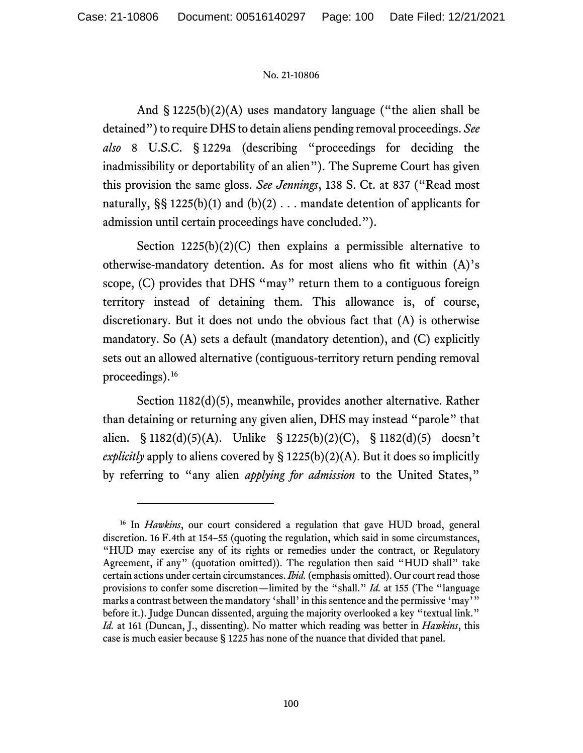And  $\S$  1225(b)(2)(A) uses mandatory language ("the alien shall be detained") to require DHS to detain aliens pending removal proceedings. *See also* 8 U.S.C. § 1229a (describing "proceedings for deciding the inadmissibility or deportability of an alien"). The Supreme Court has given this provision the same gloss. *See Jennings*, 138 S. Ct. at 837 ("Read most naturally,  $\S$ § 1225(b)(1) and (b)(2) . . . mandate detention of applicants for admission until certain proceedings have concluded.").

Section  $1225(b)(2)(C)$  then explains a permissible alternative to otherwise-mandatory detention. As for most aliens who fit within (A)'s scope, (C) provides that DHS "may" return them to a contiguous foreign territory instead of detaining them. This allowance is, of course, discretionary. But it does not undo the obvious fact that (A) is otherwise mandatory. So (A) sets a default (mandatory detention), and (C) explicitly sets out an allowed alternative (contiguous-territory return pending removal proceedings).[16](#page-99-0)

Section 1182(d)(5), meanwhile, provides another alternative. Rather than detaining or returning any given alien, DHS may instead "parole" that alien. § 1182(d)(5)(A). Unlike § 1225(b)(2)(C), § 1182(d)(5) doesn't *explicitly* apply to aliens covered by § 1225(b)(2)(A). But it does so implicitly by referring to "any alien *applying for admission* to the United States,"

<span id="page-99-0"></span><sup>&</sup>lt;sup>16</sup> In *Hawkins*, our court considered a regulation that gave HUD broad, general discretion. 16 F.4th at 154–55 (quoting the regulation, which said in some circumstances, "HUD may exercise any of its rights or remedies under the contract, or Regulatory Agreement, if any" (quotation omitted)). The regulation then said "HUD shall" take certain actions under certain circumstances. *Ibid.*(emphasis omitted). Our court read those provisions to confer some discretion—limited by the "shall." *Id.* at 155 (The "language marks a contrast between the mandatory 'shall' in this sentence and the permissive 'may'" before it.). Judge Duncan dissented, arguing the majority overlooked a key "textual link." *Id.* at 161 (Duncan, J., dissenting). No matter which reading was better in *Hawkins*, this case is much easier because § 1225 has none of the nuance that divided that panel.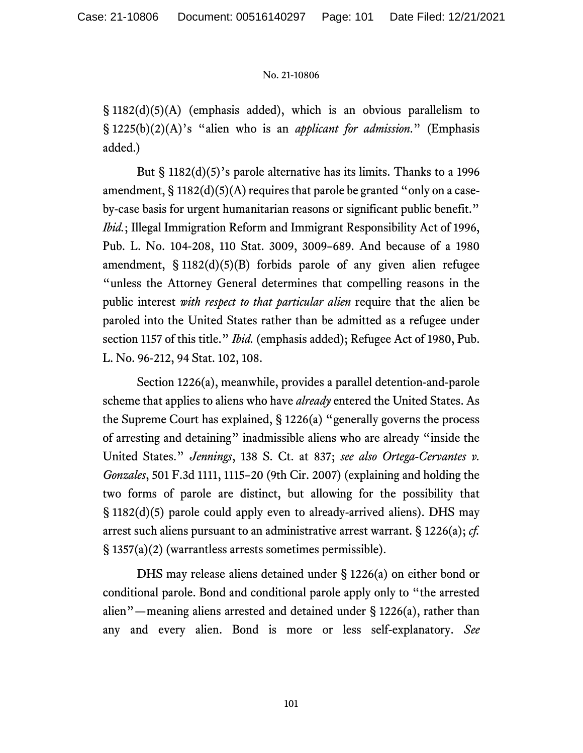$\S$  1182(d)(5)(A) (emphasis added), which is an obvious parallelism to § 1225(b)(2)(A)'s "alien who is an *applicant for admission*." (Emphasis added.)

But § 1182(d)(5)'s parole alternative has its limits. Thanks to a 1996 amendment,  $\S 1182(d)(5)(A)$  requires that parole be granted "only on a caseby-case basis for urgent humanitarian reasons or significant public benefit." *Ibid.*; Illegal Immigration Reform and Immigrant Responsibility Act of 1996, Pub. L. No. 104-208, 110 Stat. 3009, 3009–689. And because of a 1980 amendment, § 1182(d)(5)(B) forbids parole of any given alien refugee "unless the Attorney General determines that compelling reasons in the public interest *with respect to that particular alien* require that the alien be paroled into the United States rather than be admitted as a refugee under section 1157 of this title." *Ibid.* (emphasis added); Refugee Act of 1980, Pub. L. No. 96-212, 94 Stat. 102, 108.

Section 1226(a), meanwhile, provides a parallel detention-and-parole scheme that applies to aliens who have *already* entered the United States. As the Supreme Court has explained, § 1226(a) "generally governs the process of arresting and detaining" inadmissible aliens who are already "inside the United States." *Jennings*, 138 S. Ct. at 837; *see also Ortega-Cervantes v. Gonzales*, 501 F.3d 1111, 1115–20 (9th Cir. 2007) (explaining and holding the two forms of parole are distinct, but allowing for the possibility that § 1182(d)(5) parole could apply even to already-arrived aliens). DHS may arrest such aliens pursuant to an administrative arrest warrant. § 1226(a); *cf.*  § 1357(a)(2) (warrantless arrests sometimes permissible).

DHS may release aliens detained under § 1226(a) on either bond or conditional parole. Bond and conditional parole apply only to "the arrested alien"—meaning aliens arrested and detained under § 1226(a), rather than any and every alien. Bond is more or less self-explanatory. *See*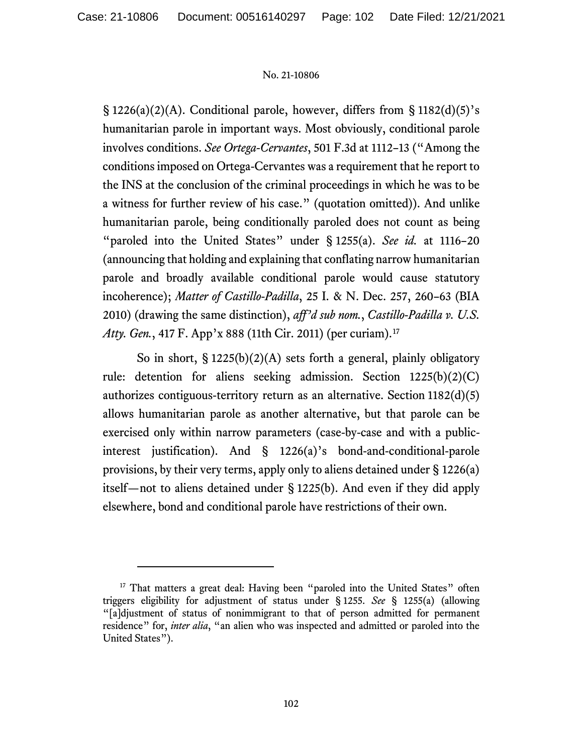$\S 1226(a)(2)(A)$ . Conditional parole, however, differs from  $\S 1182(d)(5)'s$ humanitarian parole in important ways. Most obviously, conditional parole involves conditions. *See Ortega-Cervantes*, 501 F.3d at 1112–13 ("Among the conditions imposed on Ortega-Cervantes was a requirement that he report to the INS at the conclusion of the criminal proceedings in which he was to be a witness for further review of his case." (quotation omitted)). And unlike humanitarian parole, being conditionally paroled does not count as being "paroled into the United States" under § 1255(a). *See id.* at 1116–20 (announcing that holding and explaining that conflating narrow humanitarian parole and broadly available conditional parole would cause statutory incoherence); *Matter of Castillo-Padilla*, 25 I. & N. Dec. 257, 260–63 (BIA 2010) (drawing the same distinction), *aff'd sub nom.*, *Castillo-Padilla v. U.S. Atty. Gen.*, 417 F. App'x 888 (11th Cir. 2011) (per curiam). [17](#page-101-0)

So in short,  $\S 1225(b)(2)(A)$  sets forth a general, plainly obligatory rule: detention for aliens seeking admission. Section 1225(b)(2)(C) authorizes contiguous-territory return as an alternative. Section 1182(d)(5) allows humanitarian parole as another alternative, but that parole can be exercised only within narrow parameters (case-by-case and with a publicinterest justification). And § 1226(a)'s bond-and-conditional-parole provisions, by their very terms, apply only to aliens detained under § 1226(a) itself—not to aliens detained under § 1225(b). And even if they did apply elsewhere, bond and conditional parole have restrictions of their own.

<span id="page-101-0"></span><sup>&</sup>lt;sup>17</sup> That matters a great deal: Having been "paroled into the United States" often triggers eligibility for adjustment of status under § 1255. *See* § 1255(a) (allowing "[a]djustment of status of nonimmigrant to that of person admitted for permanent residence" for, *inter alia*, "an alien who was inspected and admitted or paroled into the United States").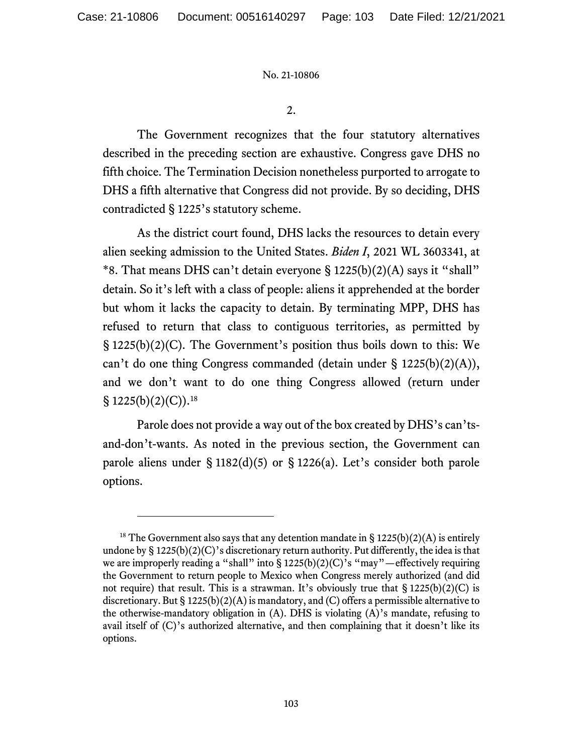2.

The Government recognizes that the four statutory alternatives described in the preceding section are exhaustive. Congress gave DHS no fifth choice. The Termination Decision nonetheless purported to arrogate to DHS a fifth alternative that Congress did not provide. By so deciding, DHS contradicted § 1225's statutory scheme.

As the district court found, DHS lacks the resources to detain every alien seeking admission to the United States. *Biden I*, 2021 WL 3603341, at \*8. That means DHS can't detain everyone  $\S 1225(b)(2)(A)$  says it "shall" detain. So it's left with a class of people: aliens it apprehended at the border but whom it lacks the capacity to detain. By terminating MPP, DHS has refused to return that class to contiguous territories, as permitted by § 1225(b)(2)(C). The Government's position thus boils down to this: We can't do one thing Congress commanded (detain under § 1225(b)(2)(A)), and we don't want to do one thing Congress allowed (return under § 1225(b)(2)(C)).<sup>[18](#page-102-0)</sup>

Parole does not provide a way out of the box created by DHS's can'tsand-don't-wants. As noted in the previous section, the Government can parole aliens under § 1182(d)(5) or § 1226(a). Let's consider both parole options.

<span id="page-102-0"></span><sup>&</sup>lt;sup>18</sup> The Government also says that any detention mandate in  $\S 1225(b)(2)(A)$  is entirely undone by  $\S 1225(b)(2)(C)$ 's discretionary return authority. Put differently, the idea is that we are improperly reading a "shall" into § 1225(b)(2)(C)'s "may"—effectively requiring the Government to return people to Mexico when Congress merely authorized (and did not require) that result. This is a strawman. It's obviously true that  $\S 1225(b)(2)(C)$  is discretionary. But § 1225(b)(2)(A) is mandatory, and (C) offers a permissible alternative to the otherwise-mandatory obligation in (A). DHS is violating (A)'s mandate, refusing to avail itself of (C)'s authorized alternative, and then complaining that it doesn't like its options.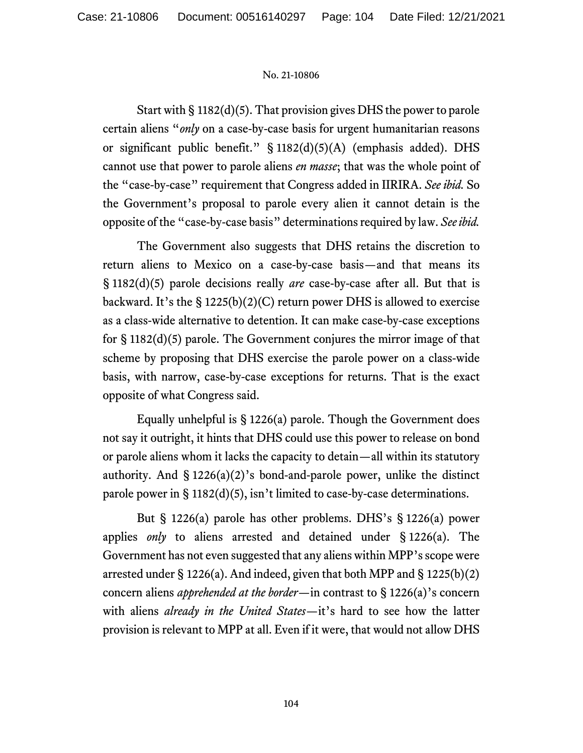Start with § 1182(d)(5). That provision gives DHS the power to parole certain aliens "*only* on a case-by-case basis for urgent humanitarian reasons or significant public benefit." § 1182(d)(5)(A) (emphasis added). DHS cannot use that power to parole aliens *en masse*; that was the whole point of the "case-by-case" requirement that Congress added in IIRIRA. *See ibid.* So the Government's proposal to parole every alien it cannot detain is the opposite of the "case-by-case basis" determinationsrequired by law. *See ibid.*

The Government also suggests that DHS retains the discretion to return aliens to Mexico on a case-by-case basis—and that means its § 1182(d)(5) parole decisions really *are* case-by-case after all. But that is backward. It's the  $\S 1225(b)(2)(C)$  return power DHS is allowed to exercise as a class-wide alternative to detention. It can make case-by-case exceptions for § 1182(d)(5) parole. The Government conjures the mirror image of that scheme by proposing that DHS exercise the parole power on a class-wide basis, with narrow, case-by-case exceptions for returns. That is the exact opposite of what Congress said.

Equally unhelpful is § 1226(a) parole. Though the Government does not say it outright, it hints that DHS could use this power to release on bond or parole aliens whom it lacks the capacity to detain—all within its statutory authority. And  $\S 1226(a)(2)$ 's bond-and-parole power, unlike the distinct parole power in § 1182(d)(5), isn't limited to case-by-case determinations.

But § 1226(a) parole has other problems. DHS's § 1226(a) power applies *only* to aliens arrested and detained under § 1226(a). The Government has not even suggested that any aliens within MPP's scope were arrested under § 1226(a). And indeed, given that both MPP and § 1225(b)(2) concern aliens *apprehended at the border*—in contrast to § 1226(a)'s concern with aliens *already in the United States*—it's hard to see how the latter provision is relevant to MPP at all. Even if it were, that would not allow DHS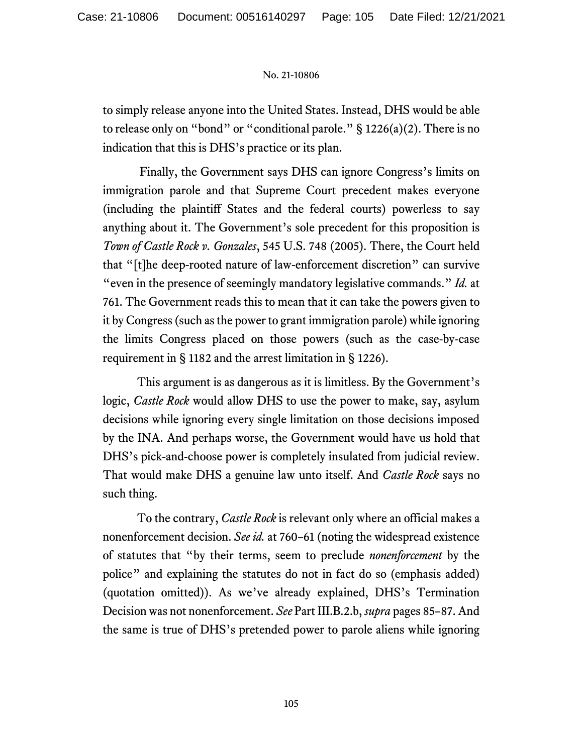to simply release anyone into the United States. Instead, DHS would be able to release only on "bond" or "conditional parole."  $\S 1226(a)(2)$ . There is no indication that this is DHS's practice or its plan.

Finally, the Government says DHS can ignore Congress's limits on immigration parole and that Supreme Court precedent makes everyone (including the plaintiff States and the federal courts) powerless to say anything about it. The Government's sole precedent for this proposition is *Town of Castle Rock v. Gonzales*, 545 U.S. 748 (2005). There, the Court held that "[t]he deep-rooted nature of law-enforcement discretion" can survive "even in the presence of seemingly mandatory legislative commands." *Id.* at 761. The Government reads this to mean that it can take the powers given to it by Congress (such as the power to grant immigration parole) while ignoring the limits Congress placed on those powers (such as the case-by-case requirement in § 1182 and the arrest limitation in § 1226).

This argument is as dangerous as it is limitless. By the Government's logic, *Castle Rock* would allow DHS to use the power to make, say, asylum decisions while ignoring every single limitation on those decisions imposed by the INA. And perhaps worse, the Government would have us hold that DHS's pick-and-choose power is completely insulated from judicial review. That would make DHS a genuine law unto itself. And *Castle Rock* says no such thing.

To the contrary, *Castle Rock* is relevant only where an official makes a nonenforcement decision. *See id.* at 760–61 (noting the widespread existence of statutes that "by their terms, seem to preclude *nonenforcement* by the police" and explaining the statutes do not in fact do so (emphasis added) (quotation omitted)). As we've already explained, DHS's Termination Decision was not nonenforcement. *See* Part III.B.2.b, *supra* pages 85–87. And the same is true of DHS's pretended power to parole aliens while ignoring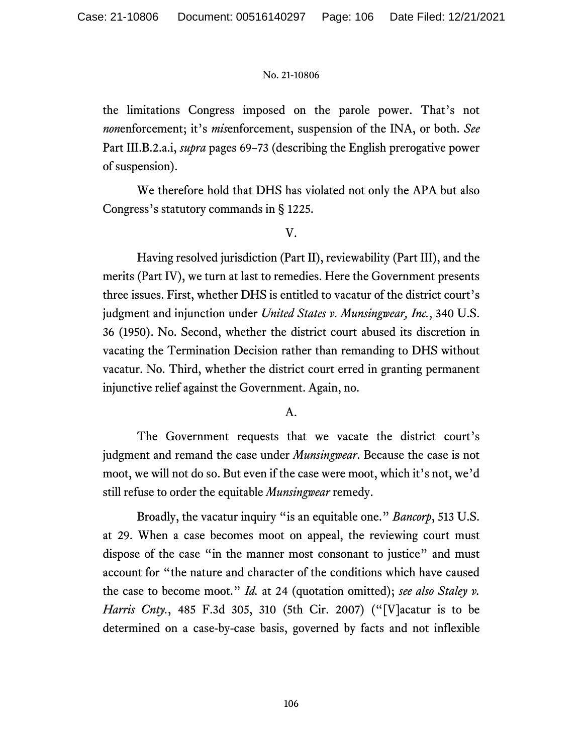the limitations Congress imposed on the parole power. That's not *non*enforcement; it's *mis*enforcement, suspension of the INA, or both. *See*  Part III.B.2.a.i, *supra* pages 69–73 (describing the English prerogative power of suspension).

We therefore hold that DHS has violated not only the APA but also Congress's statutory commands in § 1225.

## V.

Having resolved jurisdiction (Part II), reviewability (Part III), and the merits (Part IV), we turn at last to remedies. Here the Government presents three issues. First, whether DHS is entitled to vacatur of the district court's judgment and injunction under *United States v. Munsingwear, Inc.*, 340 U.S. 36 (1950). No. Second, whether the district court abused its discretion in vacating the Termination Decision rather than remanding to DHS without vacatur. No. Third, whether the district court erred in granting permanent injunctive relief against the Government. Again, no.

# A.

The Government requests that we vacate the district court's judgment and remand the case under *Munsingwear*. Because the case is not moot, we will not do so. But even if the case were moot, which it's not, we'd still refuse to order the equitable *Munsingwear* remedy.

Broadly, the vacatur inquiry "is an equitable one." *Bancorp*, 513 U.S. at 29. When a case becomes moot on appeal, the reviewing court must dispose of the case "in the manner most consonant to justice" and must account for "the nature and character of the conditions which have caused the case to become moot." *Id.* at 24 (quotation omitted); *see also Staley v. Harris Cnty.*, 485 F.3d 305, 310 (5th Cir. 2007) ("[V]acatur is to be determined on a case-by-case basis, governed by facts and not inflexible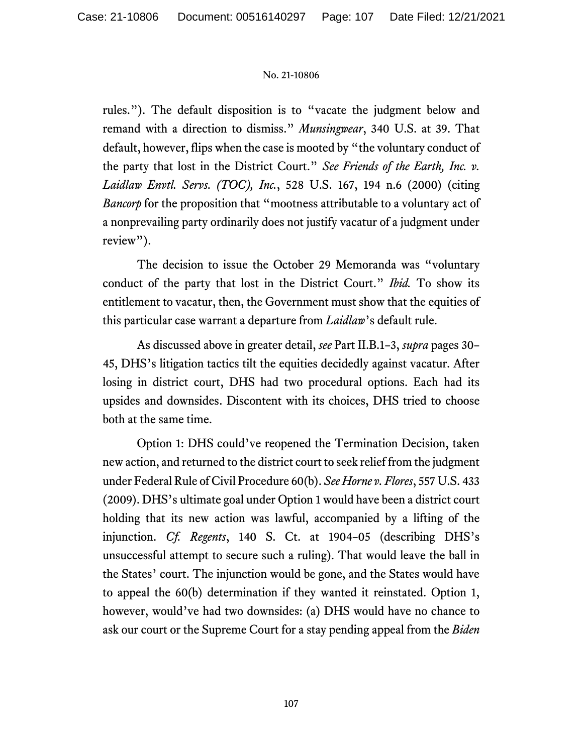rules."). The default disposition is to "vacate the judgment below and remand with a direction to dismiss." *Munsingwear*, 340 U.S. at 39. That default, however, flips when the case is mooted by "the voluntary conduct of the party that lost in the District Court." *See Friends of the Earth, Inc. v. Laidlaw Envtl. Servs. (TOC), Inc.*, 528 U.S. 167, 194 n.6 (2000) (citing *Bancorp* for the proposition that "mootness attributable to a voluntary act of a nonprevailing party ordinarily does not justify vacatur of a judgment under review").

The decision to issue the October 29 Memoranda was "voluntary conduct of the party that lost in the District Court." *Ibid.* To show its entitlement to vacatur, then, the Government must show that the equities of this particular case warrant a departure from *Laidlaw*'s default rule.

As discussed above in greater detail, *see* Part II.B.1–3, *supra* pages 30– 45, DHS's litigation tactics tilt the equities decidedly against vacatur. After losing in district court, DHS had two procedural options. Each had its upsides and downsides. Discontent with its choices, DHS tried to choose both at the same time.

Option 1: DHS could've reopened the Termination Decision, taken new action, and returned to the district court to seek relief from the judgment under Federal Rule of Civil Procedure 60(b). *See Horne v. Flores*, 557 U.S. 433 (2009). DHS's ultimate goal under Option 1 would have been a district court holding that its new action was lawful, accompanied by a lifting of the injunction. *Cf. Regents*, 140 S. Ct. at 1904–05 (describing DHS's unsuccessful attempt to secure such a ruling). That would leave the ball in the States' court. The injunction would be gone, and the States would have to appeal the 60(b) determination if they wanted it reinstated. Option 1, however, would've had two downsides: (a) DHS would have no chance to ask our court or the Supreme Court for a stay pending appeal from the *Biden*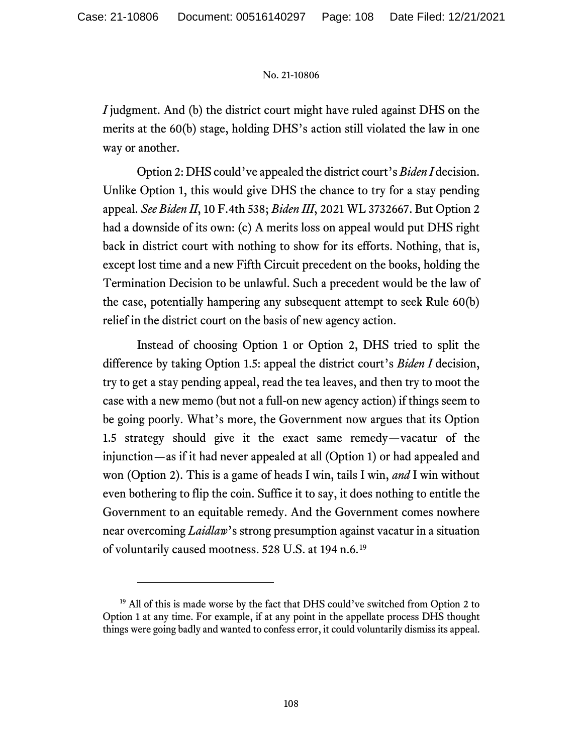*I* judgment. And (b) the district court might have ruled against DHS on the merits at the 60(b) stage, holding DHS's action still violated the law in one way or another.

Option 2: DHS could've appealed the district court's *Biden I* decision. Unlike Option 1, this would give DHS the chance to try for a stay pending appeal. *See Biden II*, 10 F.4th 538; *Biden III*, 2021 WL 3732667. But Option 2 had a downside of its own: (c) A merits loss on appeal would put DHS right back in district court with nothing to show for its efforts. Nothing, that is, except lost time and a new Fifth Circuit precedent on the books, holding the Termination Decision to be unlawful. Such a precedent would be the law of the case, potentially hampering any subsequent attempt to seek Rule 60(b) relief in the district court on the basis of new agency action.

Instead of choosing Option 1 or Option 2, DHS tried to split the difference by taking Option 1.5: appeal the district court's *Biden I* decision, try to get a stay pending appeal, read the tea leaves, and then try to moot the case with a new memo (but not a full-on new agency action) if things seem to be going poorly. What's more, the Government now argues that its Option 1.5 strategy should give it the exact same remedy—vacatur of the injunction—as if it had never appealed at all (Option 1) or had appealed and won (Option 2). This is a game of heads I win, tails I win, *and* I win without even bothering to flip the coin. Suffice it to say, it does nothing to entitle the Government to an equitable remedy. And the Government comes nowhere near overcoming *Laidlaw*'s strong presumption against vacatur in a situation of voluntarily caused mootness. 528 U.S. at 194 n.6.[19](#page-107-0)

<span id="page-107-0"></span><sup>&</sup>lt;sup>19</sup> All of this is made worse by the fact that DHS could've switched from Option 2 to Option 1 at any time. For example, if at any point in the appellate process DHS thought things were going badly and wanted to confess error, it could voluntarily dismiss its appeal.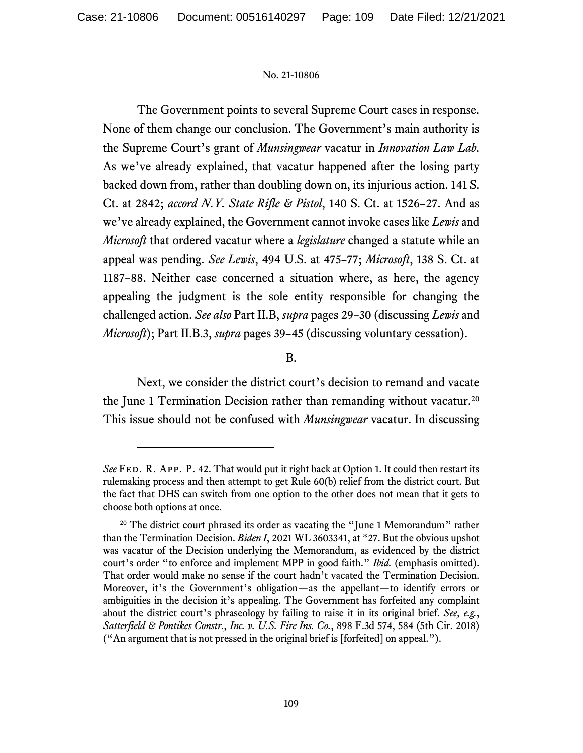The Government points to several Supreme Court cases in response. None of them change our conclusion. The Government's main authority is the Supreme Court's grant of *Munsingwear* vacatur in *Innovation Law Lab*. As we've already explained, that vacatur happened after the losing party backed down from, rather than doubling down on, its injurious action. 141 S. Ct. at 2842; *accord N.Y. State Rifle & Pistol*, 140 S. Ct. at 1526–27. And as we've already explained, the Government cannot invoke cases like *Lewis* and *Microsoft* that ordered vacatur where a *legislature* changed a statute while an appeal was pending. *See Lewis*, 494 U.S. at 475–77; *Microsoft*, 138 S. Ct. at 1187–88. Neither case concerned a situation where, as here, the agency appealing the judgment is the sole entity responsible for changing the challenged action. *See also* Part II.B, *supra* pages 29–30 (discussing *Lewis* and *Microsoft*); Part II.B.3, *supra* pages 39–45 (discussing voluntary cessation).

# B.

Next, we consider the district court's decision to remand and vacate the June 1 Termination Decision rather than remanding without vacatur.<sup>[20](#page-108-0)</sup> This issue should not be confused with *Munsingwear* vacatur. In discussing

See FED. R. APP. P. 42. That would put it right back at Option 1. It could then restart its rulemaking process and then attempt to get Rule 60(b) relief from the district court. But the fact that DHS can switch from one option to the other does not mean that it gets to choose both options at once.

<span id="page-108-0"></span><sup>&</sup>lt;sup>20</sup> The district court phrased its order as vacating the "June 1 Memorandum" rather than the Termination Decision. *Biden I*, 2021 WL 3603341, at \*27. But the obvious upshot was vacatur of the Decision underlying the Memorandum, as evidenced by the district court's order "to enforce and implement MPP in good faith." *Ibid.* (emphasis omitted). That order would make no sense if the court hadn't vacated the Termination Decision. Moreover, it's the Government's obligation—as the appellant—to identify errors or ambiguities in the decision it's appealing. The Government has forfeited any complaint about the district court's phraseology by failing to raise it in its original brief. *See, e.g.*, *Satterfield & Pontikes Constr., Inc. v. U.S. Fire Ins. Co.*, 898 F.3d 574, 584 (5th Cir. 2018) ("An argument that is not pressed in the original brief is [forfeited] on appeal.").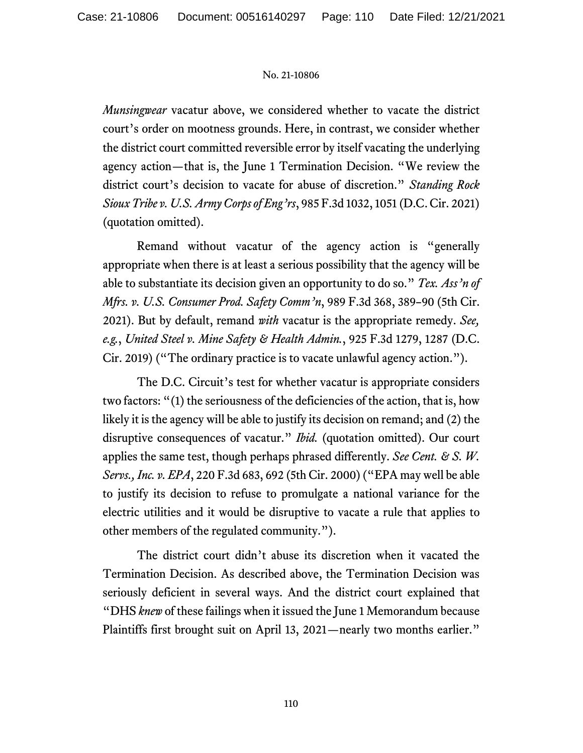*Munsingwear* vacatur above, we considered whether to vacate the district court's order on mootness grounds. Here, in contrast, we consider whether the district court committed reversible error by itself vacating the underlying agency action—that is, the June 1 Termination Decision. "We review the district court's decision to vacate for abuse of discretion." *Standing Rock Sioux Tribe v. U.S. Army Corps of Eng'rs*, 985 F.3d 1032, 1051 (D.C. Cir. 2021) (quotation omitted).

Remand without vacatur of the agency action is "generally appropriate when there is at least a serious possibility that the agency will be able to substantiate its decision given an opportunity to do so." *Tex. Ass'n of Mfrs. v. U.S. Consumer Prod. Safety Comm'n*, 989 F.3d 368, 389–90 (5th Cir. 2021). But by default, remand *with* vacatur is the appropriate remedy. *See, e.g.*, *United Steel v. Mine Safety & Health Admin.*, 925 F.3d 1279, 1287 (D.C. Cir. 2019) ("The ordinary practice is to vacate unlawful agency action.").

The D.C. Circuit's test for whether vacatur is appropriate considers two factors: "(1) the seriousness of the deficiencies of the action, that is, how likely it is the agency will be able to justify its decision on remand; and (2) the disruptive consequences of vacatur." *Ibid.* (quotation omitted). Our court applies the same test, though perhaps phrased differently. *See Cent. & S. W. Servs., Inc. v. EPA*, 220 F.3d 683, 692 (5th Cir. 2000) ("EPA may well be able to justify its decision to refuse to promulgate a national variance for the electric utilities and it would be disruptive to vacate a rule that applies to other members of the regulated community.").

The district court didn't abuse its discretion when it vacated the Termination Decision. As described above, the Termination Decision was seriously deficient in several ways. And the district court explained that "DHS *knew* of these failings when it issued the June 1 Memorandum because Plaintiffs first brought suit on April 13, 2021—nearly two months earlier."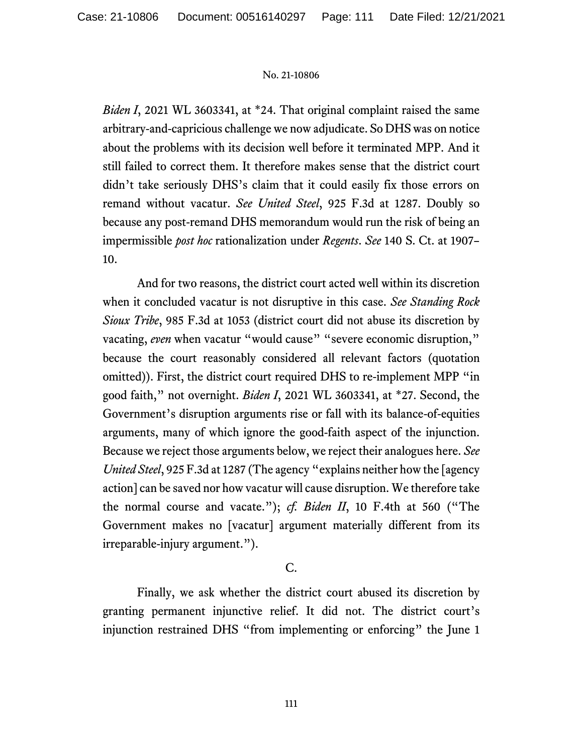*Biden I*, 2021 WL 3603341, at \*24. That original complaint raised the same arbitrary-and-capricious challenge we now adjudicate. So DHS was on notice about the problems with its decision well before it terminated MPP. And it still failed to correct them. It therefore makes sense that the district court didn't take seriously DHS's claim that it could easily fix those errors on remand without vacatur. *See United Steel*, 925 F.3d at 1287. Doubly so because any post-remand DHS memorandum would run the risk of being an impermissible *post hoc* rationalization under *Regents*. *See* 140 S. Ct. at 1907– 10.

And for two reasons, the district court acted well within its discretion when it concluded vacatur is not disruptive in this case. *See Standing Rock Sioux Tribe*, 985 F.3d at 1053 (district court did not abuse its discretion by vacating, *even* when vacatur "would cause" "severe economic disruption," because the court reasonably considered all relevant factors (quotation omitted)). First, the district court required DHS to re-implement MPP "in good faith," not overnight. *Biden I*, 2021 WL 3603341, at \*27. Second, the Government's disruption arguments rise or fall with its balance-of-equities arguments, many of which ignore the good-faith aspect of the injunction. Because we reject those arguments below, we reject their analogues here. *See United Steel*, 925 F.3d at 1287 (The agency "explains neither how the [agency action] can be saved nor how vacatur will cause disruption. We therefore take the normal course and vacate."); *cf. Biden II*, 10 F.4th at 560 ("The Government makes no [vacatur] argument materially different from its irreparable-injury argument.").

# C.

Finally, we ask whether the district court abused its discretion by granting permanent injunctive relief. It did not. The district court's injunction restrained DHS "from implementing or enforcing" the June 1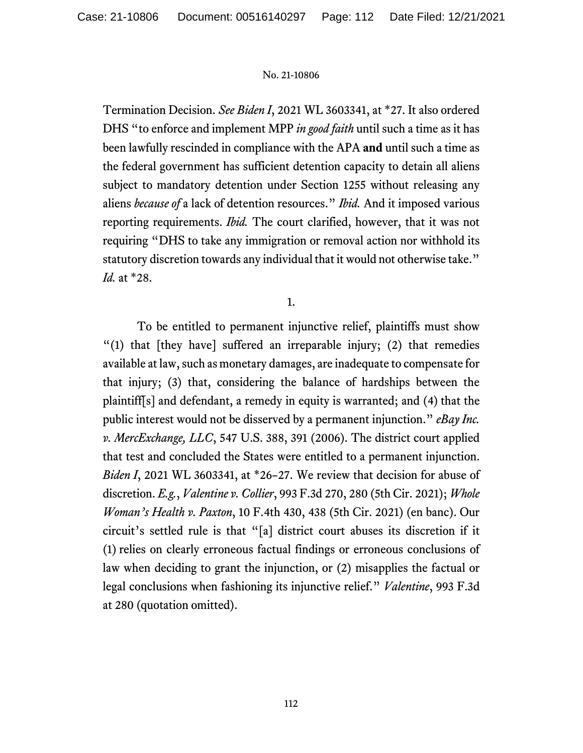Termination Decision. *See Biden I*, 2021 WL 3603341, at \*27. It also ordered DHS "to enforce and implement MPP *in good faith* until such a time as it has been lawfully rescinded in compliance with the APA **and** until such a time as the federal government has sufficient detention capacity to detain all aliens subject to mandatory detention under Section 1255 without releasing any aliens *because of* a lack of detention resources." *Ibid.* And it imposed various reporting requirements. *Ibid.* The court clarified, however, that it was not requiring "DHS to take any immigration or removal action nor withhold its statutory discretion towards any individual that it would not otherwise take." *Id.* at \*28.

1.

To be entitled to permanent injunctive relief, plaintiffs must show "(1) that [they have] suffered an irreparable injury; (2) that remedies available at law, such as monetary damages, are inadequate to compensate for that injury; (3) that, considering the balance of hardships between the plaintiff[s] and defendant, a remedy in equity is warranted; and (4) that the public interest would not be disserved by a permanent injunction." *eBay Inc. v. MercExchange, LLC*, 547 U.S. 388, 391 (2006). The district court applied that test and concluded the States were entitled to a permanent injunction. *Biden I*, 2021 WL 3603341, at \*26–27. We review that decision for abuse of discretion. *E.g.*, *Valentine v. Collier*, 993 F.3d 270, 280 (5th Cir. 2021); *Whole Woman's Health v. Paxton*, 10 F.4th 430, 438 (5th Cir. 2021) (en banc). Our circuit's settled rule is that "[a] district court abuses its discretion if it (1) relies on clearly erroneous factual findings or erroneous conclusions of law when deciding to grant the injunction, or (2) misapplies the factual or legal conclusions when fashioning its injunctive relief." *Valentine*, 993 F.3d at 280 (quotation omitted).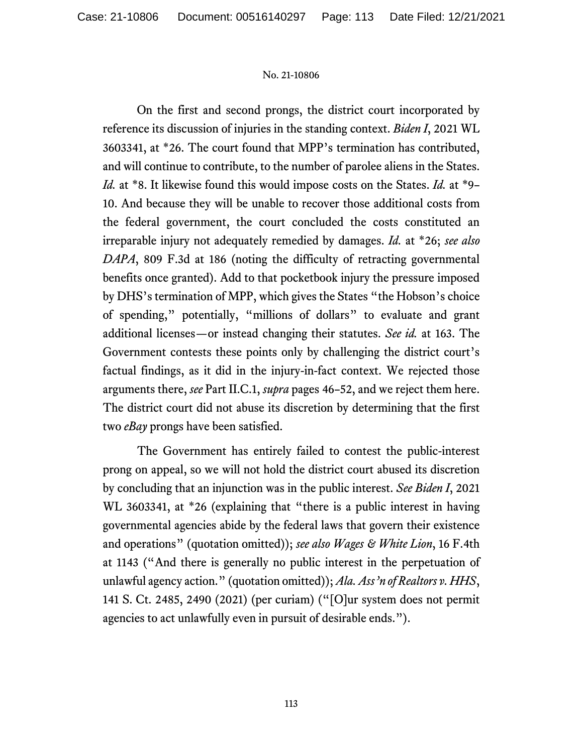On the first and second prongs, the district court incorporated by reference its discussion of injuries in the standing context. *Biden I*, 2021 WL 3603341, at \*26. The court found that MPP's termination has contributed, and will continue to contribute, to the number of parolee aliens in the States. *Id.* at \*8. It likewise found this would impose costs on the States. *Id.* at \*9– 10. And because they will be unable to recover those additional costs from the federal government, the court concluded the costs constituted an irreparable injury not adequately remedied by damages. *Id.* at \*26; *see also DAPA*, 809 F.3d at 186 (noting the difficulty of retracting governmental benefits once granted). Add to that pocketbook injury the pressure imposed by DHS's termination of MPP, which gives the States "the Hobson's choice of spending," potentially, "millions of dollars" to evaluate and grant additional licenses—or instead changing their statutes. *See id.* at 163. The Government contests these points only by challenging the district court's factual findings, as it did in the injury-in-fact context. We rejected those arguments there, *see* Part II.C.1, *supra* pages 46–52, and we reject them here. The district court did not abuse its discretion by determining that the first two *eBay* prongs have been satisfied.

The Government has entirely failed to contest the public-interest prong on appeal, so we will not hold the district court abused its discretion by concluding that an injunction was in the public interest. *See Biden I*, 2021 WL 3603341, at \*26 (explaining that "there is a public interest in having governmental agencies abide by the federal laws that govern their existence and operations" (quotation omitted)); *see also Wages & White Lion*, 16 F.4th at 1143 ("And there is generally no public interest in the perpetuation of unlawful agency action." (quotation omitted)); *Ala. Ass'n of Realtors v. HHS*, 141 S. Ct. 2485, 2490 (2021) (per curiam) ("[O]ur system does not permit agencies to act unlawfully even in pursuit of desirable ends.").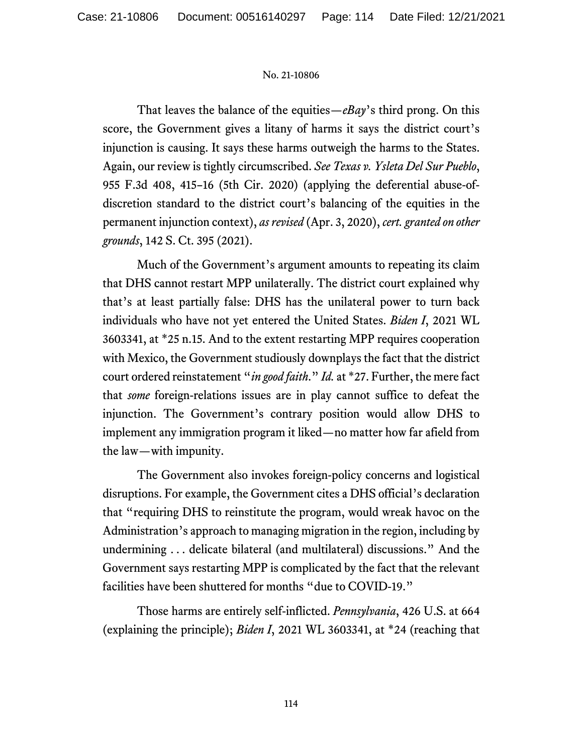That leaves the balance of the equities—*eBay*'s third prong. On this score, the Government gives a litany of harms it says the district court's injunction is causing. It says these harms outweigh the harms to the States. Again, our review is tightly circumscribed. *See Texas v. Ysleta Del Sur Pueblo*, 955 F.3d 408, 415–16 (5th Cir. 2020) (applying the deferential abuse-ofdiscretion standard to the district court's balancing of the equities in the permanent injunction context), *as revised* (Apr. 3, 2020), *cert. granted on other grounds*, 142 S. Ct. 395 (2021).

Much of the Government's argument amounts to repeating its claim that DHS cannot restart MPP unilaterally. The district court explained why that's at least partially false: DHS has the unilateral power to turn back individuals who have not yet entered the United States. *Biden I*, 2021 WL 3603341, at \*25 n.15. And to the extent restarting MPP requires cooperation with Mexico, the Government studiously downplays the fact that the district court ordered reinstatement "*in good faith*." *Id.* at \*27. Further, the mere fact that *some* foreign-relations issues are in play cannot suffice to defeat the injunction. The Government's contrary position would allow DHS to implement any immigration program it liked—no matter how far afield from the law—with impunity.

The Government also invokes foreign-policy concerns and logistical disruptions. For example, the Government cites a DHS official's declaration that "requiring DHS to reinstitute the program, would wreak havoc on the Administration's approach to managing migration in the region, including by undermining . . . delicate bilateral (and multilateral) discussions." And the Government says restarting MPP is complicated by the fact that the relevant facilities have been shuttered for months "due to COVID-19."

Those harms are entirely self-inflicted. *Pennsylvania*, 426 U.S. at 664 (explaining the principle); *Biden I*, 2021 WL 3603341, at \*24 (reaching that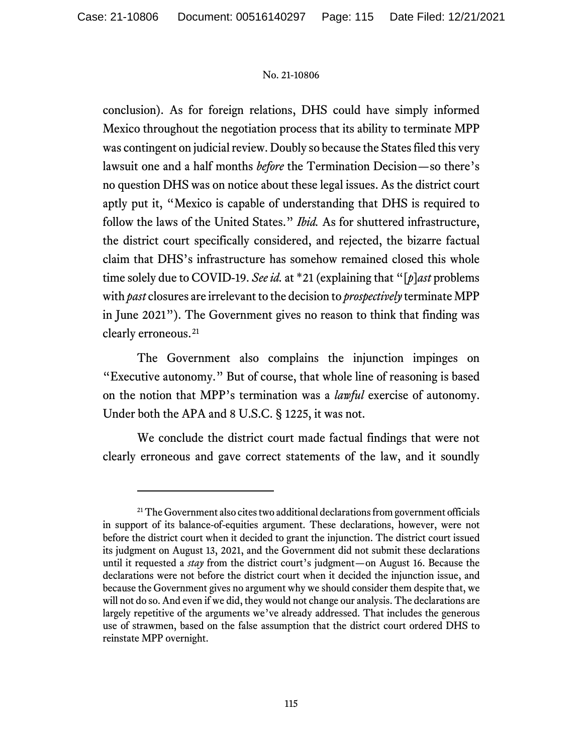conclusion). As for foreign relations, DHS could have simply informed Mexico throughout the negotiation process that its ability to terminate MPP was contingent on judicial review. Doubly so because the States filed this very lawsuit one and a half months *before* the Termination Decision—so there's no question DHS was on notice about these legal issues. As the district court aptly put it, "Mexico is capable of understanding that DHS is required to follow the laws of the United States." *Ibid.* As for shuttered infrastructure, the district court specifically considered, and rejected, the bizarre factual claim that DHS's infrastructure has somehow remained closed this whole time solely due to COVID-19. *See id.* at \*21 (explaining that "[*p*]*ast* problems with *past* closures are irrelevant to the decision to *prospectively* terminate MPP in June 2021"). The Government gives no reason to think that finding was clearly erroneous.<sup>[21](#page-114-0)</sup>

The Government also complains the injunction impinges on "Executive autonomy." But of course, that whole line of reasoning is based on the notion that MPP's termination was a *lawful* exercise of autonomy. Under both the APA and 8 U.S.C. § 1225, it was not.

We conclude the district court made factual findings that were not clearly erroneous and gave correct statements of the law, and it soundly

<span id="page-114-0"></span><sup>&</sup>lt;sup>21</sup> The Government also cites two additional declarations from government officials in support of its balance-of-equities argument. These declarations, however, were not before the district court when it decided to grant the injunction. The district court issued its judgment on August 13, 2021, and the Government did not submit these declarations until it requested a *stay* from the district court's judgment—on August 16. Because the declarations were not before the district court when it decided the injunction issue, and because the Government gives no argument why we should consider them despite that, we will not do so. And even if we did, they would not change our analysis. The declarations are largely repetitive of the arguments we've already addressed. That includes the generous use of strawmen, based on the false assumption that the district court ordered DHS to reinstate MPP overnight.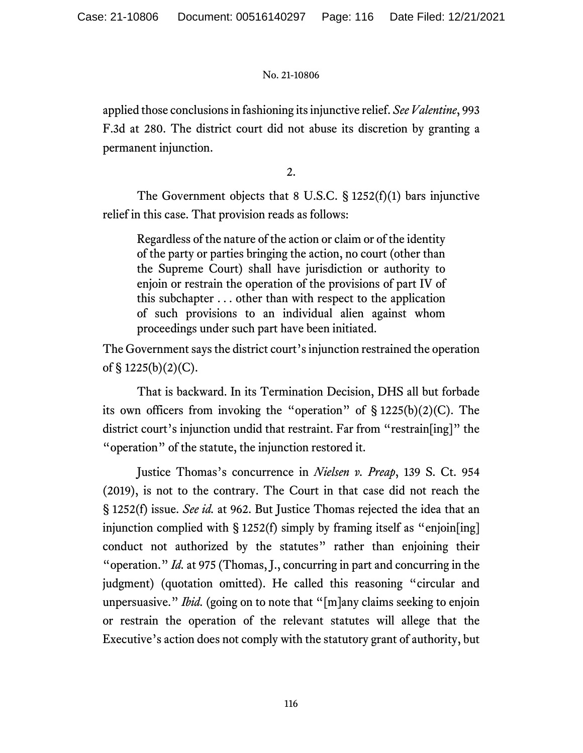applied those conclusions in fashioning its injunctive relief. *See Valentine*, 993 F.3d at 280. The district court did not abuse its discretion by granting a permanent injunction.

2.

The Government objects that 8 U.S.C. § 1252(f)(1) bars injunctive relief in this case. That provision reads as follows:

Regardless of the nature of the action or claim or of the identity of the party or parties bringing the action, no court (other than the Supreme Court) shall have jurisdiction or authority to enjoin or restrain the operation of the provisions of part IV of this subchapter . . . other than with respect to the application of such provisions to an individual alien against whom proceedings under such part have been initiated.

The Government says the district court's injunction restrained the operation of  $\S 1225(b)(2)(C)$ .

That is backward. In its Termination Decision, DHS all but forbade its own officers from invoking the "operation" of  $\S 1225(b)(2)(C)$ . The district court's injunction undid that restraint. Far from "restrain[ing]" the "operation" of the statute, the injunction restored it.

Justice Thomas's concurrence in *Nielsen v. Preap*, 139 S. Ct. 954 (2019), is not to the contrary. The Court in that case did not reach the § 1252(f) issue. *See id.* at 962. But Justice Thomas rejected the idea that an injunction complied with § 1252(f) simply by framing itself as "enjoin[ing] conduct not authorized by the statutes" rather than enjoining their "operation." *Id.* at 975 (Thomas, J., concurring in part and concurring in the judgment) (quotation omitted). He called this reasoning "circular and unpersuasive." *Ibid.* (going on to note that "[m]any claims seeking to enjoin or restrain the operation of the relevant statutes will allege that the Executive's action does not comply with the statutory grant of authority, but